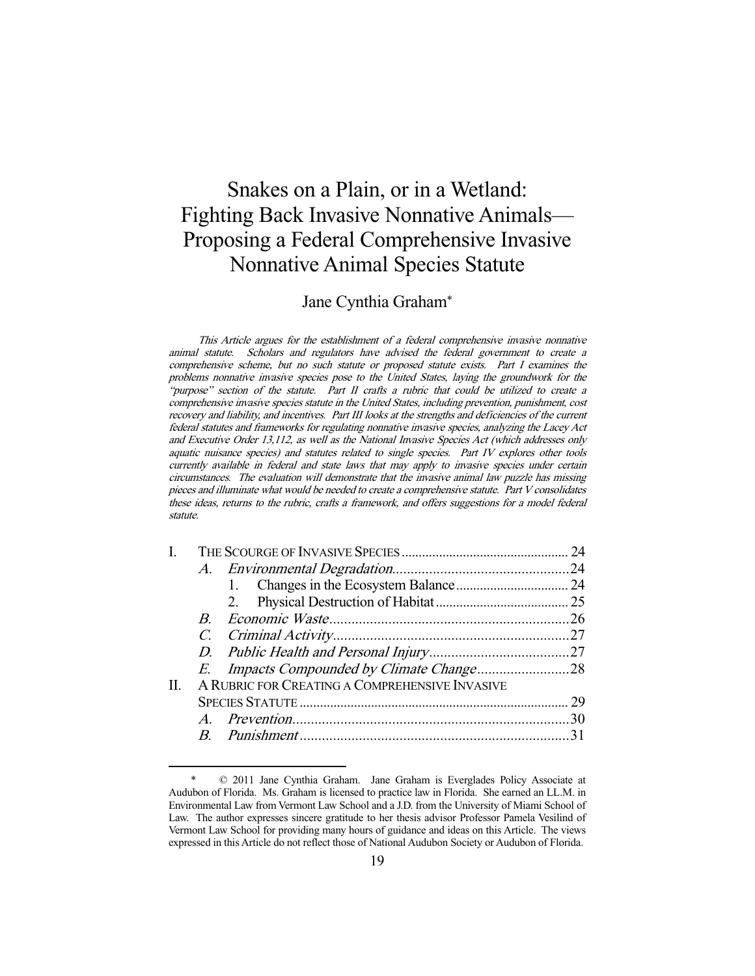# Snakes on a Plain, or in a Wetland: Fighting Back Invasive Nonnative Animals— Proposing a Federal Comprehensive Invasive Nonnative Animal Species Statute

# Jane Cynthia Graham\*

This Article argues for the establishment of a federal comprehensive invasive nonnative animal statute. Scholars and regulators have advised the federal government to create a comprehensive scheme, but no such statute or proposed statute exists. Part I examines the problems nonnative invasive species pose to the United States, laying the groundwork for the "purpose" section of the statute. Part II crafts a rubric that could be utilized to create a comprehensive invasive species statute in the United States, including prevention, punishment, cost recovery and liability, and incentives. Part III looks at the strengths and deficiencies of the current federal statutes and frameworks for regulating nonnative invasive species, analyzing the Lacey Act and Executive Order 13,112, as well as the National Invasive Species Act (which addresses only aquatic nuisance species) and statutes related to single species. Part IV explores other tools currently available in federal and state laws that may apply to invasive species under certain circumstances. The evaluation will demonstrate that the invasive animal law puzzle has missing pieces and illuminate what would be needed to create a comprehensive statute. Part V consolidates these ideas, returns to the rubric, crafts a framework, and offers suggestions for a model federal statute.

| H. |  | A RUBRIC FOR CREATING A COMPREHENSIVE INVASIVE |     |
|----|--|------------------------------------------------|-----|
|    |  |                                                | -29 |
|    |  |                                                |     |
|    |  |                                                |     |
|    |  |                                                |     |

 <sup>\* © 2011</sup> Jane Cynthia Graham. Jane Graham is Everglades Policy Associate at Audubon of Florida. Ms. Graham is licensed to practice law in Florida. She earned an LL.M. in Environmental Law from Vermont Law School and a J.D. from the University of Miami School of Law. The author expresses sincere gratitude to her thesis advisor Professor Pamela Vesilind of Vermont Law School for providing many hours of guidance and ideas on this Article. The views expressed in this Article do not reflect those of National Audubon Society or Audubon of Florida.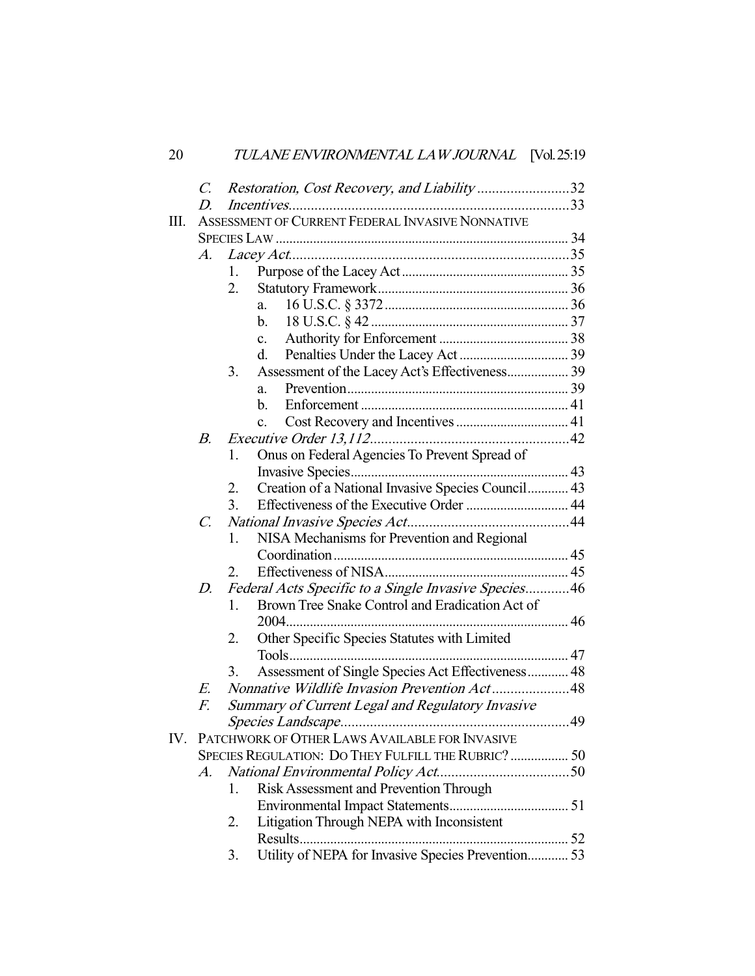|     | C.                                               | Restoration, Cost Recovery, and Liability 32             |  |  |
|-----|--------------------------------------------------|----------------------------------------------------------|--|--|
|     | D.                                               |                                                          |  |  |
| Ш.  | ASSESSMENT OF CURRENT FEDERAL INVASIVE NONNATIVE |                                                          |  |  |
|     |                                                  |                                                          |  |  |
|     | $A$ .                                            |                                                          |  |  |
|     |                                                  | 1.                                                       |  |  |
|     |                                                  | 2.                                                       |  |  |
|     |                                                  | a.                                                       |  |  |
|     |                                                  | b.                                                       |  |  |
|     |                                                  | $\mathbf{c}$ .                                           |  |  |
|     |                                                  | d.                                                       |  |  |
|     |                                                  | Assessment of the Lacey Act's Effectiveness 39<br>3.     |  |  |
|     |                                                  | a.                                                       |  |  |
|     |                                                  | b.                                                       |  |  |
|     |                                                  | $\mathbf{c}$ .                                           |  |  |
|     | $B_{\cdot}$                                      |                                                          |  |  |
|     |                                                  | Onus on Federal Agencies To Prevent Spread of<br>1.      |  |  |
|     |                                                  |                                                          |  |  |
|     |                                                  | Creation of a National Invasive Species Council 43<br>2. |  |  |
|     |                                                  | 3.                                                       |  |  |
|     | $\mathcal{C}$ .                                  |                                                          |  |  |
|     |                                                  | NISA Mechanisms for Prevention and Regional<br>1.        |  |  |
|     |                                                  |                                                          |  |  |
|     |                                                  | 2.                                                       |  |  |
|     | D.                                               | Federal Acts Specific to a Single Invasive Species46     |  |  |
|     |                                                  | Brown Tree Snake Control and Eradication Act of<br>1.    |  |  |
|     |                                                  |                                                          |  |  |
|     |                                                  | Other Specific Species Statutes with Limited<br>2.       |  |  |
|     |                                                  |                                                          |  |  |
|     |                                                  | Assessment of Single Species Act Effectiveness 48<br>3.  |  |  |
|     | E.                                               | Nonnative Wildlife Invasion Prevention Act48             |  |  |
|     | F.                                               | Summary of Current Legal and Regulatory Invasive         |  |  |
|     |                                                  |                                                          |  |  |
| IV. |                                                  | PATCHWORK OF OTHER LAWS AVAILABLE FOR INVASIVE           |  |  |
|     |                                                  | SPECIES REGULATION: DO THEY FULFILL THE RUBRIC?  50      |  |  |
|     | A.                                               |                                                          |  |  |
|     |                                                  | Risk Assessment and Prevention Through<br>1.             |  |  |
|     |                                                  |                                                          |  |  |
|     |                                                  | Litigation Through NEPA with Inconsistent<br>2.          |  |  |
|     |                                                  |                                                          |  |  |
|     |                                                  | Utility of NEPA for Invasive Species Prevention 53<br>3. |  |  |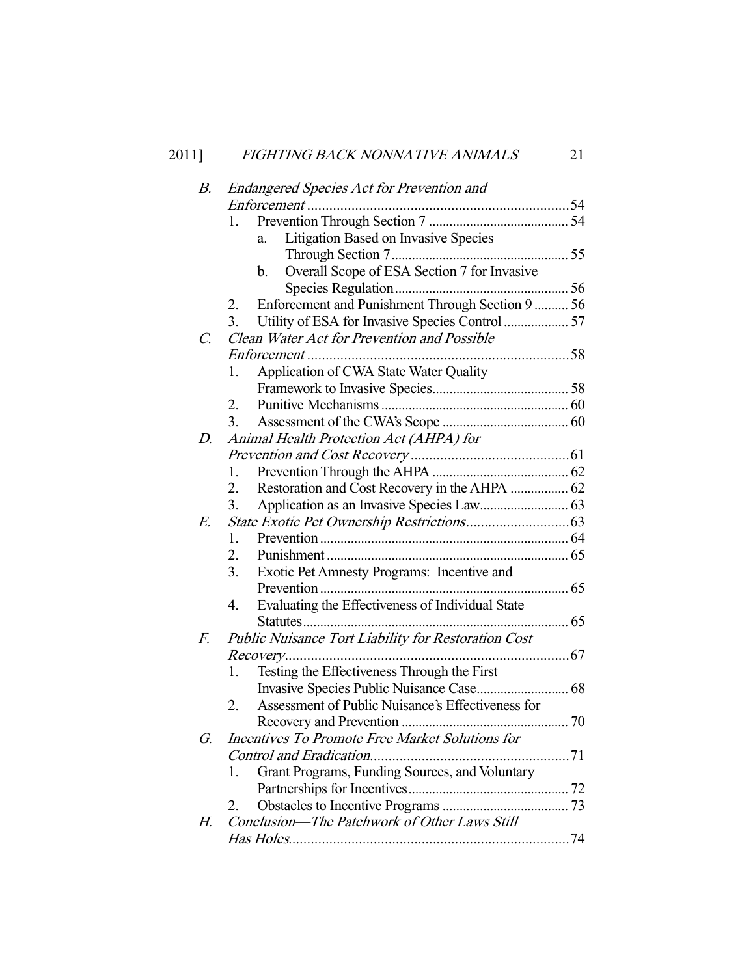| 2011] | <b>FIGHTING BACK NONNATIVE ANIMALS</b> |  |
|-------|----------------------------------------|--|
|-------|----------------------------------------|--|

| В. | <b>Endangered Species Act for Prevention and</b>        |    |
|----|---------------------------------------------------------|----|
|    | Enforcement                                             |    |
|    | 1.                                                      |    |
|    | <b>Litigation Based on Invasive Species</b><br>a.       |    |
|    |                                                         |    |
|    | Overall Scope of ESA Section 7 for Invasive<br>b.       |    |
|    |                                                         |    |
|    | Enforcement and Punishment Through Section 9  56<br>2.  |    |
|    | Utility of ESA for Invasive Species Control  57<br>3.   |    |
| C. | Clean Water Act for Prevention and Possible             |    |
|    |                                                         |    |
|    | Application of CWA State Water Quality<br>1.            |    |
|    |                                                         |    |
|    | 2.                                                      |    |
|    | $\overline{3}$ .                                        |    |
| D. | Animal Health Protection Act (AHPA) for                 |    |
|    |                                                         |    |
|    | 1.                                                      |    |
|    | Restoration and Cost Recovery in the AHPA  62<br>2.     |    |
|    | 3.                                                      |    |
| E. |                                                         |    |
|    | 1.                                                      |    |
|    | 2.                                                      |    |
|    | 3.<br>Exotic Pet Amnesty Programs: Incentive and        |    |
|    |                                                         |    |
|    | Evaluating the Effectiveness of Individual State<br>4.  |    |
|    |                                                         | 65 |
| F. | Public Nuisance Tort Liability for Restoration Cost     |    |
|    |                                                         |    |
|    | Testing the Effectiveness Through the First<br>1.       |    |
|    |                                                         |    |
|    | Assessment of Public Nuisance's Effectiveness for<br>2. |    |
|    |                                                         |    |
| G. | Incentives To Promote Free Market Solutions for         |    |
|    | <b>Control and Eradication.</b>                         |    |
|    | Grant Programs, Funding Sources, and Voluntary<br>1.    |    |
|    |                                                         |    |
|    | 2.                                                      |    |
| Н. | Conclusion—The Patchwork of Other Laws Still            |    |
|    |                                                         |    |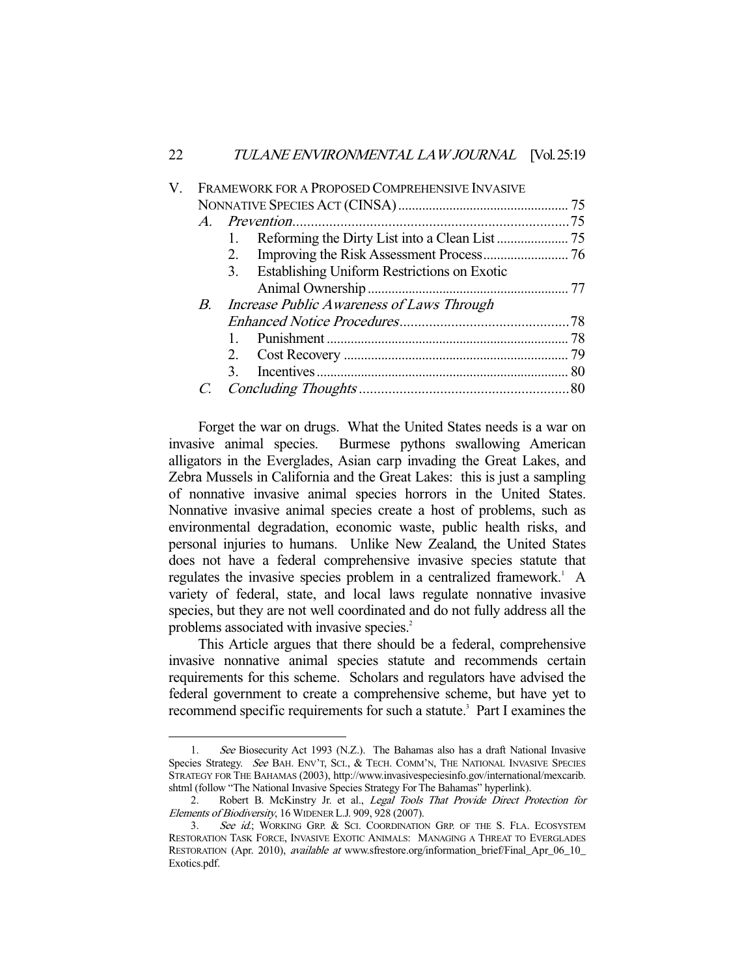| V. |             | FRAMEWORK FOR A PROPOSED COMPREHENSIVE INVASIVE |  |
|----|-------------|-------------------------------------------------|--|
|    |             |                                                 |  |
|    |             |                                                 |  |
|    |             | 1.                                              |  |
|    |             | 2.                                              |  |
|    |             | 3. Establishing Uniform Restrictions on Exotic  |  |
|    |             |                                                 |  |
|    | $B_{\cdot}$ | Increase Public Awareness of Laws Through       |  |
|    |             |                                                 |  |
|    |             |                                                 |  |
|    |             |                                                 |  |
|    |             | $3_{-}$                                         |  |
|    |             |                                                 |  |

 Forget the war on drugs. What the United States needs is a war on invasive animal species. Burmese pythons swallowing American alligators in the Everglades, Asian carp invading the Great Lakes, and Zebra Mussels in California and the Great Lakes: this is just a sampling of nonnative invasive animal species horrors in the United States. Nonnative invasive animal species create a host of problems, such as environmental degradation, economic waste, public health risks, and personal injuries to humans. Unlike New Zealand, the United States does not have a federal comprehensive invasive species statute that regulates the invasive species problem in a centralized framework.<sup>1</sup> A variety of federal, state, and local laws regulate nonnative invasive species, but they are not well coordinated and do not fully address all the problems associated with invasive species.<sup>2</sup>

 This Article argues that there should be a federal, comprehensive invasive nonnative animal species statute and recommends certain requirements for this scheme. Scholars and regulators have advised the federal government to create a comprehensive scheme, but have yet to recommend specific requirements for such a statute.<sup>3</sup> Part I examines the

 <sup>1.</sup> See Biosecurity Act 1993 (N.Z.). The Bahamas also has a draft National Invasive Species Strategy. See BAH. ENV'T, SCI., & TECH. COMM'N, THE NATIONAL INVASIVE SPECIES STRATEGY FOR THE BAHAMAS (2003), http://www.invasivespeciesinfo.gov/international/mexcarib. shtml (follow "The National Invasive Species Strategy For The Bahamas" hyperlink).

<sup>2.</sup> Robert B. McKinstry Jr. et al., Legal Tools That Provide Direct Protection for Elements of Biodiversity, 16 WIDENER L.J. 909, 928 (2007).

<sup>3.</sup> See id.; WORKING GRP. & SCI. COORDINATION GRP. OF THE S. FLA. ECOSYSTEM RESTORATION TASK FORCE, INVASIVE EXOTIC ANIMALS: MANAGING A THREAT TO EVERGLADES RESTORATION (Apr. 2010), *available at* www.sfrestore.org/information\_brief/Final\_Apr\_06\_10 Exotics.pdf.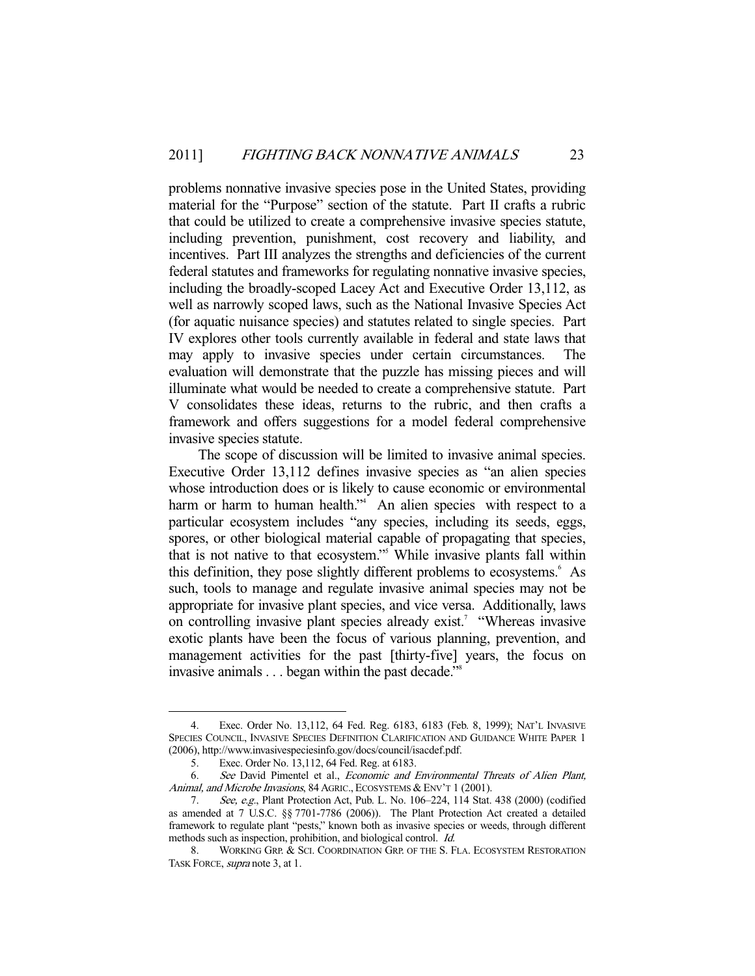problems nonnative invasive species pose in the United States, providing material for the "Purpose" section of the statute. Part II crafts a rubric that could be utilized to create a comprehensive invasive species statute, including prevention, punishment, cost recovery and liability, and incentives. Part III analyzes the strengths and deficiencies of the current federal statutes and frameworks for regulating nonnative invasive species, including the broadly-scoped Lacey Act and Executive Order 13,112, as well as narrowly scoped laws, such as the National Invasive Species Act (for aquatic nuisance species) and statutes related to single species. Part IV explores other tools currently available in federal and state laws that may apply to invasive species under certain circumstances. The evaluation will demonstrate that the puzzle has missing pieces and will illuminate what would be needed to create a comprehensive statute. Part V consolidates these ideas, returns to the rubric, and then crafts a framework and offers suggestions for a model federal comprehensive invasive species statute.

 The scope of discussion will be limited to invasive animal species. Executive Order 13,112 defines invasive species as "an alien species whose introduction does or is likely to cause economic or environmental harm or harm to human health."<sup>4</sup> An alien species with respect to a particular ecosystem includes "any species, including its seeds, eggs, spores, or other biological material capable of propagating that species, that is not native to that ecosystem."<sup>5</sup> While invasive plants fall within this definition, they pose slightly different problems to ecosystems.<sup>6</sup> As such, tools to manage and regulate invasive animal species may not be appropriate for invasive plant species, and vice versa. Additionally, laws on controlling invasive plant species already exist.<sup>7</sup> "Whereas invasive exotic plants have been the focus of various planning, prevention, and management activities for the past [thirty-five] years, the focus on invasive animals . . . began within the past decade."8

Exec. Order No. 13,112, 64 Fed. Reg. 6183, 6183 (Feb. 8, 1999); NAT'L INVASIVE SPECIES COUNCIL, INVASIVE SPECIES DEFINITION CLARIFICATION AND GUIDANCE WHITE PAPER 1 (2006), http://www.invasivespeciesinfo.gov/docs/council/isacdef.pdf.

 <sup>5.</sup> Exec. Order No. 13,112, 64 Fed. Reg. at 6183.

 <sup>6.</sup> See David Pimentel et al., Economic and Environmental Threats of Alien Plant, Animal, and Microbe Invasions, 84 AGRIC., ECOSYSTEMS & ENV'T 1 (2001).

 <sup>7.</sup> See, e.g., Plant Protection Act, Pub. L. No. 106–224, 114 Stat. 438 (2000) (codified as amended at 7 U.S.C. §§ 7701-7786 (2006)). The Plant Protection Act created a detailed framework to regulate plant "pests," known both as invasive species or weeds, through different methods such as inspection, prohibition, and biological control. Id.

 <sup>8.</sup> WORKING GRP. & SCI. COORDINATION GRP. OF THE S. FLA. ECOSYSTEM RESTORATION TASK FORCE, supra note 3, at 1.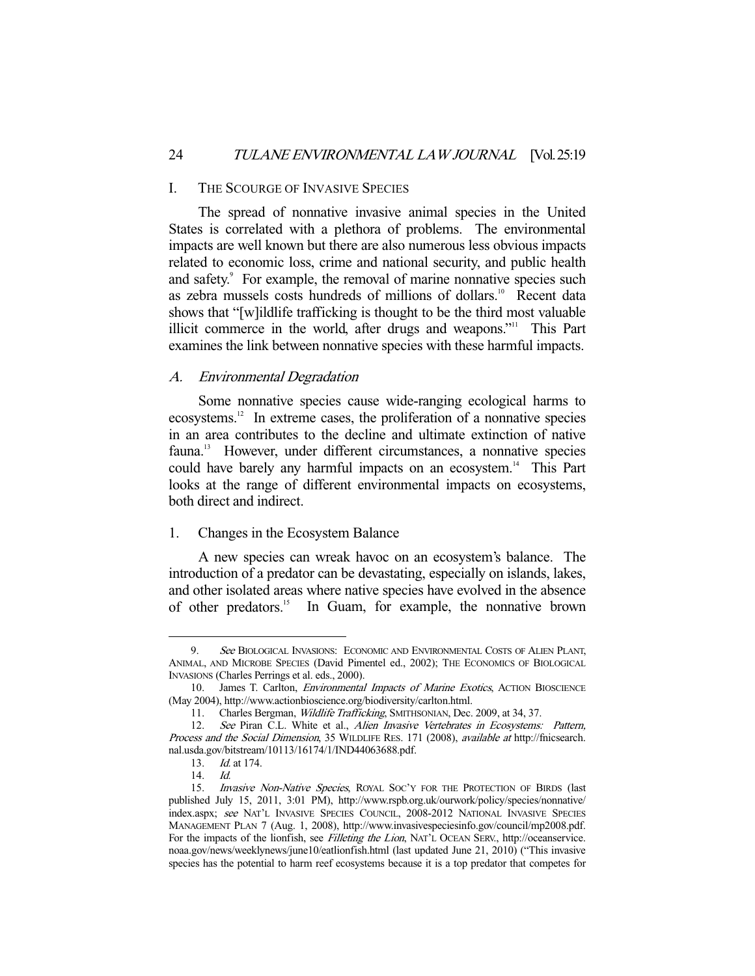#### I. THE SCOURGE OF INVASIVE SPECIES

 The spread of nonnative invasive animal species in the United States is correlated with a plethora of problems. The environmental impacts are well known but there are also numerous less obvious impacts related to economic loss, crime and national security, and public health and safety.<sup>9</sup> For example, the removal of marine nonnative species such as zebra mussels costs hundreds of millions of dollars.<sup>10</sup> Recent data shows that "[w]ildlife trafficking is thought to be the third most valuable illicit commerce in the world, after drugs and weapons."<sup>11</sup> This Part examines the link between nonnative species with these harmful impacts.

## A. Environmental Degradation

 Some nonnative species cause wide-ranging ecological harms to ecosystems.12 In extreme cases, the proliferation of a nonnative species in an area contributes to the decline and ultimate extinction of native fauna.13 However, under different circumstances, a nonnative species could have barely any harmful impacts on an ecosystem.<sup>14</sup> This Part looks at the range of different environmental impacts on ecosystems, both direct and indirect.

#### 1. Changes in the Ecosystem Balance

 A new species can wreak havoc on an ecosystem's balance. The introduction of a predator can be devastating, especially on islands, lakes, and other isolated areas where native species have evolved in the absence of other predators.15 In Guam, for example, the nonnative brown

<sup>9.</sup> See BIOLOGICAL INVASIONS: ECONOMIC AND ENVIRONMENTAL COSTS OF ALIEN PLANT, ANIMAL, AND MICROBE SPECIES (David Pimentel ed., 2002); THE ECONOMICS OF BIOLOGICAL INVASIONS (Charles Perrings et al. eds., 2000).

<sup>10.</sup> James T. Carlton, *Environmental Impacts of Marine Exotics*, ACTION BIOSCIENCE (May 2004), http://www.actionbioscience.org/biodiversity/carlton.html.

<sup>11.</sup> Charles Bergman, Wildlife Trafficking, SMITHSONIAN, Dec. 2009, at 34, 37.

<sup>12.</sup> See Piran C.L. White et al., Alien Invasive Vertebrates in Ecosystems: Pattern, Process and the Social Dimension, 35 WILDLIFE RES. 171 (2008), available at http://fnicsearch. nal.usda.gov/bitstream/10113/16174/1/IND44063688.pdf.<br>13. Id. at 174.

 $Id$  at 174.

 <sup>14.</sup> Id.

<sup>15.</sup> Invasive Non-Native Species, ROYAL SOC'Y FOR THE PROTECTION OF BIRDS (last published July 15, 2011, 3:01 PM), http://www.rspb.org.uk/ourwork/policy/species/nonnative/ index.aspx; see NAT'L INVASIVE SPECIES COUNCIL, 2008-2012 NATIONAL INVASIVE SPECIES MANAGEMENT PLAN 7 (Aug. 1, 2008), http://www.invasivespeciesinfo.gov/council/mp2008.pdf. For the impacts of the lionfish, see Filleting the Lion, NAT'L OCEAN SERV., http://oceanservice. noaa.gov/news/weeklynews/june10/eatlionfish.html (last updated June 21, 2010) ("This invasive species has the potential to harm reef ecosystems because it is a top predator that competes for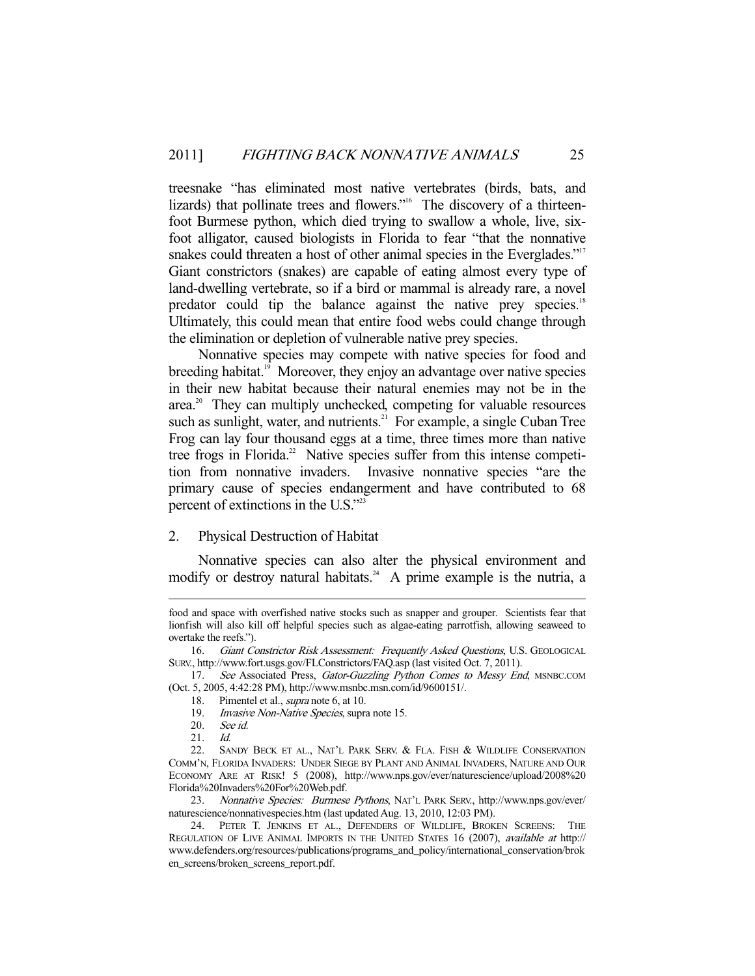treesnake "has eliminated most native vertebrates (birds, bats, and lizards) that pollinate trees and flowers."<sup>16</sup> The discovery of a thirteenfoot Burmese python, which died trying to swallow a whole, live, sixfoot alligator, caused biologists in Florida to fear "that the nonnative snakes could threaten a host of other animal species in the Everglades."<sup>17</sup> Giant constrictors (snakes) are capable of eating almost every type of land-dwelling vertebrate, so if a bird or mammal is already rare, a novel predator could tip the balance against the native prey species.<sup>18</sup> Ultimately, this could mean that entire food webs could change through the elimination or depletion of vulnerable native prey species.

 Nonnative species may compete with native species for food and breeding habitat.<sup>19</sup> Moreover, they enjoy an advantage over native species in their new habitat because their natural enemies may not be in the area.<sup>20</sup> They can multiply unchecked, competing for valuable resources such as sunlight, water, and nutrients.<sup>21</sup> For example, a single Cuban Tree Frog can lay four thousand eggs at a time, three times more than native tree frogs in Florida.<sup>22</sup> Native species suffer from this intense competition from nonnative invaders. Invasive nonnative species "are the primary cause of species endangerment and have contributed to 68 percent of extinctions in the U.S."23

#### 2. Physical Destruction of Habitat

 Nonnative species can also alter the physical environment and modify or destroy natural habitats.<sup>24</sup> A prime example is the nutria, a

- 18. Pimentel et al., *supra* note 6, at 10.
- 19. Invasive Non-Native Species, supra note 15.
- 20. See id.
- $21$  Id.

-

 23. Nonnative Species: Burmese Pythons, NAT'L PARK SERV., http://www.nps.gov/ever/ naturescience/nonnativespecies.htm (last updated Aug. 13, 2010, 12:03 PM).

food and space with overfished native stocks such as snapper and grouper. Scientists fear that lionfish will also kill off helpful species such as algae-eating parrotfish, allowing seaweed to overtake the reefs.").

 <sup>16.</sup> Giant Constrictor Risk Assessment: Frequently Asked Questions, U.S. GEOLOGICAL SURV., http://www.fort.usgs.gov/FLConstrictors/FAQ.asp (last visited Oct. 7, 2011).

<sup>17.</sup> See Associated Press, Gator-Guzzling Python Comes to Messy End, MSNBC.COM (Oct. 5, 2005, 4:42:28 PM), http://www.msnbc.msn.com/id/9600151/.

 <sup>22.</sup> SANDY BECK ET AL., NAT'L PARK SERV. & FLA. FISH & WILDLIFE CONSERVATION COMM'N, FLORIDA INVADERS: UNDER SIEGE BY PLANT AND ANIMAL INVADERS, NATURE AND OUR ECONOMY ARE AT RISK! 5 (2008), http://www.nps.gov/ever/naturescience/upload/2008%20 Florida%20Invaders%20For%20Web.pdf.<br>23. Nonnative Species: Burmese

 <sup>24.</sup> PETER T. JENKINS ET AL., DEFENDERS OF WILDLIFE, BROKEN SCREENS: THE REGULATION OF LIVE ANIMAL IMPORTS IN THE UNITED STATES 16 (2007), available at http:// www.defenders.org/resources/publications/programs\_and\_policy/international\_conservation/brok en\_screens/broken\_screens\_report.pdf.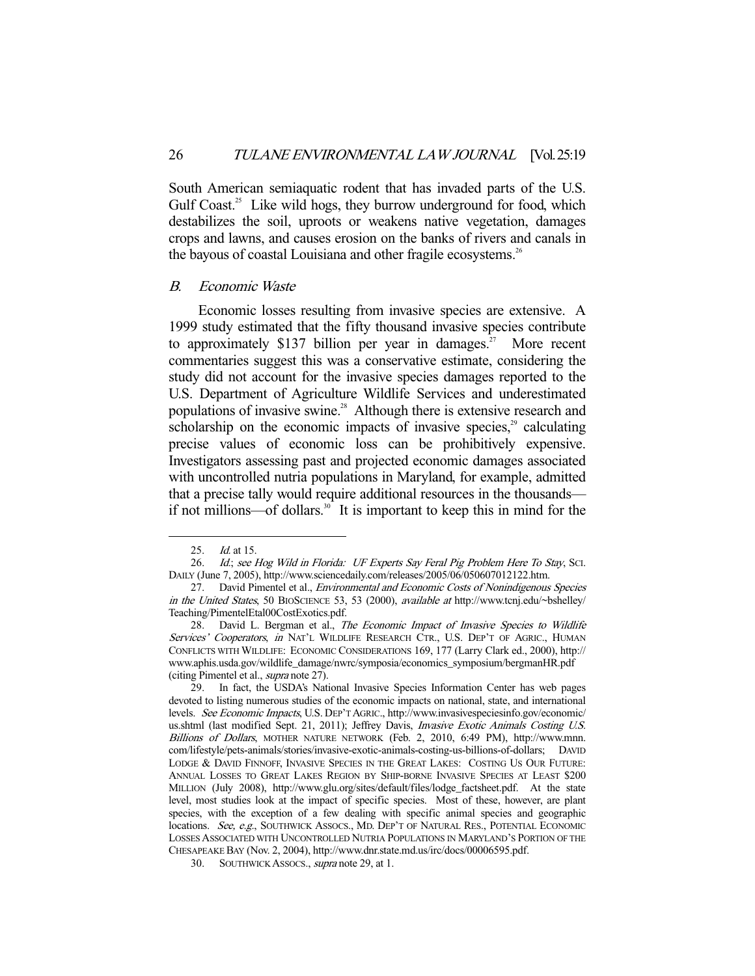South American semiaquatic rodent that has invaded parts of the U.S. Gulf Coast.<sup>25</sup> Like wild hogs, they burrow underground for food, which destabilizes the soil, uproots or weakens native vegetation, damages crops and lawns, and causes erosion on the banks of rivers and canals in the bayous of coastal Louisiana and other fragile ecosystems.<sup>26</sup>

#### B. Economic Waste

 Economic losses resulting from invasive species are extensive. A 1999 study estimated that the fifty thousand invasive species contribute to approximately \$137 billion per year in damages.<sup>27</sup> More recent commentaries suggest this was a conservative estimate, considering the study did not account for the invasive species damages reported to the U.S. Department of Agriculture Wildlife Services and underestimated populations of invasive swine.<sup>28</sup> Although there is extensive research and scholarship on the economic impacts of invasive species, $2^{\circ}$  calculating precise values of economic loss can be prohibitively expensive. Investigators assessing past and projected economic damages associated with uncontrolled nutria populations in Maryland, for example, admitted that a precise tally would require additional resources in the thousands if not millions—of dollars.<sup>30</sup> It is important to keep this in mind for the

<sup>25.</sup> *Id.* at 15.

<sup>26.</sup> Id.; see Hog Wild in Florida: UF Experts Say Feral Pig Problem Here To Stay, SCI. DAILY (June 7, 2005), http://www.sciencedaily.com/releases/2005/06/050607012122.htm.

<sup>27.</sup> David Pimentel et al., *Environmental and Economic Costs of Nonindigenous Species* in the United States, 50 BIOSCIENCE 53, 53 (2000), available at http://www.tcnj.edu/~bshelley/ Teaching/PimentelEtal00CostExotics.pdf.

<sup>28.</sup> David L. Bergman et al., The Economic Impact of Invasive Species to Wildlife Services' Cooperators, in NAT'L WILDLIFE RESEARCH CTR., U.S. DEP'T OF AGRIC., HUMAN CONFLICTS WITH WILDLIFE: ECONOMIC CONSIDERATIONS 169, 177 (Larry Clark ed., 2000), http:// www.aphis.usda.gov/wildlife\_damage/nwrc/symposia/economics\_symposium/bergmanHR.pdf (citing Pimentel et al., supra note 27).

 <sup>29.</sup> In fact, the USDA's National Invasive Species Information Center has web pages devoted to listing numerous studies of the economic impacts on national, state, and international levels. See Economic Impacts, U.S. DEP'T AGRIC., http://www.invasivespeciesinfo.gov/economic/ us.shtml (last modified Sept. 21, 2011); Jeffrey Davis, Invasive Exotic Animals Costing U.S. Billions of Dollars, MOTHER NATURE NETWORK (Feb. 2, 2010, 6:49 PM), http://www.mnn. com/lifestyle/pets-animals/stories/invasive-exotic-animals-costing-us-billions-of-dollars; DAVID LODGE & DAVID FINNOFF, INVASIVE SPECIES IN THE GREAT LAKES: COSTING US OUR FUTURE: ANNUAL LOSSES TO GREAT LAKES REGION BY SHIP-BORNE INVASIVE SPECIES AT LEAST \$200 MILLION (July 2008), http://www.glu.org/sites/default/files/lodge\_factsheet.pdf. At the state level, most studies look at the impact of specific species. Most of these, however, are plant species, with the exception of a few dealing with specific animal species and geographic locations. See, e.g., SOUTHWICK ASSOCS., MD. DEP'T OF NATURAL RES., POTENTIAL ECONOMIC LOSSES ASSOCIATED WITH UNCONTROLLED NUTRIA POPULATIONS IN MARYLAND'S PORTION OF THE CHESAPEAKE BAY (Nov. 2, 2004), http://www.dnr.state.md.us/irc/docs/00006595.pdf.

<sup>30.</sup> SOUTHWICK ASSOCS., *supra* note 29, at 1.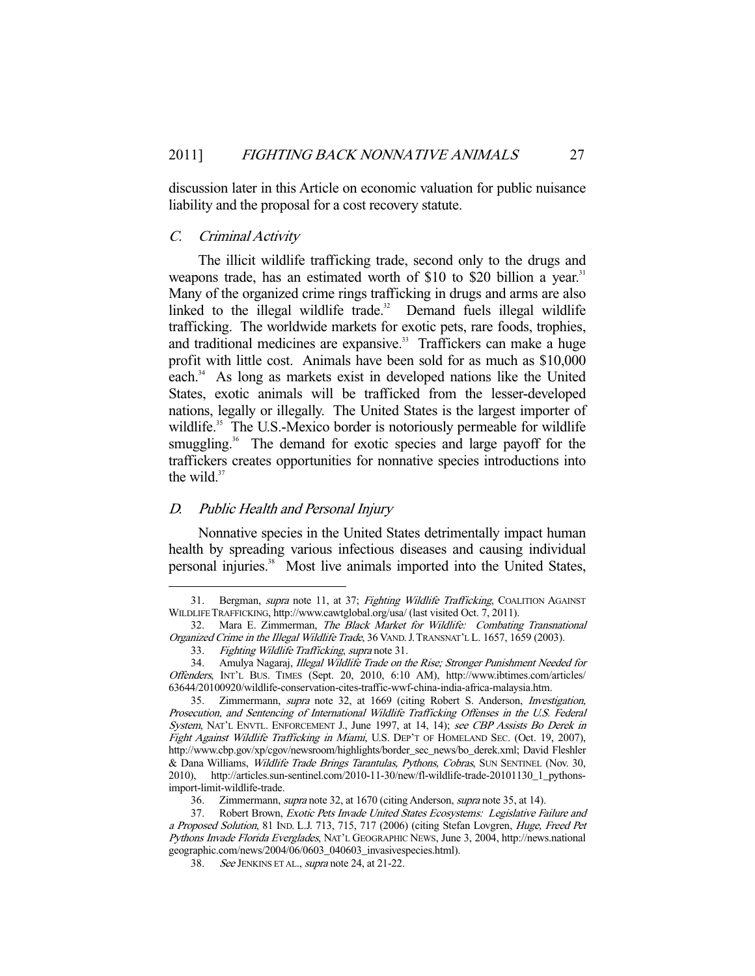discussion later in this Article on economic valuation for public nuisance liability and the proposal for a cost recovery statute.

## C. Criminal Activity

 The illicit wildlife trafficking trade, second only to the drugs and weapons trade, has an estimated worth of \$10 to \$20 billion a year.<sup>31</sup> Many of the organized crime rings trafficking in drugs and arms are also linked to the illegal wildlife trade.<sup>32</sup> Demand fuels illegal wildlife trafficking. The worldwide markets for exotic pets, rare foods, trophies, and traditional medicines are expansive.<sup>33</sup> Traffickers can make a huge profit with little cost. Animals have been sold for as much as \$10,000 each.<sup>34</sup> As long as markets exist in developed nations like the United States, exotic animals will be trafficked from the lesser-developed nations, legally or illegally. The United States is the largest importer of wildlife.<sup>35</sup> The U.S.-Mexico border is notoriously permeable for wildlife smuggling.<sup>36</sup> The demand for exotic species and large payoff for the traffickers creates opportunities for nonnative species introductions into the wild. $37$ 

## D. Public Health and Personal Injury

-

 Nonnative species in the United States detrimentally impact human health by spreading various infectious diseases and causing individual personal injuries.<sup>38</sup> Most live animals imported into the United States,

<sup>31.</sup> Bergman, supra note 11, at 37; Fighting Wildlife Trafficking, COALITION AGAINST WILDLIFE TRAFFICKING, http://www.cawtglobal.org/usa/ (last visited Oct. 7, 2011).

 <sup>32.</sup> Mara E. Zimmerman, The Black Market for Wildlife: Combating Transnational Organized Crime in the Illegal Wildlife Trade, 36 VAND. J. TRANSNAT'L L. 1657, 1659 (2003).

<sup>33.</sup> Fighting Wildlife Trafficking, supra note 31.

<sup>34.</sup> Amulya Nagaraj, *Illegal Wildlife Trade on the Rise; Stronger Punishment Needed for* Offenders, INT'L BUS. TIMES (Sept. 20, 2010, 6:10 AM), http://www.ibtimes.com/articles/ 63644/20100920/wildlife-conservation-cites-traffic-wwf-china-india-africa-malaysia.htm.

 <sup>35.</sup> Zimmermann, supra note 32, at 1669 (citing Robert S. Anderson, Investigation, Prosecution, and Sentencing of International Wildlife Trafficking Offenses in the U.S. Federal System, NAT'L ENVTL. ENFORCEMENT J., June 1997, at 14, 14); see CBP Assists Bo Derek in Fight Against Wildlife Trafficking in Miami, U.S. DEP'T OF HOMELAND SEC. (Oct. 19, 2007), http://www.cbp.gov/xp/cgov/newsroom/highlights/border\_sec\_news/bo\_derek.xml; David Fleshler & Dana Williams, Wildlife Trade Brings Tarantulas, Pythons, Cobras, SUN SENTINEL (Nov. 30, 2010), http://articles.sun-sentinel.com/2010-11-30/new/fl-wildlife-trade-20101130\_1\_pythonsimport-limit-wildlife-trade.

 <sup>36.</sup> Zimmermann, supra note 32, at 1670 (citing Anderson, supra note 35, at 14).

 <sup>37.</sup> Robert Brown, Exotic Pets Invade United States Ecosystems: Legislative Failure and a Proposed Solution, 81 IND. L.J. 713, 715, 717 (2006) (citing Stefan Lovgren, Huge, Freed Pet Pythons Invade Florida Everglades, NAT'L GEOGRAPHIC NEWS, June 3, 2004, http://news.national geographic.com/news/2004/06/0603\_040603\_invasivespecies.html).

<sup>38.</sup> See JENKINS ET AL., supra note 24, at 21-22.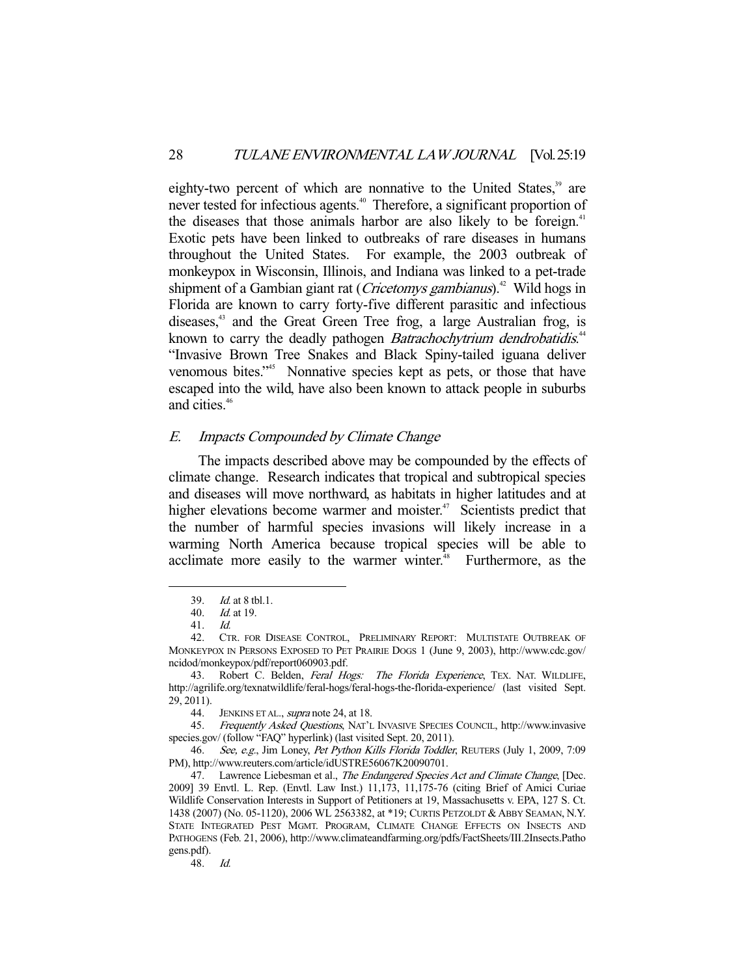eighty-two percent of which are nonnative to the United States,<sup>39</sup> are never tested for infectious agents.<sup>40</sup> Therefore, a significant proportion of the diseases that those animals harbor are also likely to be foreign.<sup>41</sup> Exotic pets have been linked to outbreaks of rare diseases in humans throughout the United States. For example, the 2003 outbreak of monkeypox in Wisconsin, Illinois, and Indiana was linked to a pet-trade shipment of a Gambian giant rat (*Cricetomys gambianus*).<sup>42</sup> Wild hogs in Florida are known to carry forty-five different parasitic and infectious diseases,<sup>43</sup> and the Great Green Tree frog, a large Australian frog, is known to carry the deadly pathogen Batrachochytrium dendrobatidis.<sup>44</sup> "Invasive Brown Tree Snakes and Black Spiny-tailed iguana deliver venomous bites."<sup>45</sup> Nonnative species kept as pets, or those that have escaped into the wild, have also been known to attack people in suburbs and cities.<sup>46</sup>

## E. Impacts Compounded by Climate Change

 The impacts described above may be compounded by the effects of climate change. Research indicates that tropical and subtropical species and diseases will move northward, as habitats in higher latitudes and at higher elevations become warmer and moister.<sup>47</sup> Scientists predict that the number of harmful species invasions will likely increase in a warming North America because tropical species will be able to acclimate more easily to the warmer winter.<sup>48</sup> Furthermore, as the

 <sup>39.</sup> Id. at 8 tbl.1.

 <sup>40.</sup> Id. at 19.

 <sup>41.</sup> Id.

 <sup>42.</sup> CTR. FOR DISEASE CONTROL, PRELIMINARY REPORT: MULTISTATE OUTBREAK OF MONKEYPOX IN PERSONS EXPOSED TO PET PRAIRIE DOGS 1 (June 9, 2003), http://www.cdc.gov/ ncidod/monkeypox/pdf/report060903.pdf.

<sup>43.</sup> Robert C. Belden, Feral Hogs: The Florida Experience, TEX. NAT. WILDLIFE, http://agrilife.org/texnatwildlife/feral-hogs/feral-hogs-the-florida-experience/ (last visited Sept. 29, 2011).

<sup>44.</sup> JENKINS ET AL., *supra* note 24, at 18.

 <sup>45.</sup> Frequently Asked Questions, NAT'L INVASIVE SPECIES COUNCIL, http://www.invasive species.gov/ (follow "FAQ" hyperlink) (last visited Sept. 20, 2011).

<sup>46.</sup> See, e.g., Jim Loney, Pet Python Kills Florida Toddler, REUTERS (July 1, 2009, 7:09 PM), http://www.reuters.com/article/idUSTRE56067K20090701.

<sup>47.</sup> Lawrence Liebesman et al., The Endangered Species Act and Climate Change, [Dec. 2009] 39 Envtl. L. Rep. (Envtl. Law Inst.) 11,173, 11,175-76 (citing Brief of Amici Curiae Wildlife Conservation Interests in Support of Petitioners at 19, Massachusetts v. EPA, 127 S. Ct. 1438 (2007) (No. 05-1120), 2006 WL 2563382, at \*19; CURTIS PETZOLDT &ABBY SEAMAN, N.Y. STATE INTEGRATED PEST MGMT. PROGRAM, CLIMATE CHANGE EFFECTS ON INSECTS AND PATHOGENS (Feb. 21, 2006), http://www.climateandfarming.org/pdfs/FactSheets/III.2Insects.Patho gens.pdf).

 <sup>48.</sup> Id.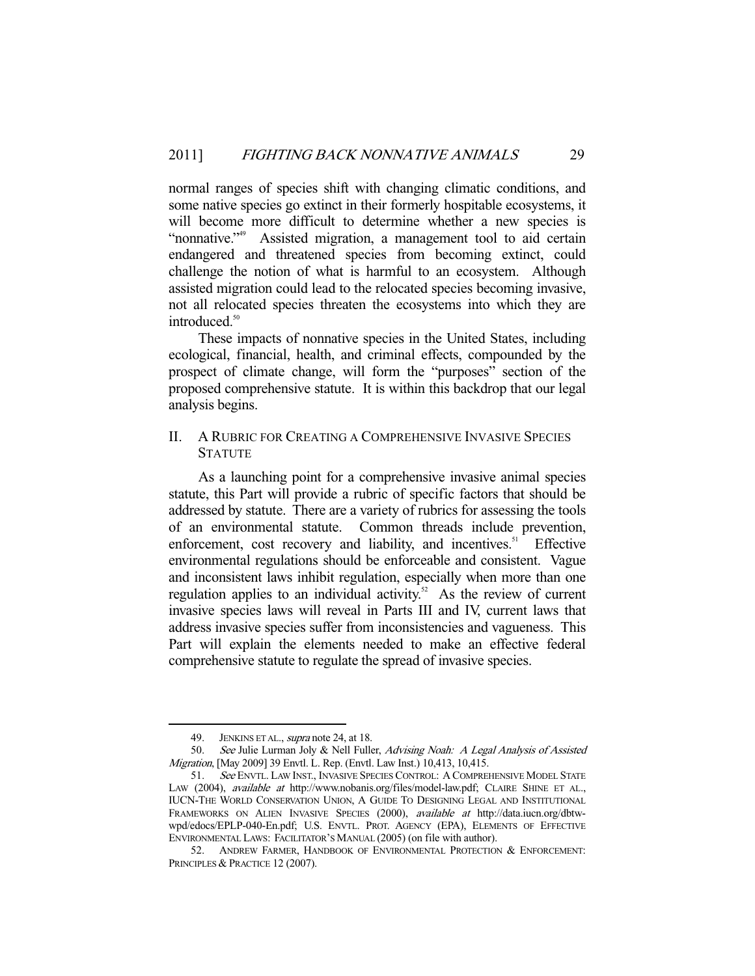normal ranges of species shift with changing climatic conditions, and some native species go extinct in their formerly hospitable ecosystems, it will become more difficult to determine whether a new species is "nonnative."<sup>49</sup> Assisted migration, a management tool to aid certain endangered and threatened species from becoming extinct, could challenge the notion of what is harmful to an ecosystem. Although assisted migration could lead to the relocated species becoming invasive, not all relocated species threaten the ecosystems into which they are introduced.<sup>50</sup>

 These impacts of nonnative species in the United States, including ecological, financial, health, and criminal effects, compounded by the prospect of climate change, will form the "purposes" section of the proposed comprehensive statute. It is within this backdrop that our legal analysis begins.

## II. A RUBRIC FOR CREATING A COMPREHENSIVE INVASIVE SPECIES **STATUTE**

 As a launching point for a comprehensive invasive animal species statute, this Part will provide a rubric of specific factors that should be addressed by statute. There are a variety of rubrics for assessing the tools of an environmental statute. Common threads include prevention, enforcement, cost recovery and liability, and incentives.<sup>51</sup> Effective environmental regulations should be enforceable and consistent. Vague and inconsistent laws inhibit regulation, especially when more than one regulation applies to an individual activity.<sup>52</sup> As the review of current invasive species laws will reveal in Parts III and IV, current laws that address invasive species suffer from inconsistencies and vagueness. This Part will explain the elements needed to make an effective federal comprehensive statute to regulate the spread of invasive species.

 <sup>49.</sup> JENKINS ET AL., supra note 24, at 18.

<sup>50.</sup> See Julie Lurman Joly & Nell Fuller, Advising Noah: A Legal Analysis of Assisted Migration, [May 2009] 39 Envtl. L. Rep. (Envtl. Law Inst.) 10,413, 10,415.

 <sup>51.</sup> See ENVTL. LAW INST., INVASIVE SPECIES CONTROL: A COMPREHENSIVE MODEL STATE LAW (2004), available at http://www.nobanis.org/files/model-law.pdf; CLAIRE SHINE ET AL., IUCN-THE WORLD CONSERVATION UNION, A GUIDE TO DESIGNING LEGAL AND INSTITUTIONAL FRAMEWORKS ON ALIEN INVASIVE SPECIES (2000), available at http://data.iucn.org/dbtwwpd/edocs/EPLP-040-En.pdf; U.S. ENVTL. PROT. AGENCY (EPA), ELEMENTS OF EFFECTIVE ENVIRONMENTAL LAWS: FACILITATOR'S MANUAL (2005) (on file with author).

 <sup>52.</sup> ANDREW FARMER, HANDBOOK OF ENVIRONMENTAL PROTECTION & ENFORCEMENT: PRINCIPLES & PRACTICE 12 (2007).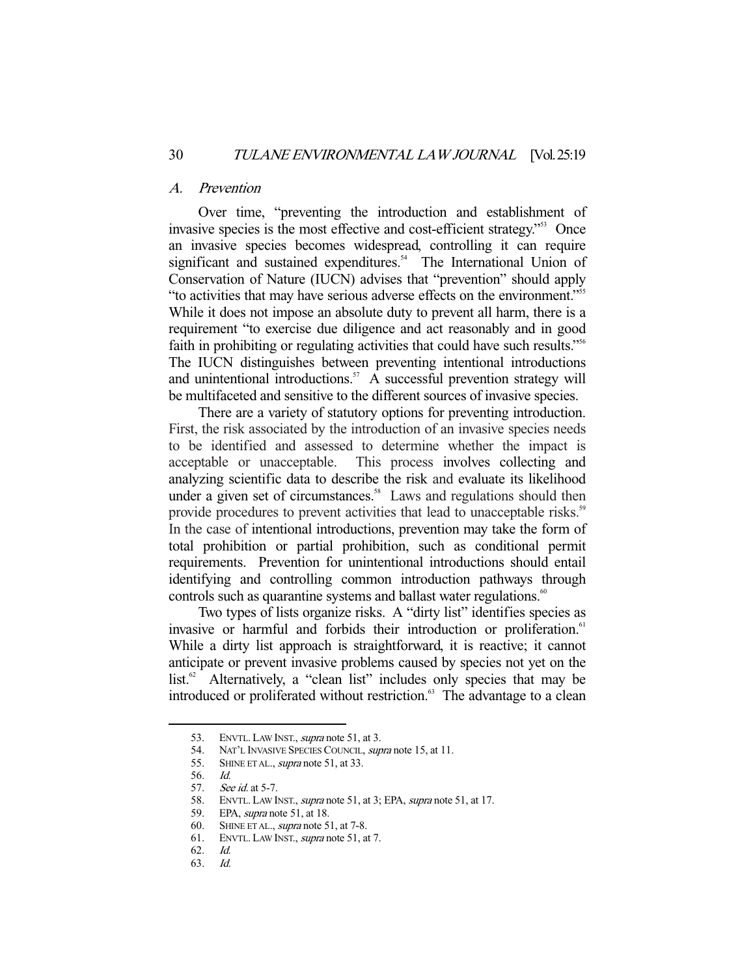#### A. Prevention

 Over time, "preventing the introduction and establishment of invasive species is the most effective and cost-efficient strategy."53 Once an invasive species becomes widespread, controlling it can require significant and sustained expenditures.<sup>54</sup> The International Union of Conservation of Nature (IUCN) advises that "prevention" should apply "to activities that may have serious adverse effects on the environment."55 While it does not impose an absolute duty to prevent all harm, there is a requirement "to exercise due diligence and act reasonably and in good faith in prohibiting or regulating activities that could have such results."<sup>556</sup> The IUCN distinguishes between preventing intentional introductions and unintentional introductions. $57$  A successful prevention strategy will be multifaceted and sensitive to the different sources of invasive species.

 There are a variety of statutory options for preventing introduction. First, the risk associated by the introduction of an invasive species needs to be identified and assessed to determine whether the impact is acceptable or unacceptable. This process involves collecting and analyzing scientific data to describe the risk and evaluate its likelihood under a given set of circumstances.<sup>58</sup> Laws and regulations should then provide procedures to prevent activities that lead to unacceptable risks.<sup>59</sup> In the case of intentional introductions, prevention may take the form of total prohibition or partial prohibition, such as conditional permit requirements. Prevention for unintentional introductions should entail identifying and controlling common introduction pathways through controls such as quarantine systems and ballast water regulations.<sup>60</sup>

 Two types of lists organize risks. A "dirty list" identifies species as invasive or harmful and forbids their introduction or proliferation.<sup>61</sup> While a dirty list approach is straightforward, it is reactive; it cannot anticipate or prevent invasive problems caused by species not yet on the list. $62$  Alternatively, a "clean list" includes only species that may be introduced or proliferated without restriction.<sup>63</sup> The advantage to a clean

<sup>53.</sup> ENVTL. LAW INST., *supra* note 51, at 3.

<sup>54.</sup> NAT'L INVASIVE SPECIES COUNCIL, *supra* note 15, at 11.

<sup>55.</sup> SHINE ET AL., *supra* note 51, at 33.

 <sup>56.</sup> Id.

<sup>57.</sup> *See id.* at 5-7.

<sup>58.</sup> ENVTL. LAW INST., *supra* note 51, at 3; EPA, *supra* note 51, at 17.

<sup>59.</sup> EPA, *supra* note 51, at 18.<br>60. SHINE ET AL., *supra* note 5

SHINE ET AL., *supra* note 51, at 7-8.

<sup>61.</sup> ENVTL. LAW INST., *supra* note 51, at 7.

 <sup>62.</sup> Id.

 <sup>63.</sup> Id.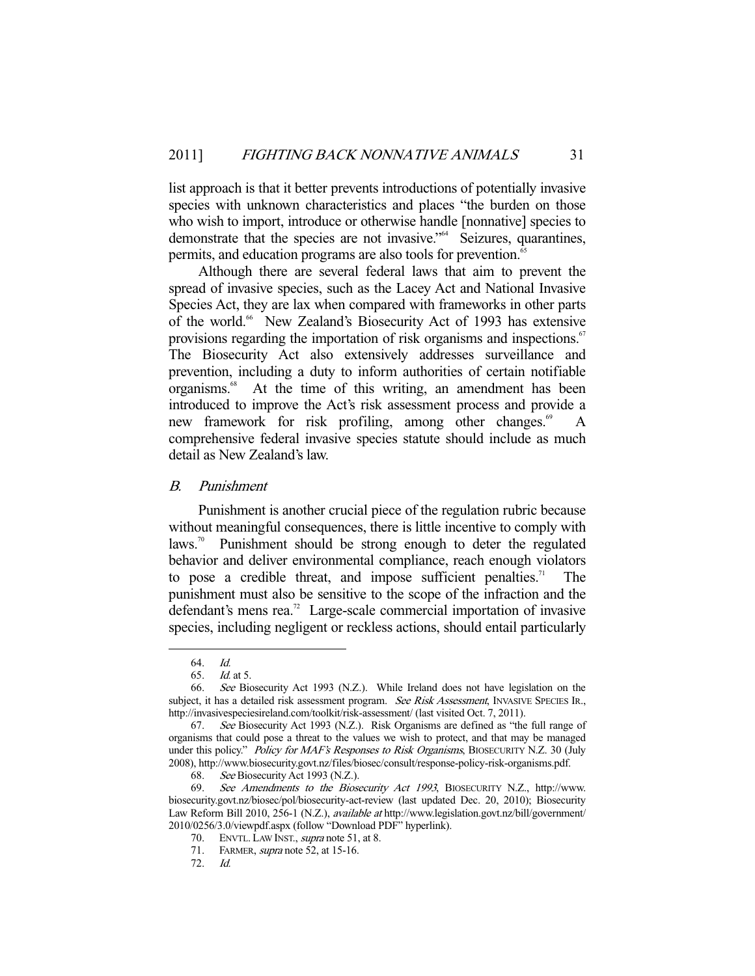list approach is that it better prevents introductions of potentially invasive species with unknown characteristics and places "the burden on those who wish to import, introduce or otherwise handle [nonnative] species to demonstrate that the species are not invasive."<sup>64</sup> Seizures, quarantines, permits, and education programs are also tools for prevention.<sup>65</sup>

 Although there are several federal laws that aim to prevent the spread of invasive species, such as the Lacey Act and National Invasive Species Act, they are lax when compared with frameworks in other parts of the world.<sup>66</sup> New Zealand's Biosecurity Act of 1993 has extensive provisions regarding the importation of risk organisms and inspections.<sup>67</sup> The Biosecurity Act also extensively addresses surveillance and prevention, including a duty to inform authorities of certain notifiable organisms.<sup>68</sup> At the time of this writing, an amendment has been introduced to improve the Act's risk assessment process and provide a new framework for risk profiling, among other changes.<sup>69</sup> A comprehensive federal invasive species statute should include as much detail as New Zealand's law.

## B. Punishment

 Punishment is another crucial piece of the regulation rubric because without meaningful consequences, there is little incentive to comply with laws.<sup>70</sup> Punishment should be strong enough to deter the regulated behavior and deliver environmental compliance, reach enough violators to pose a credible threat, and impose sufficient penalties.<sup>71</sup> The punishment must also be sensitive to the scope of the infraction and the  $d$ efendant's mens rea.<sup>72</sup> Large-scale commercial importation of invasive species, including negligent or reckless actions, should entail particularly

 <sup>64.</sup> Id.

 <sup>65.</sup> Id. at 5.

 <sup>66.</sup> See Biosecurity Act 1993 (N.Z.). While Ireland does not have legislation on the subject, it has a detailed risk assessment program. See Risk Assessment, INVASIVE SPECIES IR., http://invasivespeciesireland.com/toolkit/risk-assessment/ (last visited Oct. 7, 2011).

 <sup>67.</sup> See Biosecurity Act 1993 (N.Z.). Risk Organisms are defined as "the full range of organisms that could pose a threat to the values we wish to protect, and that may be managed under this policy." Policy for MAF's Responses to Risk Organisms, BIOSECURITY N.Z. 30 (July 2008), http://www.biosecurity.govt.nz/files/biosec/consult/response-policy-risk-organisms.pdf.

 <sup>68.</sup> See Biosecurity Act 1993 (N.Z.).

 <sup>69.</sup> See Amendments to the Biosecurity Act 1993, BIOSECURITY N.Z., http://www. biosecurity.govt.nz/biosec/pol/biosecurity-act-review (last updated Dec. 20, 2010); Biosecurity Law Reform Bill 2010, 256-1 (N.Z.), available at http://www.legislation.govt.nz/bill/government/ 2010/0256/3.0/viewpdf.aspx (follow "Download PDF" hyperlink).

<sup>70.</sup> ENVTL. LAW INST., supra note 51, at 8.

 <sup>71.</sup> FARMER, supra note 52, at 15-16.

 <sup>72.</sup> Id.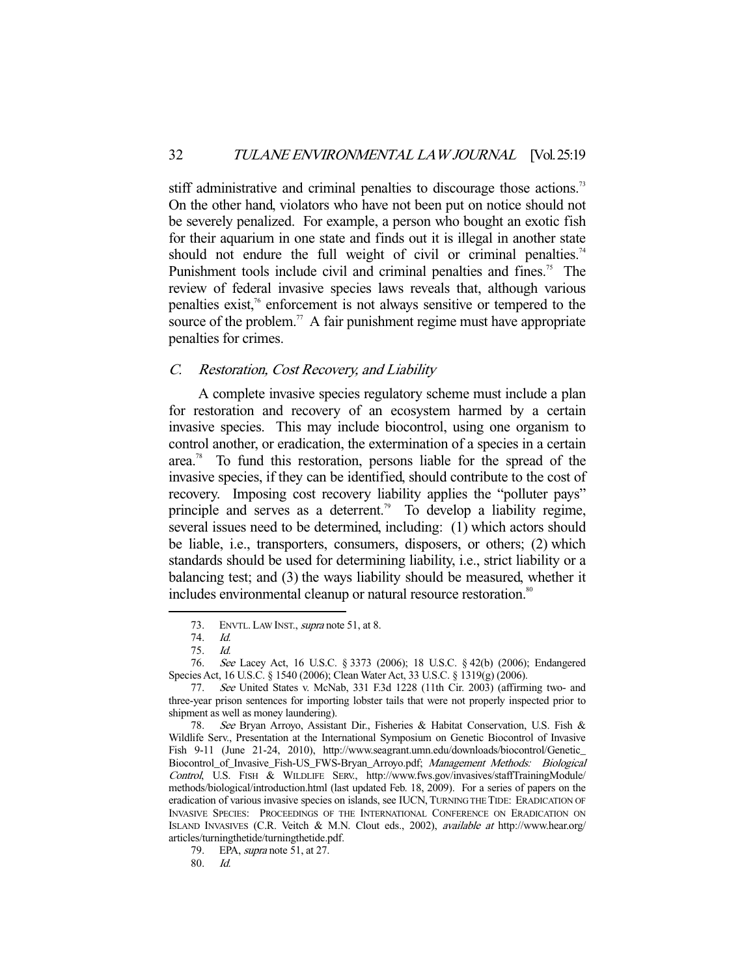stiff administrative and criminal penalties to discourage those actions.<sup>73</sup> On the other hand, violators who have not been put on notice should not be severely penalized. For example, a person who bought an exotic fish for their aquarium in one state and finds out it is illegal in another state should not endure the full weight of civil or criminal penalties.<sup>74</sup> Punishment tools include civil and criminal penalties and fines.<sup>75</sup> The review of federal invasive species laws reveals that, although various penalties exist, $\alpha$ <sup>6</sup> enforcement is not always sensitive or tempered to the source of the problem.<sup>77</sup> A fair punishment regime must have appropriate penalties for crimes.

## C. Restoration, Cost Recovery, and Liability

 A complete invasive species regulatory scheme must include a plan for restoration and recovery of an ecosystem harmed by a certain invasive species. This may include biocontrol, using one organism to control another, or eradication, the extermination of a species in a certain area.78 To fund this restoration, persons liable for the spread of the invasive species, if they can be identified, should contribute to the cost of recovery. Imposing cost recovery liability applies the "polluter pays" principle and serves as a deterrent.<sup>79</sup> To develop a liability regime, several issues need to be determined, including: (1) which actors should be liable, i.e., transporters, consumers, disposers, or others; (2) which standards should be used for determining liability, i.e., strict liability or a balancing test; and (3) the ways liability should be measured, whether it includes environmental cleanup or natural resource restoration.<sup>80</sup>

-

79. EPA, supra note 51, at 27.

80. Id.

<sup>73.</sup> ENVTL. LAW INST., *supra* note 51, at 8.

 <sup>74.</sup> Id.

 <sup>75.</sup> Id.

 <sup>76.</sup> See Lacey Act, 16 U.S.C. § 3373 (2006); 18 U.S.C. § 42(b) (2006); Endangered Species Act, 16 U.S.C. § 1540 (2006); Clean Water Act, 33 U.S.C. § 1319(g) (2006).

 <sup>77.</sup> See United States v. McNab, 331 F.3d 1228 (11th Cir. 2003) (affirming two- and three-year prison sentences for importing lobster tails that were not properly inspected prior to shipment as well as money laundering).

 <sup>78.</sup> See Bryan Arroyo, Assistant Dir., Fisheries & Habitat Conservation, U.S. Fish & Wildlife Serv., Presentation at the International Symposium on Genetic Biocontrol of Invasive Fish 9-11 (June 21-24, 2010), http://www.seagrant.umn.edu/downloads/biocontrol/Genetic\_ Biocontrol\_of\_Invasive\_Fish-US\_FWS-Bryan\_Arroyo.pdf; Management Methods: Biological Control, U.S. FISH & WILDLIFE SERV., http://www.fws.gov/invasives/staffTrainingModule/ methods/biological/introduction.html (last updated Feb. 18, 2009). For a series of papers on the eradication of various invasive species on islands, see IUCN, TURNING THE TIDE: ERADICATION OF INVASIVE SPECIES: PROCEEDINGS OF THE INTERNATIONAL CONFERENCE ON ERADICATION ON ISLAND INVASIVES (C.R. Veitch & M.N. Clout eds., 2002), available at http://www.hear.org/ articles/turningthetide/turningthetide.pdf.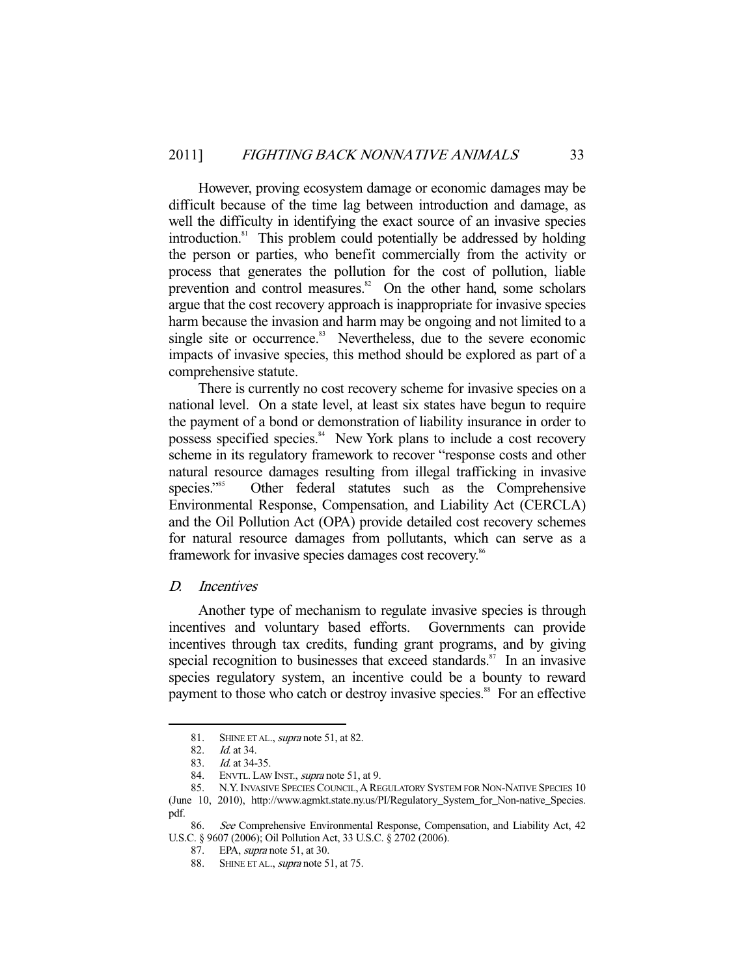However, proving ecosystem damage or economic damages may be difficult because of the time lag between introduction and damage, as well the difficulty in identifying the exact source of an invasive species introduction.<sup>81</sup> This problem could potentially be addressed by holding the person or parties, who benefit commercially from the activity or process that generates the pollution for the cost of pollution, liable prevention and control measures. $82$  On the other hand, some scholars argue that the cost recovery approach is inappropriate for invasive species harm because the invasion and harm may be ongoing and not limited to a single site or occurrence.<sup>83</sup> Nevertheless, due to the severe economic impacts of invasive species, this method should be explored as part of a comprehensive statute.

 There is currently no cost recovery scheme for invasive species on a national level. On a state level, at least six states have begun to require the payment of a bond or demonstration of liability insurance in order to possess specified species.<sup>84</sup> New York plans to include a cost recovery scheme in its regulatory framework to recover "response costs and other natural resource damages resulting from illegal trafficking in invasive species."<sup>85</sup> Other federal statutes such as the Comprehensive Environmental Response, Compensation, and Liability Act (CERCLA) and the Oil Pollution Act (OPA) provide detailed cost recovery schemes for natural resource damages from pollutants, which can serve as a framework for invasive species damages cost recovery.<sup>86</sup>

#### D. Incentives

 Another type of mechanism to regulate invasive species is through incentives and voluntary based efforts. Governments can provide incentives through tax credits, funding grant programs, and by giving special recognition to businesses that exceed standards. $\frac{87}{10}$  In an invasive species regulatory system, an incentive could be a bounty to reward payment to those who catch or destroy invasive species.<sup>88</sup> For an effective

<sup>81.</sup> SHINE ET AL., *supra* note 51, at 82.

 <sup>82.</sup> Id. at 34.

<sup>83.</sup> *Id.* at 34-35.

<sup>84.</sup> ENVTL. LAW INST., *supra* note 51, at 9.

 <sup>85.</sup> N.Y.INVASIVE SPECIES COUNCIL,A REGULATORY SYSTEM FOR NON-NATIVE SPECIES 10 (June 10, 2010), http://www.agmkt.state.ny.us/PI/Regulatory\_System\_for\_Non-native\_Species. pdf.

<sup>86.</sup> See Comprehensive Environmental Response, Compensation, and Liability Act, 42 U.S.C. § 9607 (2006); Oil Pollution Act, 33 U.S.C. § 2702 (2006).

 <sup>87.</sup> EPA, supra note 51, at 30.

<sup>88.</sup> SHINE ET AL., *supra* note 51, at 75.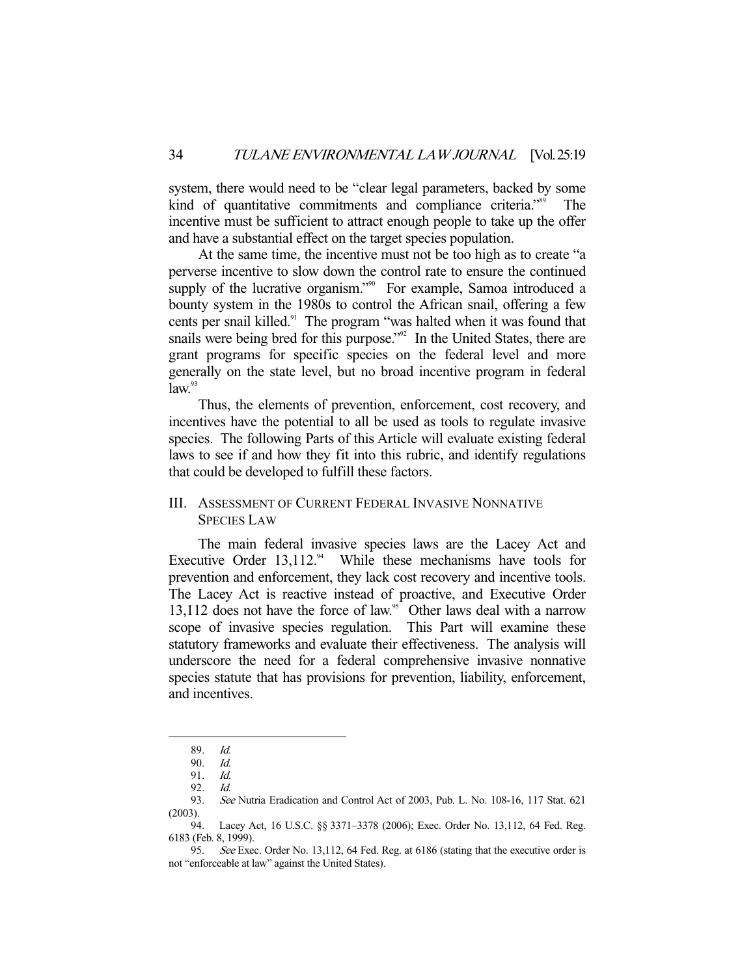system, there would need to be "clear legal parameters, backed by some kind of quantitative commitments and compliance criteria."<sup>89</sup> The incentive must be sufficient to attract enough people to take up the offer and have a substantial effect on the target species population.

 At the same time, the incentive must not be too high as to create "a perverse incentive to slow down the control rate to ensure the continued supply of the lucrative organism."<sup>90</sup> For example, Samoa introduced a bounty system in the 1980s to control the African snail, offering a few cents per snail killed.<sup>91</sup> The program "was halted when it was found that snails were being bred for this purpose."<sup>92</sup> In the United States, there are grant programs for specific species on the federal level and more generally on the state level, but no broad incentive program in federal  $\overline{\text{law}}^{93}$ 

 Thus, the elements of prevention, enforcement, cost recovery, and incentives have the potential to all be used as tools to regulate invasive species. The following Parts of this Article will evaluate existing federal laws to see if and how they fit into this rubric, and identify regulations that could be developed to fulfill these factors.

## III. ASSESSMENT OF CURRENT FEDERAL INVASIVE NONNATIVE SPECIES LAW

 The main federal invasive species laws are the Lacey Act and Executive Order  $13,112.^{94}$  While these mechanisms have tools for prevention and enforcement, they lack cost recovery and incentive tools. The Lacey Act is reactive instead of proactive, and Executive Order 13,112 does not have the force of law.<sup>95</sup> Other laws deal with a narrow scope of invasive species regulation. This Part will examine these statutory frameworks and evaluate their effectiveness. The analysis will underscore the need for a federal comprehensive invasive nonnative species statute that has provisions for prevention, liability, enforcement, and incentives.

 <sup>89.</sup> Id.

 <sup>90.</sup> Id.

<sup>91.</sup> *Id.*<br>92. *Id.* 92.

<sup>93.</sup> See Nutria Eradication and Control Act of 2003, Pub. L. No. 108-16, 117 Stat. 621 (2003).

 <sup>94.</sup> Lacey Act, 16 U.S.C. §§ 3371–3378 (2006); Exec. Order No. 13,112, 64 Fed. Reg. 6183 (Feb. 8, 1999).

<sup>95.</sup> See Exec. Order No. 13,112, 64 Fed. Reg. at 6186 (stating that the executive order is not "enforceable at law" against the United States).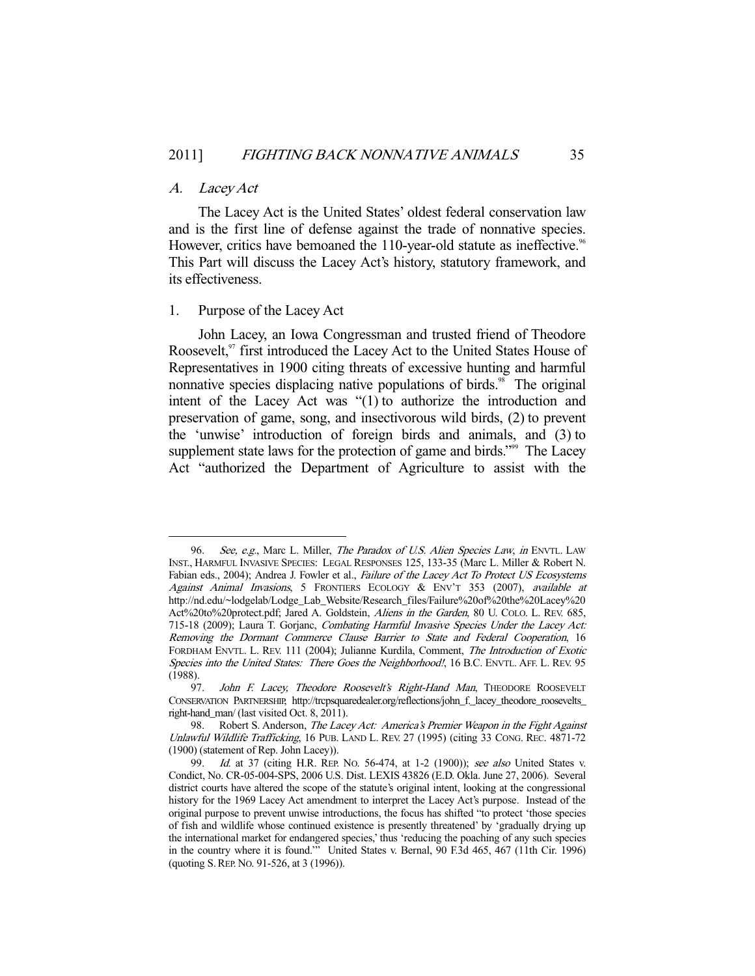## A. Lacey Act

 The Lacey Act is the United States' oldest federal conservation law and is the first line of defense against the trade of nonnative species. However, critics have bemoaned the 110-year-old statute as ineffective.<sup>96</sup> This Part will discuss the Lacey Act's history, statutory framework, and its effectiveness.

#### 1. Purpose of the Lacey Act

 John Lacey, an Iowa Congressman and trusted friend of Theodore Roosevelt,<sup>97</sup> first introduced the Lacey Act to the United States House of Representatives in 1900 citing threats of excessive hunting and harmful nonnative species displacing native populations of birds.<sup>98</sup> The original intent of the Lacey Act was "(1) to authorize the introduction and preservation of game, song, and insectivorous wild birds, (2) to prevent the 'unwise' introduction of foreign birds and animals, and (3) to supplement state laws for the protection of game and birds."<sup>99</sup> The Lacey Act "authorized the Department of Agriculture to assist with the

<sup>-</sup>96. See, e.g., Marc L. Miller, The Paradox of U.S. Alien Species Law, in ENVTL. LAW INST., HARMFUL INVASIVE SPECIES: LEGAL RESPONSES 125, 133-35 (Marc L. Miller & Robert N. Fabian eds., 2004); Andrea J. Fowler et al., *Failure of the Lacey Act To Protect US Ecosystems* Against Animal Invasions, 5 FRONTIERS ECOLOGY & ENV'T 353 (2007), available at http://nd.edu/~lodgelab/Lodge\_Lab\_Website/Research\_files/Failure%20of%20the%20Lacey%20 Act%20to%20protect.pdf; Jared A. Goldstein, Aliens in the Garden, 80 U. COLO. L. REV. 685, 715-18 (2009); Laura T. Gorjanc, Combating Harmful Invasive Species Under the Lacey Act: Removing the Dormant Commerce Clause Barrier to State and Federal Cooperation, 16 FORDHAM ENVTL. L. REV. 111 (2004); Julianne Kurdila, Comment, The Introduction of Exotic Species into the United States: There Goes the Neighborhood!, 16 B.C. ENVTL. AFF. L. REV. 95 (1988).

<sup>97.</sup> John F. Lacey, Theodore Roosevelt's Right-Hand Man, THEODORE ROOSEVELT CONSERVATION PARTNERSHIP, http://trcpsquaredealer.org/reflections/john\_f.\_lacey\_theodore\_roosevelts\_ right-hand\_man/ (last visited Oct. 8, 2011).

<sup>98.</sup> Robert S. Anderson, *The Lacey Act: America's Premier Weapon in the Fight Against* Unlawful Wildlife Trafficking, 16 PUB. LAND L. REV. 27 (1995) (citing 33 CONG. REC. 4871-72 (1900) (statement of Rep. John Lacey)).

<sup>99.</sup> Id. at 37 (citing H.R. REP. No. 56-474, at 1-2 (1900)); see also United States v. Condict, No. CR-05-004-SPS, 2006 U.S. Dist. LEXIS 43826 (E.D. Okla. June 27, 2006). Several district courts have altered the scope of the statute's original intent, looking at the congressional history for the 1969 Lacey Act amendment to interpret the Lacey Act's purpose. Instead of the original purpose to prevent unwise introductions, the focus has shifted "to protect 'those species of fish and wildlife whose continued existence is presently threatened' by 'gradually drying up the international market for endangered species,' thus 'reducing the poaching of any such species in the country where it is found.'" United States v. Bernal, 90 F.3d 465, 467 (11th Cir. 1996) (quoting S.REP. NO. 91-526, at 3 (1996)).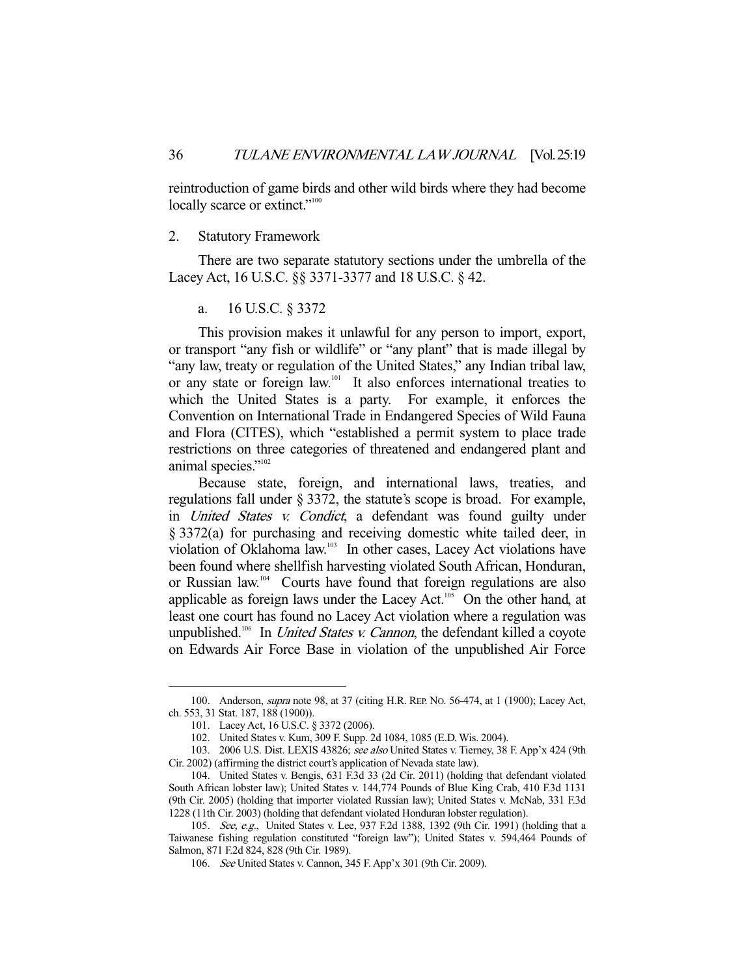reintroduction of game birds and other wild birds where they had become locally scarce or extinct."<sup>100</sup>

#### 2. Statutory Framework

 There are two separate statutory sections under the umbrella of the Lacey Act, 16 U.S.C. §§ 3371-3377 and 18 U.S.C. § 42.

# a. 16 U.S.C. § 3372

 This provision makes it unlawful for any person to import, export, or transport "any fish or wildlife" or "any plant" that is made illegal by "any law, treaty or regulation of the United States," any Indian tribal law, or any state or foreign law.101 It also enforces international treaties to which the United States is a party. For example, it enforces the Convention on International Trade in Endangered Species of Wild Fauna and Flora (CITES), which "established a permit system to place trade restrictions on three categories of threatened and endangered plant and animal species."<sup>102</sup>

 Because state, foreign, and international laws, treaties, and regulations fall under § 3372, the statute's scope is broad. For example, in United States v. Condict, a defendant was found guilty under § 3372(a) for purchasing and receiving domestic white tailed deer, in violation of Oklahoma law.<sup>103</sup> In other cases, Lacey Act violations have been found where shellfish harvesting violated South African, Honduran, or Russian law.104 Courts have found that foreign regulations are also applicable as foreign laws under the Lacey Act.<sup>105</sup> On the other hand, at least one court has found no Lacey Act violation where a regulation was unpublished.<sup>106</sup> In *United States v. Cannon*, the defendant killed a coyote on Edwards Air Force Base in violation of the unpublished Air Force

 <sup>100.</sup> Anderson, supra note 98, at 37 (citing H.R. REP. NO. 56-474, at 1 (1900); Lacey Act, ch. 553, 31 Stat. 187, 188 (1900)).

 <sup>101.</sup> Lacey Act, 16 U.S.C. § 3372 (2006).

 <sup>102.</sup> United States v. Kum, 309 F. Supp. 2d 1084, 1085 (E.D. Wis. 2004).

<sup>103. 2006</sup> U.S. Dist. LEXIS 43826; see also United States v. Tierney, 38 F. App'x 424 (9th Cir. 2002) (affirming the district court's application of Nevada state law).

 <sup>104.</sup> United States v. Bengis, 631 F.3d 33 (2d Cir. 2011) (holding that defendant violated South African lobster law); United States v. 144,774 Pounds of Blue King Crab, 410 F.3d 1131 (9th Cir. 2005) (holding that importer violated Russian law); United States v. McNab, 331 F.3d 1228 (11th Cir. 2003) (holding that defendant violated Honduran lobster regulation).

<sup>105.</sup> See, e.g., United States v. Lee, 937 F.2d 1388, 1392 (9th Cir. 1991) (holding that a Taiwanese fishing regulation constituted "foreign law"); United States v. 594,464 Pounds of Salmon, 871 F.2d 824, 828 (9th Cir. 1989).

 <sup>106.</sup> See United States v. Cannon, 345 F. App'x 301 (9th Cir. 2009).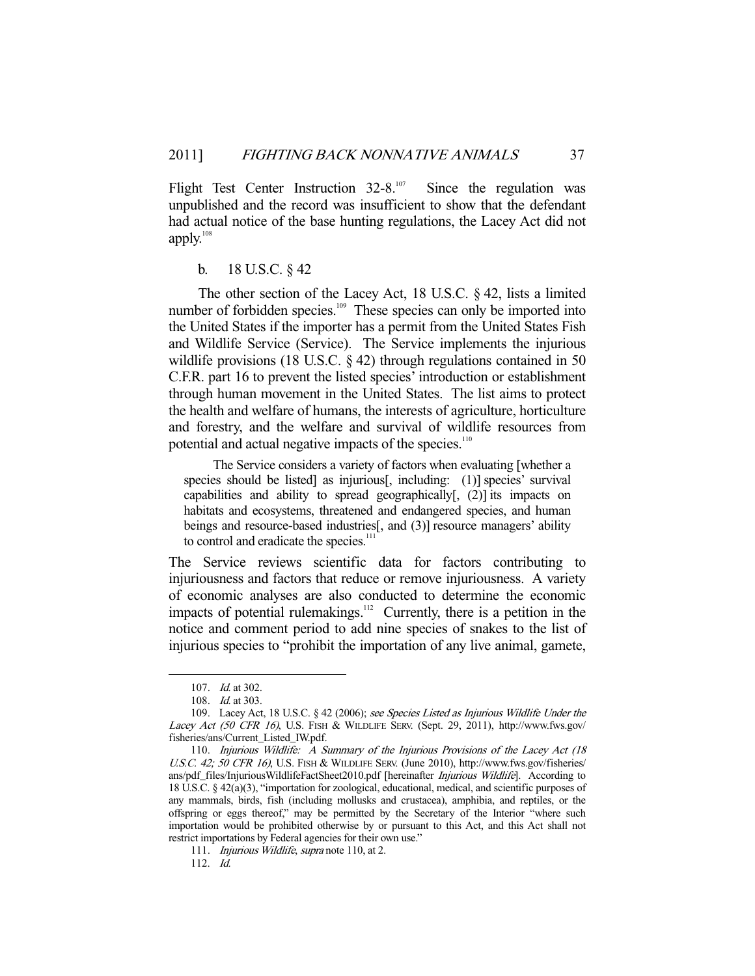Flight Test Center Instruction  $32-8$ .<sup>107</sup> Since the regulation was unpublished and the record was insufficient to show that the defendant had actual notice of the base hunting regulations, the Lacey Act did not apply. $108$ 

b. 18 U.S.C. § 42

 The other section of the Lacey Act, 18 U.S.C. § 42, lists a limited number of forbidden species.<sup>109</sup> These species can only be imported into the United States if the importer has a permit from the United States Fish and Wildlife Service (Service). The Service implements the injurious wildlife provisions (18 U.S.C. § 42) through regulations contained in 50 C.F.R. part 16 to prevent the listed species' introduction or establishment through human movement in the United States. The list aims to protect the health and welfare of humans, the interests of agriculture, horticulture and forestry, and the welfare and survival of wildlife resources from potential and actual negative impacts of the species.<sup>110</sup>

 The Service considers a variety of factors when evaluating [whether a species should be listed] as injurious[, including: (1)] species' survival capabilities and ability to spread geographically[, (2)] its impacts on habitats and ecosystems, threatened and endangered species, and human beings and resource-based industries[, and (3)] resource managers' ability to control and eradicate the species.<sup>111</sup>

The Service reviews scientific data for factors contributing to injuriousness and factors that reduce or remove injuriousness. A variety of economic analyses are also conducted to determine the economic impacts of potential rulemakings.<sup>112</sup> Currently, there is a petition in the notice and comment period to add nine species of snakes to the list of injurious species to "prohibit the importation of any live animal, gamete,

 <sup>107.</sup> Id. at 302.

<sup>108.</sup> *Id.* at 303.

 <sup>109.</sup> Lacey Act, 18 U.S.C. § 42 (2006); see Species Listed as Injurious Wildlife Under the Lacey Act (50 CFR 16), U.S. FISH & WILDLIFE SERV. (Sept. 29, 2011), http://www.fws.gov/ fisheries/ans/Current\_Listed\_IW.pdf.

 <sup>110.</sup> Injurious Wildlife: A Summary of the Injurious Provisions of the Lacey Act (18 U.S.C. 42; 50 CFR 16), U.S. FISH & WILDLIFE SERV. (June 2010), http://www.fws.gov/fisheries/ ans/pdf\_files/InjuriousWildlifeFactSheet2010.pdf [hereinafter *Injurious Wildlife*]. According to 18 U.S.C. § 42(a)(3), "importation for zoological, educational, medical, and scientific purposes of any mammals, birds, fish (including mollusks and crustacea), amphibia, and reptiles, or the offspring or eggs thereof," may be permitted by the Secretary of the Interior "where such importation would be prohibited otherwise by or pursuant to this Act, and this Act shall not restrict importations by Federal agencies for their own use."

<sup>111.</sup> Injurious Wildlife, supra note 110, at 2.

 <sup>112.</sup> Id.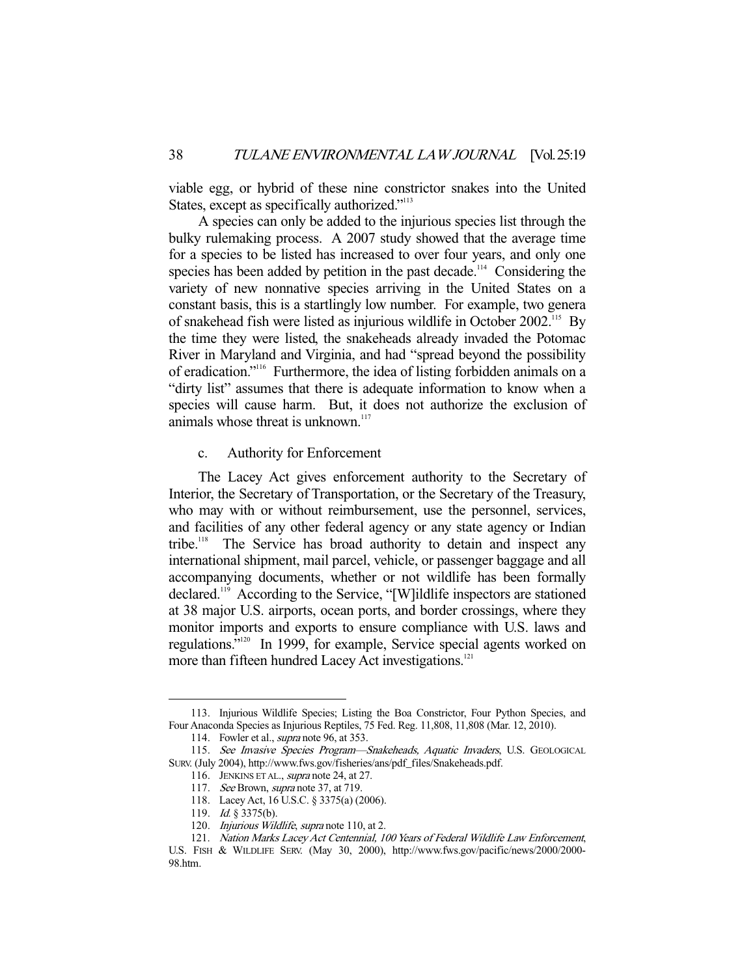viable egg, or hybrid of these nine constrictor snakes into the United States, except as specifically authorized."<sup>113</sup>

 A species can only be added to the injurious species list through the bulky rulemaking process. A 2007 study showed that the average time for a species to be listed has increased to over four years, and only one species has been added by petition in the past decade.<sup>114</sup> Considering the variety of new nonnative species arriving in the United States on a constant basis, this is a startlingly low number. For example, two genera of snakehead fish were listed as injurious wildlife in October 2002.115 By the time they were listed, the snakeheads already invaded the Potomac River in Maryland and Virginia, and had "spread beyond the possibility of eradication."116 Furthermore, the idea of listing forbidden animals on a "dirty list" assumes that there is adequate information to know when a species will cause harm. But, it does not authorize the exclusion of animals whose threat is unknown.<sup>117</sup>

## c. Authority for Enforcement

 The Lacey Act gives enforcement authority to the Secretary of Interior, the Secretary of Transportation, or the Secretary of the Treasury, who may with or without reimbursement, use the personnel, services, and facilities of any other federal agency or any state agency or Indian tribe.<sup>118</sup> The Service has broad authority to detain and inspect any international shipment, mail parcel, vehicle, or passenger baggage and all accompanying documents, whether or not wildlife has been formally declared.119 According to the Service, "[W]ildlife inspectors are stationed at 38 major U.S. airports, ocean ports, and border crossings, where they monitor imports and exports to ensure compliance with U.S. laws and regulations."120 In 1999, for example, Service special agents worked on more than fifteen hundred Lacey Act investigations.<sup>121</sup>

 <sup>113.</sup> Injurious Wildlife Species; Listing the Boa Constrictor, Four Python Species, and Four Anaconda Species as Injurious Reptiles, 75 Fed. Reg. 11,808, 11,808 (Mar. 12, 2010).

<sup>114.</sup> Fowler et al., *supra* note 96, at 353.

<sup>115.</sup> See Invasive Species Program-Snakeheads, Aquatic Invaders, U.S. GEOLOGICAL SURV. (July 2004), http://www.fws.gov/fisheries/ans/pdf\_files/Snakeheads.pdf.

<sup>116.</sup> JENKINS ET AL., *supra* note 24, at 27.

 <sup>117.</sup> See Brown, supra note 37, at 719.

 <sup>118.</sup> Lacey Act, 16 U.S.C. § 3375(a) (2006).

<sup>119.</sup> *Id.* § 3375(b).

<sup>120.</sup> Injurious Wildlife, supra note 110, at 2.

 <sup>121.</sup> Nation Marks Lacey Act Centennial, 100 Years of Federal Wildlife Law Enforcement, U.S. FISH & WILDLIFE SERV. (May 30, 2000), http://www.fws.gov/pacific/news/2000/2000- 98.htm.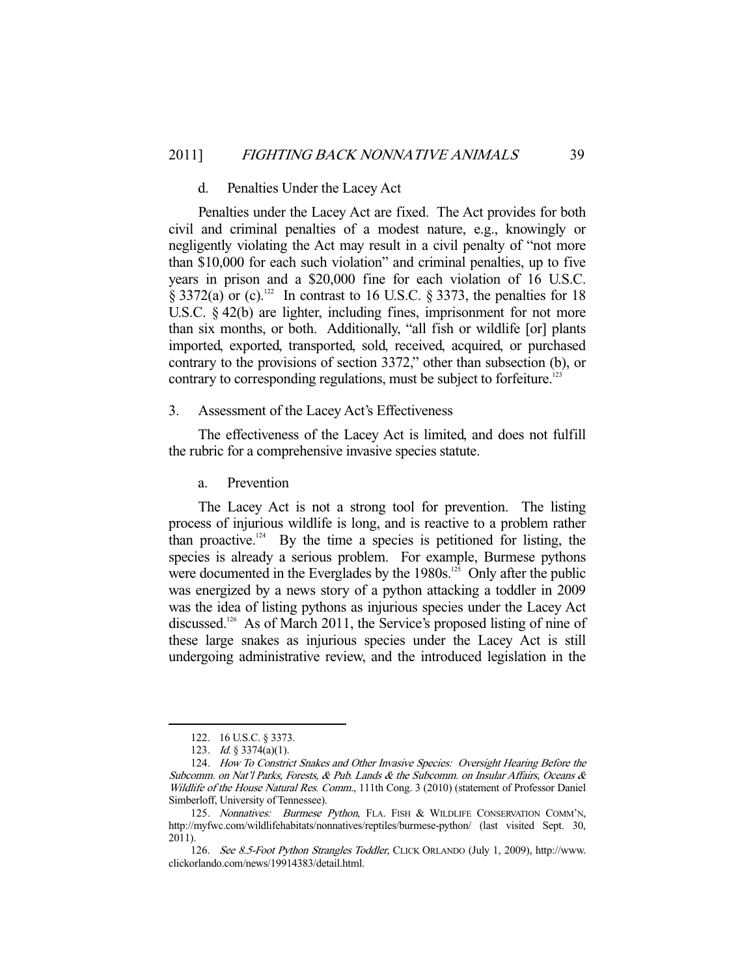#### d. Penalties Under the Lacey Act

 Penalties under the Lacey Act are fixed. The Act provides for both civil and criminal penalties of a modest nature, e.g., knowingly or negligently violating the Act may result in a civil penalty of "not more than \$10,000 for each such violation" and criminal penalties, up to five years in prison and a \$20,000 fine for each violation of 16 U.S.C.  $\S$  3372(a) or (c).<sup>122</sup> In contrast to 16 U.S.C.  $\S$  3373, the penalties for 18 U.S.C. § 42(b) are lighter, including fines, imprisonment for not more than six months, or both. Additionally, "all fish or wildlife [or] plants imported, exported, transported, sold, received, acquired, or purchased contrary to the provisions of section 3372," other than subsection (b), or contrary to corresponding regulations, must be subject to forfeiture.<sup>123</sup>

#### 3. Assessment of the Lacey Act's Effectiveness

 The effectiveness of the Lacey Act is limited, and does not fulfill the rubric for a comprehensive invasive species statute.

a. Prevention

 The Lacey Act is not a strong tool for prevention. The listing process of injurious wildlife is long, and is reactive to a problem rather than proactive.<sup>124</sup> By the time a species is petitioned for listing, the species is already a serious problem. For example, Burmese pythons were documented in the Everglades by the  $1980s$ .<sup>125</sup> Only after the public was energized by a news story of a python attacking a toddler in 2009 was the idea of listing pythons as injurious species under the Lacey Act discussed.<sup>126</sup> As of March 2011, the Service's proposed listing of nine of these large snakes as injurious species under the Lacey Act is still undergoing administrative review, and the introduced legislation in the

 <sup>122. 16</sup> U.S.C. § 3373.

<sup>123.</sup> *Id.* § 3374(a)(1).

 <sup>124.</sup> How To Constrict Snakes and Other Invasive Species: Oversight Hearing Before the Subcomm. on Nat'l Parks, Forests, & Pub. Lands & the Subcomm. on Insular Affairs, Oceans & Wildlife of the House Natural Res. Comm., 111th Cong. 3 (2010) (statement of Professor Daniel Simberloff, University of Tennessee).

<sup>125.</sup> Nonnatives: Burmese Python, FLA. FISH & WILDLIFE CONSERVATION COMM'N, http://myfwc.com/wildlifehabitats/nonnatives/reptiles/burmese-python/ (last visited Sept. 30, 2011).

 <sup>126.</sup> See 8.5-Foot Python Strangles Toddler, CLICK ORLANDO (July 1, 2009), http://www. clickorlando.com/news/19914383/detail.html.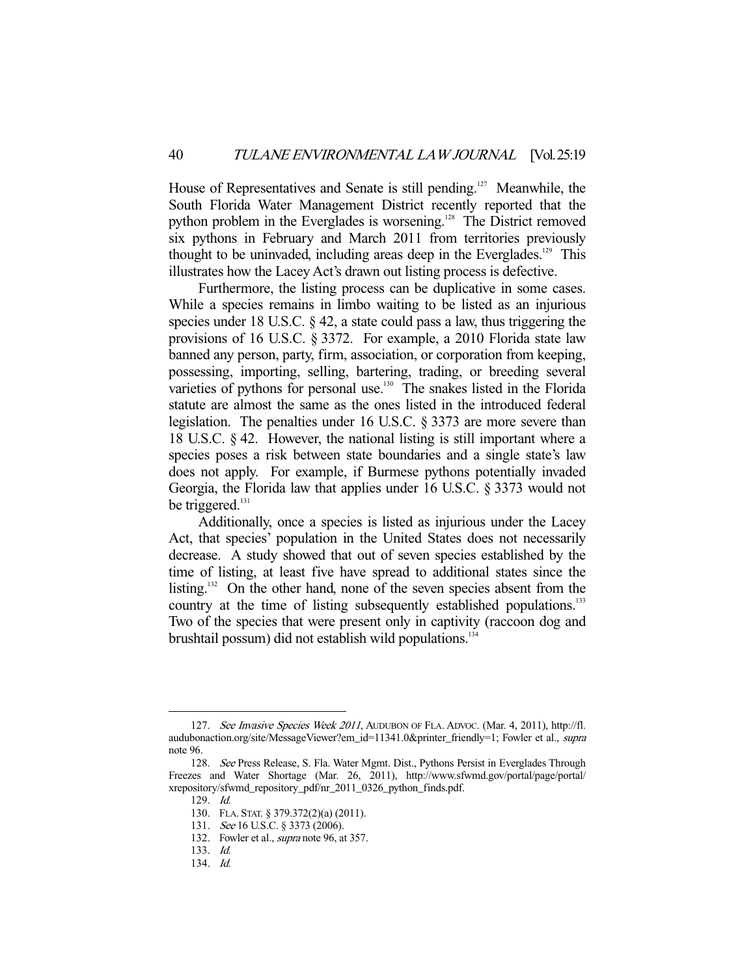House of Representatives and Senate is still pending.<sup>127</sup> Meanwhile, the South Florida Water Management District recently reported that the python problem in the Everglades is worsening.<sup>128</sup> The District removed six pythons in February and March 2011 from territories previously thought to be uninvaded, including areas deep in the Everglades.<sup>129</sup> This illustrates how the Lacey Act's drawn out listing process is defective.

 Furthermore, the listing process can be duplicative in some cases. While a species remains in limbo waiting to be listed as an injurious species under 18 U.S.C.  $\S$  42, a state could pass a law, thus triggering the provisions of 16 U.S.C. § 3372. For example, a 2010 Florida state law banned any person, party, firm, association, or corporation from keeping, possessing, importing, selling, bartering, trading, or breeding several varieties of pythons for personal use.<sup>130</sup> The snakes listed in the Florida statute are almost the same as the ones listed in the introduced federal legislation. The penalties under 16 U.S.C. § 3373 are more severe than 18 U.S.C. § 42. However, the national listing is still important where a species poses a risk between state boundaries and a single state's law does not apply. For example, if Burmese pythons potentially invaded Georgia, the Florida law that applies under 16 U.S.C. § 3373 would not be triggered. $131$ 

 Additionally, once a species is listed as injurious under the Lacey Act, that species' population in the United States does not necessarily decrease. A study showed that out of seven species established by the time of listing, at least five have spread to additional states since the listing.<sup>132</sup> On the other hand, none of the seven species absent from the country at the time of listing subsequently established populations.<sup>133</sup> Two of the species that were present only in captivity (raccoon dog and brushtail possum) did not establish wild populations.<sup>134</sup>

<sup>127.</sup> See Invasive Species Week 2011, AUDUBON OF FLA. ADVOC. (Mar. 4, 2011), http://fl. audubonaction.org/site/MessageViewer?em\_id=11341.0&printer\_friendly=1; Fowler et al., supra note 96.

<sup>128.</sup> See Press Release, S. Fla. Water Mgmt. Dist., Pythons Persist in Everglades Through Freezes and Water Shortage (Mar. 26, 2011), http://www.sfwmd.gov/portal/page/portal/ xrepository/sfwmd\_repository\_pdf/nr\_2011\_0326\_python\_finds.pdf.

 <sup>129.</sup> Id.

 <sup>130.</sup> FLA. STAT. § 379.372(2)(a) (2011).

<sup>131.</sup> See 16 U.S.C. § 3373 (2006).

<sup>132.</sup> Fowler et al., *supra* note 96, at 357.

 <sup>133.</sup> Id.

 <sup>134.</sup> Id.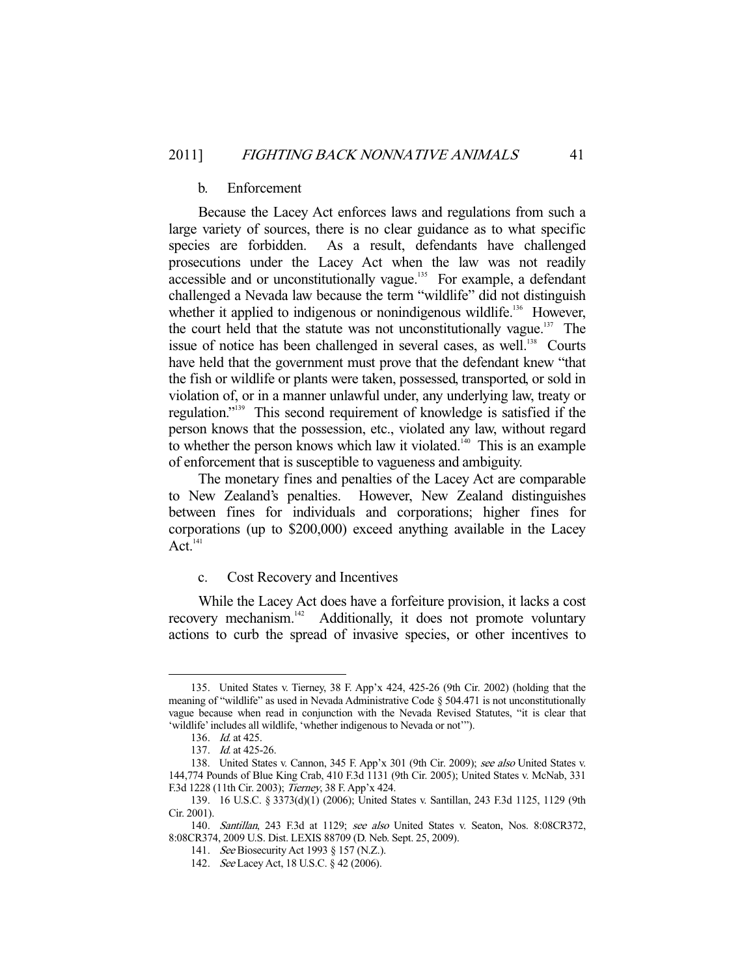#### b. Enforcement

 Because the Lacey Act enforces laws and regulations from such a large variety of sources, there is no clear guidance as to what specific species are forbidden. As a result, defendants have challenged prosecutions under the Lacey Act when the law was not readily accessible and or unconstitutionally vague.<sup>135</sup> For example, a defendant challenged a Nevada law because the term "wildlife" did not distinguish whether it applied to indigenous or nonindigenous wildlife.<sup>136</sup> However, the court held that the statute was not unconstitutionally vague.<sup>137</sup> The issue of notice has been challenged in several cases, as well.<sup>138</sup> Courts have held that the government must prove that the defendant knew "that the fish or wildlife or plants were taken, possessed, transported, or sold in violation of, or in a manner unlawful under, any underlying law, treaty or regulation."139 This second requirement of knowledge is satisfied if the person knows that the possession, etc., violated any law, without regard to whether the person knows which law it violated.<sup>140</sup> This is an example of enforcement that is susceptible to vagueness and ambiguity.

 The monetary fines and penalties of the Lacey Act are comparable to New Zealand's penalties. However, New Zealand distinguishes between fines for individuals and corporations; higher fines for corporations (up to \$200,000) exceed anything available in the Lacey Act. $141$ 

## c. Cost Recovery and Incentives

 While the Lacey Act does have a forfeiture provision, it lacks a cost recovery mechanism.<sup>142</sup> Additionally, it does not promote voluntary actions to curb the spread of invasive species, or other incentives to

 <sup>135.</sup> United States v. Tierney, 38 F. App'x 424, 425-26 (9th Cir. 2002) (holding that the meaning of "wildlife" as used in Nevada Administrative Code § 504.471 is not unconstitutionally vague because when read in conjunction with the Nevada Revised Statutes, "it is clear that 'wildlife' includes all wildlife, 'whether indigenous to Nevada or not'").

 <sup>136.</sup> Id. at 425.

 <sup>137.</sup> Id. at 425-26.

 <sup>138.</sup> United States v. Cannon, 345 F. App'x 301 (9th Cir. 2009); see also United States v. 144,774 Pounds of Blue King Crab, 410 F.3d 1131 (9th Cir. 2005); United States v. McNab, 331 F.3d 1228 (11th Cir. 2003); Tierney, 38 F. App'x 424.

 <sup>139. 16</sup> U.S.C. § 3373(d)(1) (2006); United States v. Santillan, 243 F.3d 1125, 1129 (9th Cir. 2001).

 <sup>140.</sup> Santillan, 243 F.3d at 1129; see also United States v. Seaton, Nos. 8:08CR372, 8:08CR374, 2009 U.S. Dist. LEXIS 88709 (D. Neb. Sept. 25, 2009).

<sup>141.</sup> *See* Biosecurity Act 1993 § 157 (N.Z.).

<sup>142.</sup> See Lacey Act, 18 U.S.C. § 42 (2006).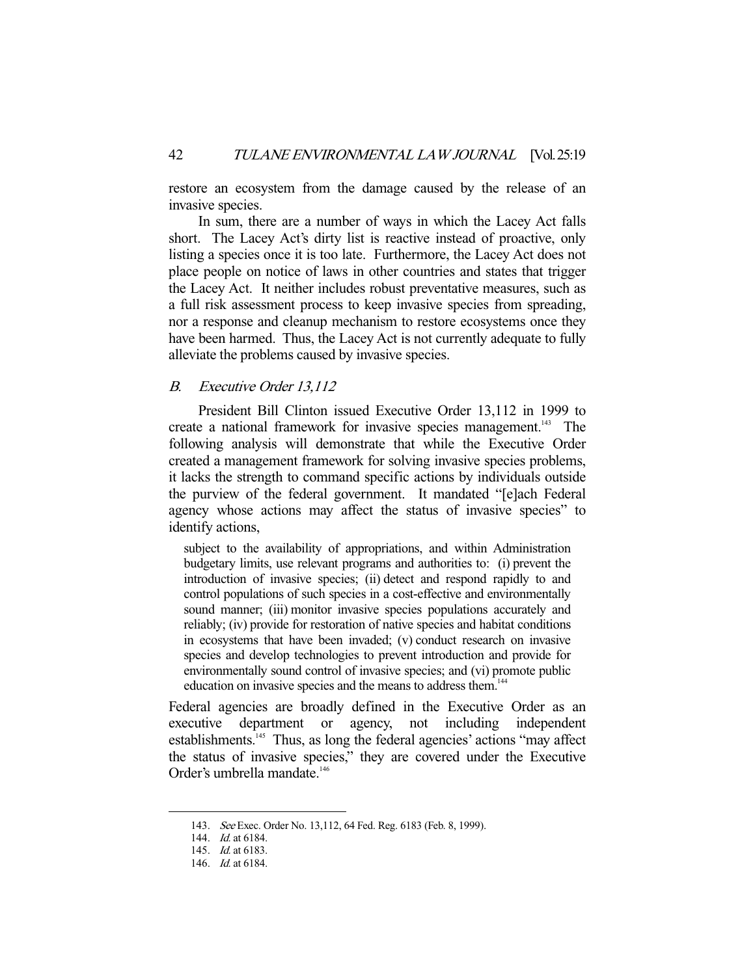restore an ecosystem from the damage caused by the release of an invasive species.

 In sum, there are a number of ways in which the Lacey Act falls short. The Lacey Act's dirty list is reactive instead of proactive, only listing a species once it is too late. Furthermore, the Lacey Act does not place people on notice of laws in other countries and states that trigger the Lacey Act. It neither includes robust preventative measures, such as a full risk assessment process to keep invasive species from spreading, nor a response and cleanup mechanism to restore ecosystems once they have been harmed. Thus, the Lacey Act is not currently adequate to fully alleviate the problems caused by invasive species.

## B. Executive Order 13,112

 President Bill Clinton issued Executive Order 13,112 in 1999 to create a national framework for invasive species management.<sup>143</sup> The following analysis will demonstrate that while the Executive Order created a management framework for solving invasive species problems, it lacks the strength to command specific actions by individuals outside the purview of the federal government. It mandated "[e]ach Federal agency whose actions may affect the status of invasive species" to identify actions,

subject to the availability of appropriations, and within Administration budgetary limits, use relevant programs and authorities to: (i) prevent the introduction of invasive species; (ii) detect and respond rapidly to and control populations of such species in a cost-effective and environmentally sound manner; (iii) monitor invasive species populations accurately and reliably; (iv) provide for restoration of native species and habitat conditions in ecosystems that have been invaded; (v) conduct research on invasive species and develop technologies to prevent introduction and provide for environmentally sound control of invasive species; and (vi) promote public education on invasive species and the means to address them.<sup>144</sup>

Federal agencies are broadly defined in the Executive Order as an executive department or agency, not including independent establishments.145 Thus, as long the federal agencies' actions "may affect the status of invasive species," they are covered under the Executive Order's umbrella mandate.<sup>146</sup>

 <sup>143.</sup> See Exec. Order No. 13,112, 64 Fed. Reg. 6183 (Feb. 8, 1999).

<sup>144.</sup> *Id.* at 6184.

<sup>145.</sup> *Id.* at 6183.

 <sup>146.</sup> Id. at 6184.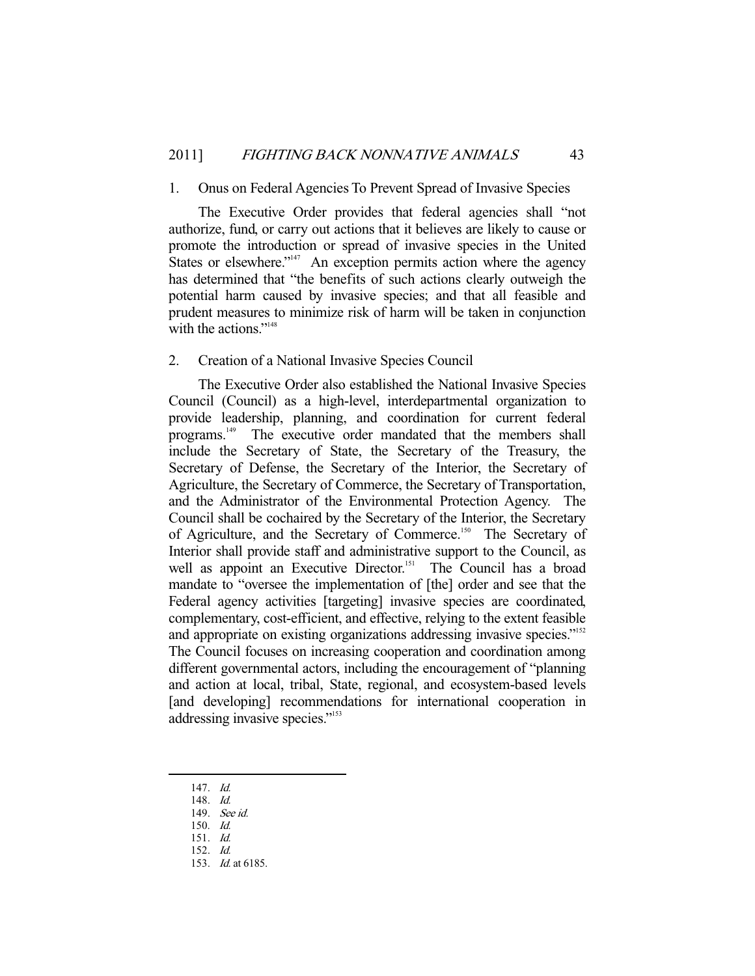#### 1. Onus on Federal Agencies To Prevent Spread of Invasive Species

 The Executive Order provides that federal agencies shall "not authorize, fund, or carry out actions that it believes are likely to cause or promote the introduction or spread of invasive species in the United States or elsewhere."<sup>147</sup> An exception permits action where the agency has determined that "the benefits of such actions clearly outweigh the potential harm caused by invasive species; and that all feasible and prudent measures to minimize risk of harm will be taken in conjunction with the actions."<sup>148</sup>

#### 2. Creation of a National Invasive Species Council

 The Executive Order also established the National Invasive Species Council (Council) as a high-level, interdepartmental organization to provide leadership, planning, and coordination for current federal programs.149 The executive order mandated that the members shall include the Secretary of State, the Secretary of the Treasury, the Secretary of Defense, the Secretary of the Interior, the Secretary of Agriculture, the Secretary of Commerce, the Secretary of Transportation, and the Administrator of the Environmental Protection Agency. The Council shall be cochaired by the Secretary of the Interior, the Secretary of Agriculture, and the Secretary of Commerce.<sup>150</sup> The Secretary of Interior shall provide staff and administrative support to the Council, as well as appoint an Executive Director.<sup>151</sup> The Council has a broad mandate to "oversee the implementation of [the] order and see that the Federal agency activities [targeting] invasive species are coordinated, complementary, cost-efficient, and effective, relying to the extent feasible and appropriate on existing organizations addressing invasive species."<sup>152</sup> The Council focuses on increasing cooperation and coordination among different governmental actors, including the encouragement of "planning and action at local, tribal, State, regional, and ecosystem-based levels [and developing] recommendations for international cooperation in addressing invasive species."153

147. Id.

- 148. Id.
- 149. See id.
- 150. Id.
- 151. Id.
- 152. Id.
- 153. Id. at 6185.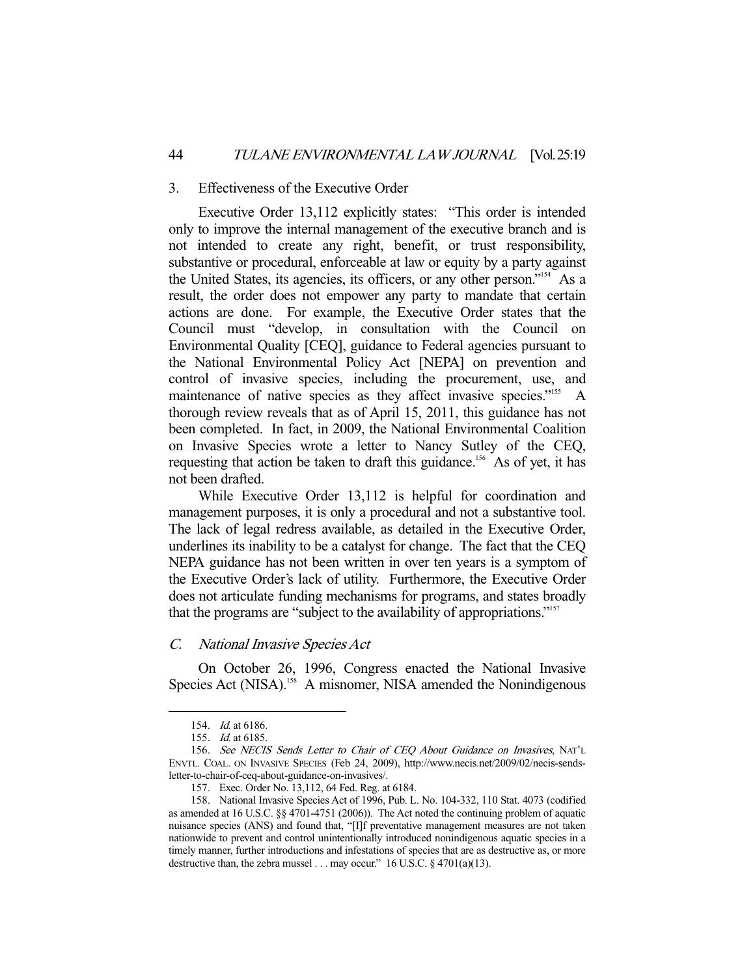#### 3. Effectiveness of the Executive Order

 Executive Order 13,112 explicitly states: "This order is intended only to improve the internal management of the executive branch and is not intended to create any right, benefit, or trust responsibility, substantive or procedural, enforceable at law or equity by a party against the United States, its agencies, its officers, or any other person."<sup>154</sup> As a result, the order does not empower any party to mandate that certain actions are done. For example, the Executive Order states that the Council must "develop, in consultation with the Council on Environmental Quality [CEQ], guidance to Federal agencies pursuant to the National Environmental Policy Act [NEPA] on prevention and control of invasive species, including the procurement, use, and maintenance of native species as they affect invasive species."<sup>155</sup> A thorough review reveals that as of April 15, 2011, this guidance has not been completed. In fact, in 2009, the National Environmental Coalition on Invasive Species wrote a letter to Nancy Sutley of the CEQ, requesting that action be taken to draft this guidance.<sup>156</sup> As of yet, it has not been drafted.

 While Executive Order 13,112 is helpful for coordination and management purposes, it is only a procedural and not a substantive tool. The lack of legal redress available, as detailed in the Executive Order, underlines its inability to be a catalyst for change. The fact that the CEQ NEPA guidance has not been written in over ten years is a symptom of the Executive Order's lack of utility. Furthermore, the Executive Order does not articulate funding mechanisms for programs, and states broadly that the programs are "subject to the availability of appropriations."157

## C. National Invasive Species Act

 On October 26, 1996, Congress enacted the National Invasive Species Act (NISA).<sup>158</sup> A misnomer, NISA amended the Nonindigenous

 <sup>154.</sup> Id. at 6186.

 <sup>155.</sup> Id. at 6185.

<sup>156.</sup> See NECIS Sends Letter to Chair of CEQ About Guidance on Invasives, NAT'L ENVTL. COAL. ON INVASIVE SPECIES (Feb 24, 2009), http://www.necis.net/2009/02/necis-sendsletter-to-chair-of-ceq-about-guidance-on-invasives/.

 <sup>157.</sup> Exec. Order No. 13,112, 64 Fed. Reg. at 6184.

 <sup>158.</sup> National Invasive Species Act of 1996, Pub. L. No. 104-332, 110 Stat. 4073 (codified as amended at 16 U.S.C. §§ 4701-4751 (2006)). The Act noted the continuing problem of aquatic nuisance species (ANS) and found that, "[I]f preventative management measures are not taken nationwide to prevent and control unintentionally introduced nonindigenous aquatic species in a timely manner, further introductions and infestations of species that are as destructive as, or more destructive than, the zebra mussel . . . may occur." 16 U.S.C.  $\S$  4701(a)(13).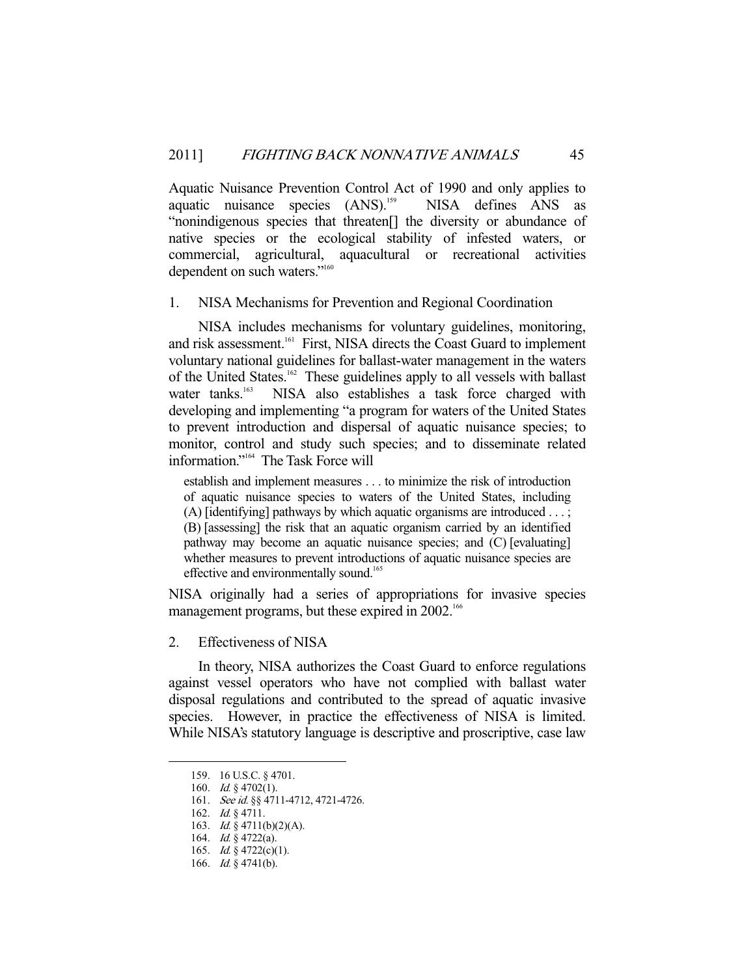Aquatic Nuisance Prevention Control Act of 1990 and only applies to aquatic nuisance species (ANS).<sup>159</sup> NISA defines ANS as "nonindigenous species that threaten[] the diversity or abundance of native species or the ecological stability of infested waters, or commercial, agricultural, aquacultural or recreational activities dependent on such waters."<sup>160</sup>

#### 1. NISA Mechanisms for Prevention and Regional Coordination

 NISA includes mechanisms for voluntary guidelines, monitoring, and risk assessment.<sup>161</sup> First, NISA directs the Coast Guard to implement voluntary national guidelines for ballast-water management in the waters of the United States.162 These guidelines apply to all vessels with ballast water tanks.<sup>163</sup> NISA also establishes a task force charged with developing and implementing "a program for waters of the United States to prevent introduction and dispersal of aquatic nuisance species; to monitor, control and study such species; and to disseminate related information."164 The Task Force will

establish and implement measures . . . to minimize the risk of introduction of aquatic nuisance species to waters of the United States, including (A) [identifying] pathways by which aquatic organisms are introduced . . . ; (B) [assessing] the risk that an aquatic organism carried by an identified pathway may become an aquatic nuisance species; and (C) [evaluating] whether measures to prevent introductions of aquatic nuisance species are effective and environmentally sound.<sup>165</sup>

NISA originally had a series of appropriations for invasive species management programs, but these expired in 2002.<sup>166</sup>

2. Effectiveness of NISA

 In theory, NISA authorizes the Coast Guard to enforce regulations against vessel operators who have not complied with ballast water disposal regulations and contributed to the spread of aquatic invasive species. However, in practice the effectiveness of NISA is limited. While NISA's statutory language is descriptive and proscriptive, case law

 <sup>159. 16</sup> U.S.C. § 4701.

 <sup>160.</sup> Id. § 4702(1).

<sup>161.</sup> See id. §§ 4711-4712, 4721-4726.

 <sup>162.</sup> Id. § 4711.

<sup>163.</sup> *Id.* § 4711(b)(2)(A).

 <sup>164.</sup> Id. § 4722(a).

 <sup>165.</sup> Id. § 4722(c)(1).

<sup>166.</sup> *Id.* § 4741(b).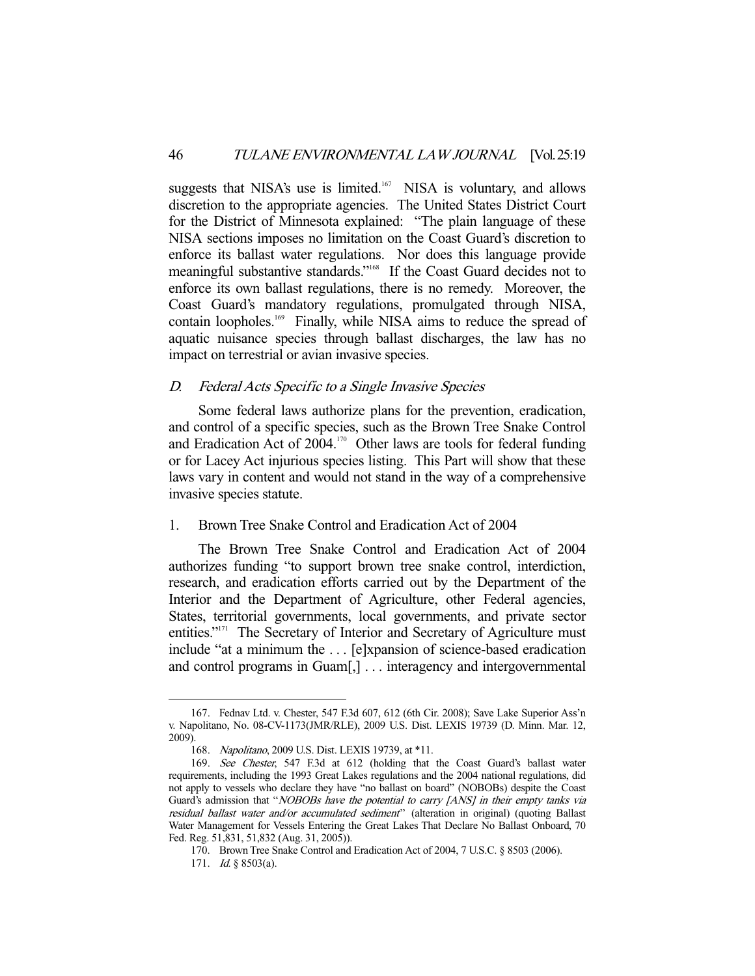suggests that NISA's use is limited.<sup>167</sup> NISA is voluntary, and allows discretion to the appropriate agencies. The United States District Court for the District of Minnesota explained: "The plain language of these NISA sections imposes no limitation on the Coast Guard's discretion to enforce its ballast water regulations. Nor does this language provide meaningful substantive standards."<sup>168</sup> If the Coast Guard decides not to enforce its own ballast regulations, there is no remedy. Moreover, the Coast Guard's mandatory regulations, promulgated through NISA, contain loopholes.<sup>169</sup> Finally, while NISA aims to reduce the spread of aquatic nuisance species through ballast discharges, the law has no impact on terrestrial or avian invasive species.

## D. Federal Acts Specific to a Single Invasive Species

 Some federal laws authorize plans for the prevention, eradication, and control of a specific species, such as the Brown Tree Snake Control and Eradication Act of  $2004$ <sup>170</sup> Other laws are tools for federal funding or for Lacey Act injurious species listing. This Part will show that these laws vary in content and would not stand in the way of a comprehensive invasive species statute.

## 1. Brown Tree Snake Control and Eradication Act of 2004

 The Brown Tree Snake Control and Eradication Act of 2004 authorizes funding "to support brown tree snake control, interdiction, research, and eradication efforts carried out by the Department of the Interior and the Department of Agriculture, other Federal agencies, States, territorial governments, local governments, and private sector entities."<sup>171</sup> The Secretary of Interior and Secretary of Agriculture must include "at a minimum the . . . [e]xpansion of science-based eradication and control programs in Guam[,] . . . interagency and intergovernmental

 <sup>167.</sup> Fednav Ltd. v. Chester, 547 F.3d 607, 612 (6th Cir. 2008); Save Lake Superior Ass'n v. Napolitano, No. 08-CV-1173(JMR/RLE), 2009 U.S. Dist. LEXIS 19739 (D. Minn. Mar. 12, 2009).

 <sup>168.</sup> Napolitano, 2009 U.S. Dist. LEXIS 19739, at \*11.

 <sup>169.</sup> See Chester, 547 F.3d at 612 (holding that the Coast Guard's ballast water requirements, including the 1993 Great Lakes regulations and the 2004 national regulations, did not apply to vessels who declare they have "no ballast on board" (NOBOBs) despite the Coast Guard's admission that "NOBOBs have the potential to carry [ANS] in their empty tanks via residual ballast water and/or accumulated sediment" (alteration in original) (quoting Ballast Water Management for Vessels Entering the Great Lakes That Declare No Ballast Onboard, 70 Fed. Reg. 51,831, 51,832 (Aug. 31, 2005)).

 <sup>170.</sup> Brown Tree Snake Control and Eradication Act of 2004, 7 U.S.C. § 8503 (2006).

 <sup>171.</sup> Id. § 8503(a).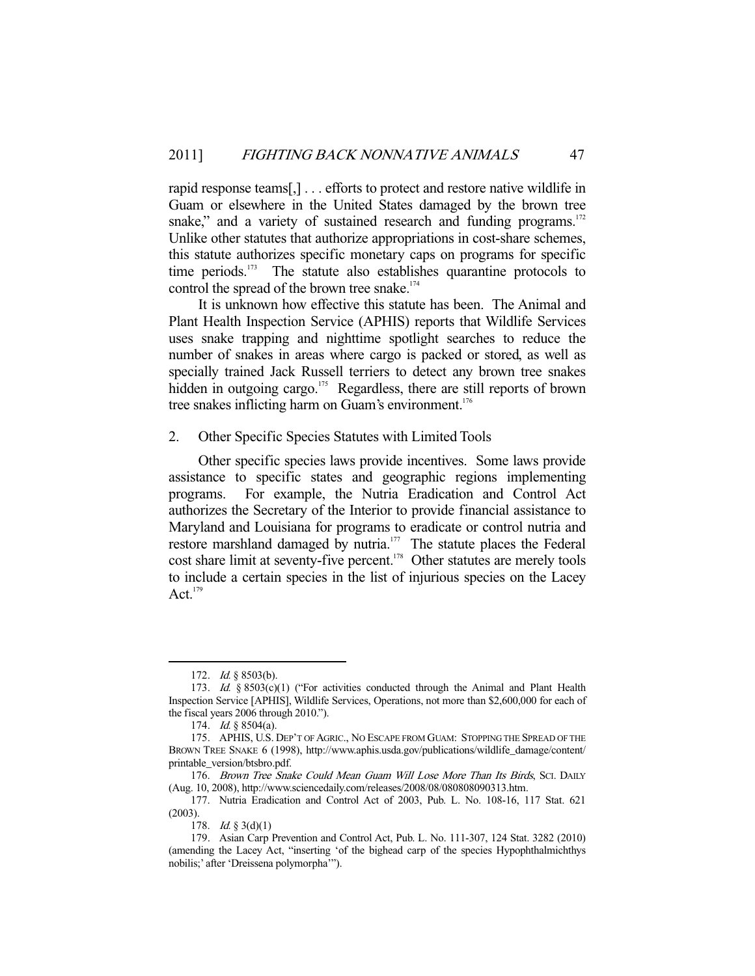rapid response teams[,] . . . efforts to protect and restore native wildlife in Guam or elsewhere in the United States damaged by the brown tree snake," and a variety of sustained research and funding programs.<sup>172</sup> Unlike other statutes that authorize appropriations in cost-share schemes, this statute authorizes specific monetary caps on programs for specific time periods. $173$  The statute also establishes quarantine protocols to control the spread of the brown tree snake.<sup>174</sup>

 It is unknown how effective this statute has been. The Animal and Plant Health Inspection Service (APHIS) reports that Wildlife Services uses snake trapping and nighttime spotlight searches to reduce the number of snakes in areas where cargo is packed or stored, as well as specially trained Jack Russell terriers to detect any brown tree snakes hidden in outgoing cargo.<sup>175</sup> Regardless, there are still reports of brown tree snakes inflicting harm on Guam's environment.<sup>176</sup>

2. Other Specific Species Statutes with Limited Tools

 Other specific species laws provide incentives. Some laws provide assistance to specific states and geographic regions implementing programs. For example, the Nutria Eradication and Control Act authorizes the Secretary of the Interior to provide financial assistance to Maryland and Louisiana for programs to eradicate or control nutria and restore marshland damaged by nutria.<sup>177</sup> The statute places the Federal cost share limit at seventy-five percent.<sup>178</sup> Other statutes are merely tools to include a certain species in the list of injurious species on the Lacey Act. $179$ 

<sup>172.</sup> *Id.* § 8503(b).

 <sup>173.</sup> Id. § 8503(c)(1) ("For activities conducted through the Animal and Plant Health Inspection Service [APHIS], Wildlife Services, Operations, not more than \$2,600,000 for each of the fiscal years 2006 through 2010.").

<sup>174.</sup> *Id.* § 8504(a).

 <sup>175.</sup> APHIS, U.S. DEP'T OF AGRIC., NO ESCAPE FROM GUAM: STOPPING THE SPREAD OF THE BROWN TREE SNAKE 6 (1998), http://www.aphis.usda.gov/publications/wildlife\_damage/content/ printable\_version/btsbro.pdf.

<sup>176.</sup> Brown Tree Snake Could Mean Guam Will Lose More Than Its Birds, SCI. DAILY (Aug. 10, 2008), http://www.sciencedaily.com/releases/2008/08/080808090313.htm.

 <sup>177.</sup> Nutria Eradication and Control Act of 2003, Pub. L. No. 108-16, 117 Stat. 621 (2003).

<sup>178.</sup> *Id.* § 3(d)(1)

 <sup>179.</sup> Asian Carp Prevention and Control Act, Pub. L. No. 111-307, 124 Stat. 3282 (2010) (amending the Lacey Act, "inserting 'of the bighead carp of the species Hypophthalmichthys nobilis;' after 'Dreissena polymorpha'").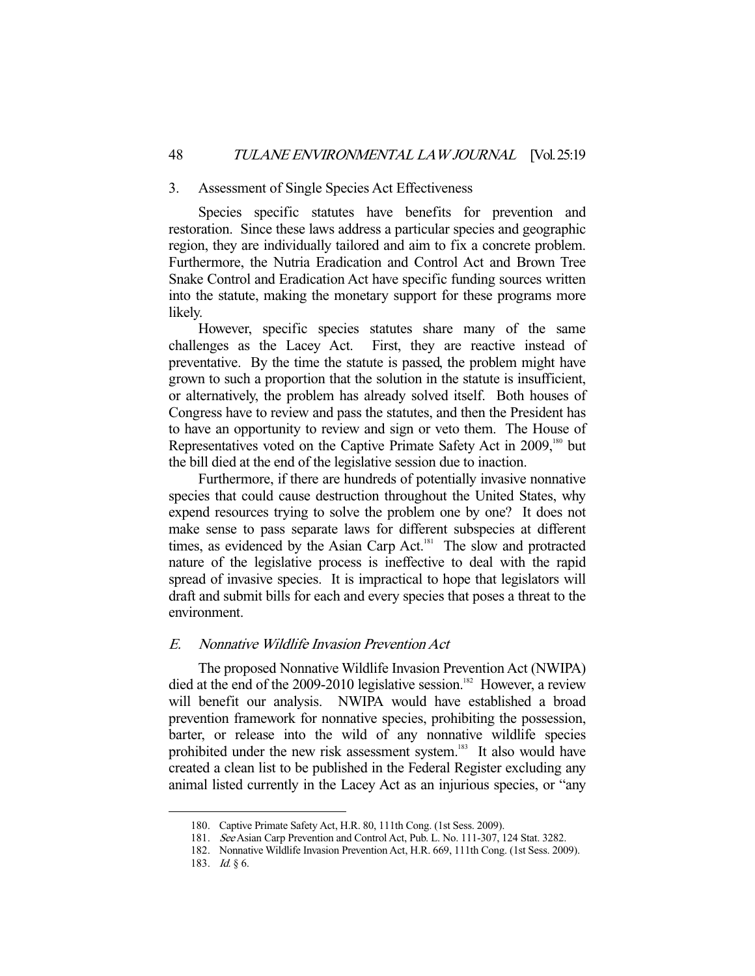#### 3. Assessment of Single Species Act Effectiveness

 Species specific statutes have benefits for prevention and restoration. Since these laws address a particular species and geographic region, they are individually tailored and aim to fix a concrete problem. Furthermore, the Nutria Eradication and Control Act and Brown Tree Snake Control and Eradication Act have specific funding sources written into the statute, making the monetary support for these programs more likely.

 However, specific species statutes share many of the same challenges as the Lacey Act. First, they are reactive instead of preventative. By the time the statute is passed, the problem might have grown to such a proportion that the solution in the statute is insufficient, or alternatively, the problem has already solved itself. Both houses of Congress have to review and pass the statutes, and then the President has to have an opportunity to review and sign or veto them. The House of Representatives voted on the Captive Primate Safety Act in 2009,<sup>180</sup> but the bill died at the end of the legislative session due to inaction.

 Furthermore, if there are hundreds of potentially invasive nonnative species that could cause destruction throughout the United States, why expend resources trying to solve the problem one by one? It does not make sense to pass separate laws for different subspecies at different times, as evidenced by the Asian Carp Act.<sup>181</sup> The slow and protracted nature of the legislative process is ineffective to deal with the rapid spread of invasive species. It is impractical to hope that legislators will draft and submit bills for each and every species that poses a threat to the environment.

## E. Nonnative Wildlife Invasion Prevention Act

 The proposed Nonnative Wildlife Invasion Prevention Act (NWIPA) died at the end of the 2009-2010 legislative session.<sup>182</sup> However, a review will benefit our analysis. NWIPA would have established a broad prevention framework for nonnative species, prohibiting the possession, barter, or release into the wild of any nonnative wildlife species prohibited under the new risk assessment system.<sup>183</sup> It also would have created a clean list to be published in the Federal Register excluding any animal listed currently in the Lacey Act as an injurious species, or "any

 <sup>180.</sup> Captive Primate Safety Act, H.R. 80, 111th Cong. (1st Sess. 2009).

 <sup>181.</sup> See Asian Carp Prevention and Control Act, Pub. L. No. 111-307, 124 Stat. 3282.

 <sup>182.</sup> Nonnative Wildlife Invasion Prevention Act, H.R. 669, 111th Cong. (1st Sess. 2009).

 <sup>183.</sup> Id. § 6.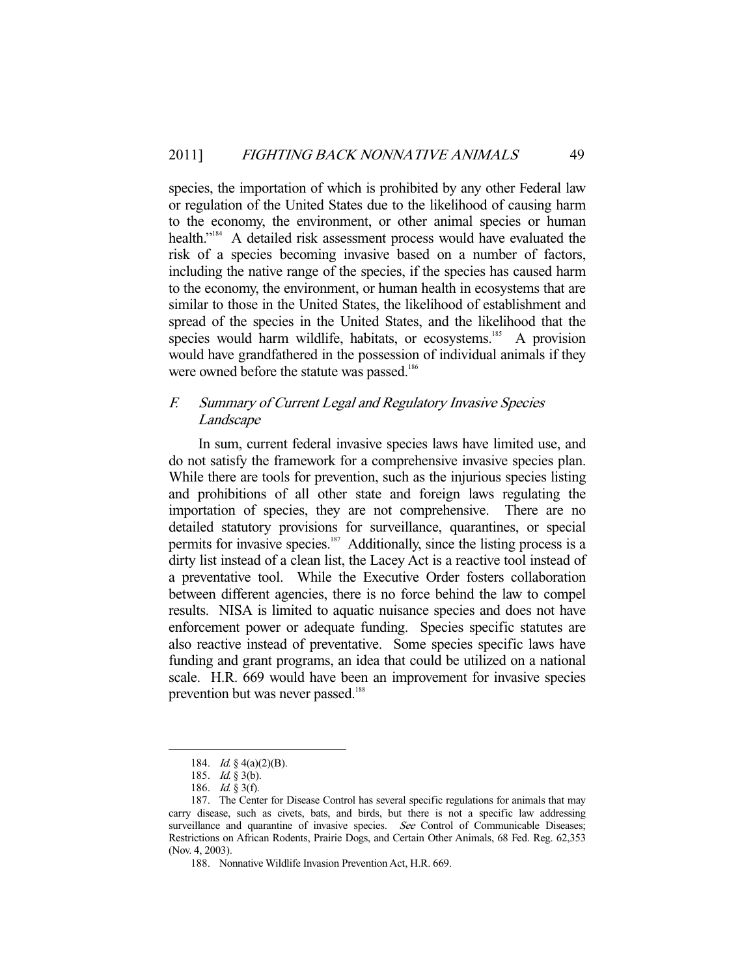species, the importation of which is prohibited by any other Federal law or regulation of the United States due to the likelihood of causing harm to the economy, the environment, or other animal species or human health."<sup>184</sup> A detailed risk assessment process would have evaluated the risk of a species becoming invasive based on a number of factors, including the native range of the species, if the species has caused harm to the economy, the environment, or human health in ecosystems that are similar to those in the United States, the likelihood of establishment and spread of the species in the United States, and the likelihood that the species would harm wildlife, habitats, or ecosystems.<sup>185</sup> A provision would have grandfathered in the possession of individual animals if they were owned before the statute was passed.<sup>186</sup>

# F. Summary of Current Legal and Regulatory Invasive Species Landscape

 In sum, current federal invasive species laws have limited use, and do not satisfy the framework for a comprehensive invasive species plan. While there are tools for prevention, such as the injurious species listing and prohibitions of all other state and foreign laws regulating the importation of species, they are not comprehensive. There are no detailed statutory provisions for surveillance, quarantines, or special permits for invasive species.<sup>187</sup> Additionally, since the listing process is a dirty list instead of a clean list, the Lacey Act is a reactive tool instead of a preventative tool. While the Executive Order fosters collaboration between different agencies, there is no force behind the law to compel results. NISA is limited to aquatic nuisance species and does not have enforcement power or adequate funding. Species specific statutes are also reactive instead of preventative. Some species specific laws have funding and grant programs, an idea that could be utilized on a national scale. H.R. 669 would have been an improvement for invasive species prevention but was never passed.<sup>188</sup>

<sup>184.</sup> *Id.* § 4(a)(2)(B).

 <sup>185.</sup> Id. § 3(b).

 <sup>186.</sup> Id. § 3(f).

 <sup>187.</sup> The Center for Disease Control has several specific regulations for animals that may carry disease, such as civets, bats, and birds, but there is not a specific law addressing surveillance and quarantine of invasive species. See Control of Communicable Diseases; Restrictions on African Rodents, Prairie Dogs, and Certain Other Animals, 68 Fed. Reg. 62,353 (Nov. 4, 2003).

 <sup>188.</sup> Nonnative Wildlife Invasion Prevention Act, H.R. 669.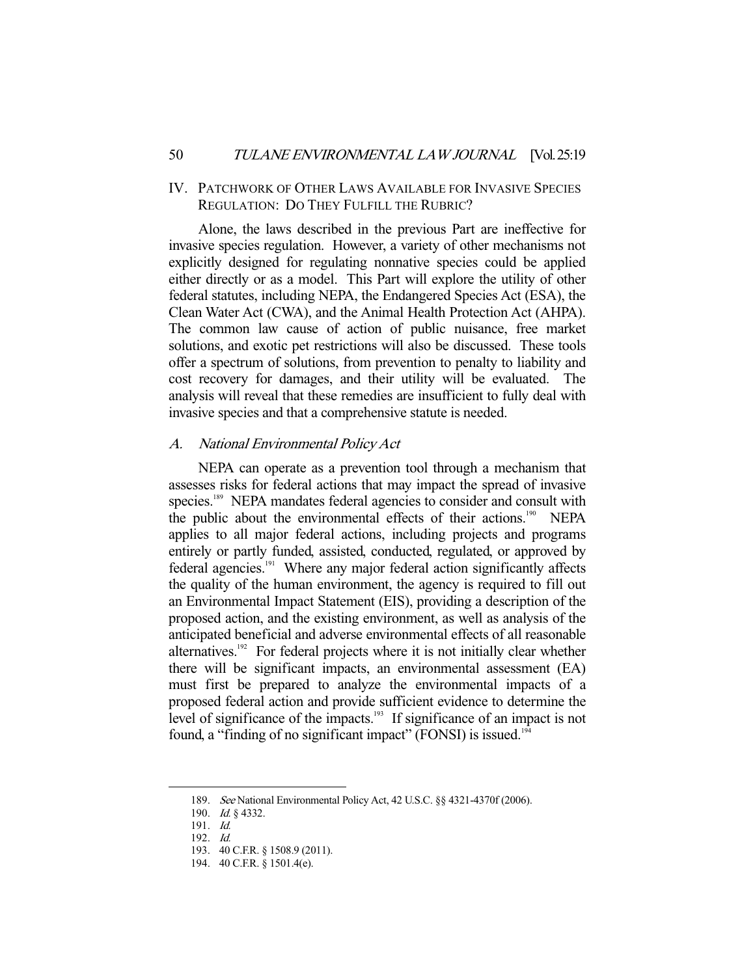## IV. PATCHWORK OF OTHER LAWS AVAILABLE FOR INVASIVE SPECIES REGULATION: DO THEY FULFILL THE RUBRIC?

 Alone, the laws described in the previous Part are ineffective for invasive species regulation. However, a variety of other mechanisms not explicitly designed for regulating nonnative species could be applied either directly or as a model. This Part will explore the utility of other federal statutes, including NEPA, the Endangered Species Act (ESA), the Clean Water Act (CWA), and the Animal Health Protection Act (AHPA). The common law cause of action of public nuisance, free market solutions, and exotic pet restrictions will also be discussed. These tools offer a spectrum of solutions, from prevention to penalty to liability and cost recovery for damages, and their utility will be evaluated. The analysis will reveal that these remedies are insufficient to fully deal with invasive species and that a comprehensive statute is needed.

## A. National Environmental Policy Act

 NEPA can operate as a prevention tool through a mechanism that assesses risks for federal actions that may impact the spread of invasive species.<sup>189</sup> NEPA mandates federal agencies to consider and consult with the public about the environmental effects of their actions.<sup>190</sup> NEPA applies to all major federal actions, including projects and programs entirely or partly funded, assisted, conducted, regulated, or approved by federal agencies.191 Where any major federal action significantly affects the quality of the human environment, the agency is required to fill out an Environmental Impact Statement (EIS), providing a description of the proposed action, and the existing environment, as well as analysis of the anticipated beneficial and adverse environmental effects of all reasonable alternatives.<sup>192</sup> For federal projects where it is not initially clear whether there will be significant impacts, an environmental assessment (EA) must first be prepared to analyze the environmental impacts of a proposed federal action and provide sufficient evidence to determine the level of significance of the impacts.193 If significance of an impact is not found, a "finding of no significant impact" (FONSI) is issued.<sup>194</sup>

<sup>189.</sup> See National Environmental Policy Act, 42 U.S.C. §§ 4321-4370f (2006).

 <sup>190.</sup> Id. § 4332.

 <sup>191.</sup> Id.

 <sup>192.</sup> Id.

 <sup>193. 40</sup> C.F.R. § 1508.9 (2011).

 <sup>194. 40</sup> C.F.R. § 1501.4(e).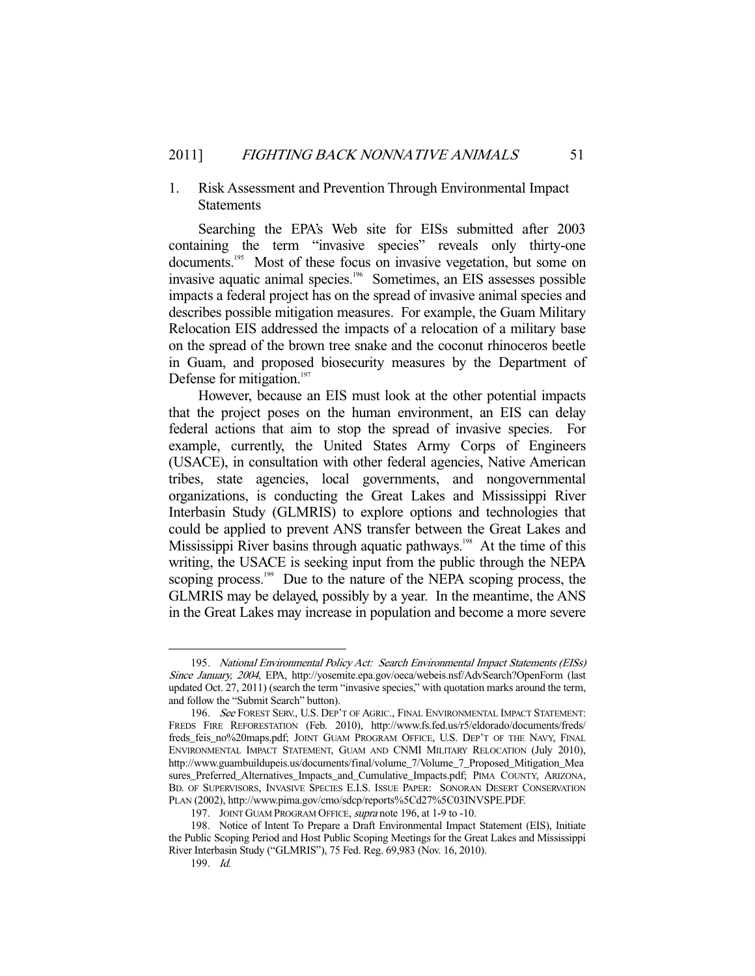## 1. Risk Assessment and Prevention Through Environmental Impact Statements

 Searching the EPA's Web site for EISs submitted after 2003 containing the term "invasive species" reveals only thirty-one documents.<sup>195</sup> Most of these focus on invasive vegetation, but some on invasive aquatic animal species.<sup>196</sup> Sometimes, an EIS assesses possible impacts a federal project has on the spread of invasive animal species and describes possible mitigation measures. For example, the Guam Military Relocation EIS addressed the impacts of a relocation of a military base on the spread of the brown tree snake and the coconut rhinoceros beetle in Guam, and proposed biosecurity measures by the Department of Defense for mitigation.<sup>197</sup>

 However, because an EIS must look at the other potential impacts that the project poses on the human environment, an EIS can delay federal actions that aim to stop the spread of invasive species. For example, currently, the United States Army Corps of Engineers (USACE), in consultation with other federal agencies, Native American tribes, state agencies, local governments, and nongovernmental organizations, is conducting the Great Lakes and Mississippi River Interbasin Study (GLMRIS) to explore options and technologies that could be applied to prevent ANS transfer between the Great Lakes and Mississippi River basins through aquatic pathways.<sup>198</sup> At the time of this writing, the USACE is seeking input from the public through the NEPA scoping process.<sup>199</sup> Due to the nature of the NEPA scoping process, the GLMRIS may be delayed, possibly by a year. In the meantime, the ANS in the Great Lakes may increase in population and become a more severe

 <sup>195.</sup> National Environmental Policy Act: Search Environmental Impact Statements (EISs) Since January, 2004, EPA, http://yosemite.epa.gov/oeca/webeis.nsf/AdvSearch?OpenForm (last updated Oct. 27, 2011) (search the term "invasive species," with quotation marks around the term, and follow the "Submit Search" button).

<sup>196.</sup> See FOREST SERV., U.S. DEP'T OF AGRIC., FINAL ENVIRONMENTAL IMPACT STATEMENT: FREDS FIRE REFORESTATION (Feb. 2010), http://www.fs.fed.us/r5/eldorado/documents/freds/ freds\_feis\_no%20maps.pdf; JOINT GUAM PROGRAM OFFICE, U.S. DEP'T OF THE NAVY, FINAL ENVIRONMENTAL IMPACT STATEMENT, GUAM AND CNMI MILITARY RELOCATION (July 2010), http://www.guambuildupeis.us/documents/final/volume\_7/Volume\_7\_Proposed\_Mitigation\_Mea sures\_Preferred\_Alternatives\_Impacts\_and\_Cumulative\_Impacts.pdf; PIMA COUNTY, ARIZONA, BD. OF SUPERVISORS, INVASIVE SPECIES E.I.S. ISSUE PAPER: SONORAN DESERT CONSERVATION PLAN (2002), http://www.pima.gov/cmo/sdcp/reports%5Cd27%5C03INVSPE.PDF.

<sup>197.</sup> JOINT GUAM PROGRAM OFFICE, supra note 196, at 1-9 to -10.

 <sup>198.</sup> Notice of Intent To Prepare a Draft Environmental Impact Statement (EIS), Initiate the Public Scoping Period and Host Public Scoping Meetings for the Great Lakes and Mississippi River Interbasin Study ("GLMRIS"), 75 Fed. Reg. 69,983 (Nov. 16, 2010).

 <sup>199.</sup> Id.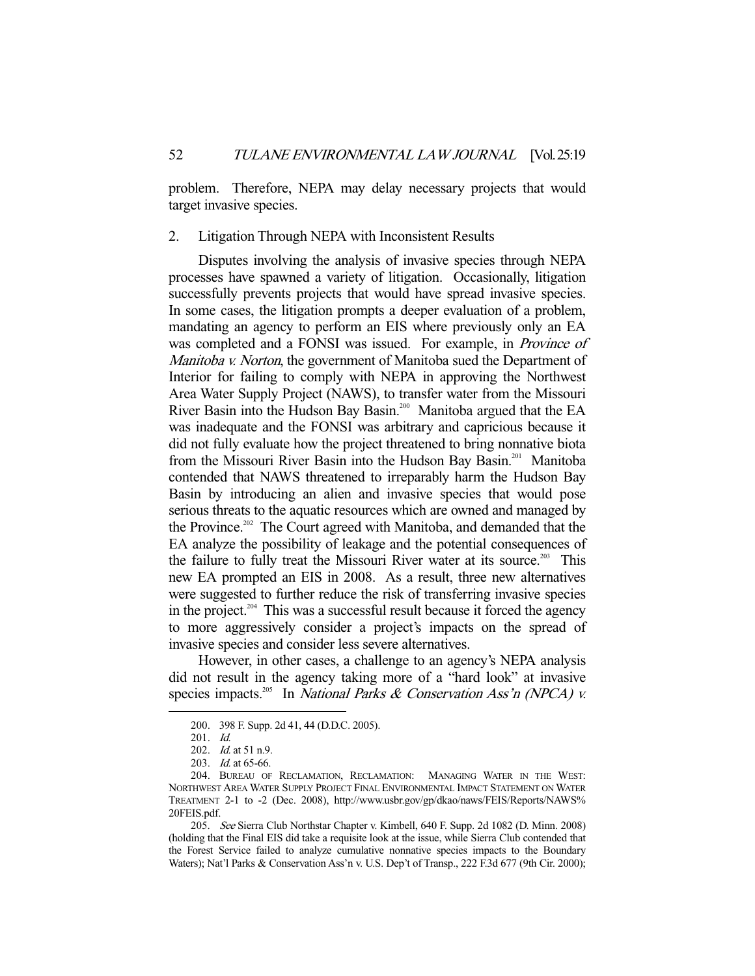problem. Therefore, NEPA may delay necessary projects that would target invasive species.

#### 2. Litigation Through NEPA with Inconsistent Results

 Disputes involving the analysis of invasive species through NEPA processes have spawned a variety of litigation. Occasionally, litigation successfully prevents projects that would have spread invasive species. In some cases, the litigation prompts a deeper evaluation of a problem, mandating an agency to perform an EIS where previously only an EA was completed and a FONSI was issued. For example, in Province of Manitoba v. Norton, the government of Manitoba sued the Department of Interior for failing to comply with NEPA in approving the Northwest Area Water Supply Project (NAWS), to transfer water from the Missouri River Basin into the Hudson Bay Basin.<sup>200</sup> Manitoba argued that the EA was inadequate and the FONSI was arbitrary and capricious because it did not fully evaluate how the project threatened to bring nonnative biota from the Missouri River Basin into the Hudson Bay Basin.<sup>201</sup> Manitoba contended that NAWS threatened to irreparably harm the Hudson Bay Basin by introducing an alien and invasive species that would pose serious threats to the aquatic resources which are owned and managed by the Province.<sup>202</sup> The Court agreed with Manitoba, and demanded that the EA analyze the possibility of leakage and the potential consequences of the failure to fully treat the Missouri River water at its source.<sup>203</sup> This new EA prompted an EIS in 2008. As a result, three new alternatives were suggested to further reduce the risk of transferring invasive species in the project.<sup>204</sup> This was a successful result because it forced the agency to more aggressively consider a project's impacts on the spread of invasive species and consider less severe alternatives.

 However, in other cases, a challenge to an agency's NEPA analysis did not result in the agency taking more of a "hard look" at invasive species impacts.<sup>205</sup> In National Parks & Conservation Ass'n (NPCA) v.

 <sup>200. 398</sup> F. Supp. 2d 41, 44 (D.D.C. 2005).

 <sup>201.</sup> Id.

 <sup>202.</sup> Id. at 51 n.9.

<sup>203.</sup> *Id.* at 65-66.

 <sup>204.</sup> BUREAU OF RECLAMATION, RECLAMATION: MANAGING WATER IN THE WEST: NORTHWEST AREA WATER SUPPLY PROJECT FINAL ENVIRONMENTAL IMPACT STATEMENT ON WATER TREATMENT 2-1 to -2 (Dec. 2008), http://www.usbr.gov/gp/dkao/naws/FEIS/Reports/NAWS% 20FEIS.pdf.

<sup>205.</sup> See Sierra Club Northstar Chapter v. Kimbell, 640 F. Supp. 2d 1082 (D. Minn. 2008) (holding that the Final EIS did take a requisite look at the issue, while Sierra Club contended that the Forest Service failed to analyze cumulative nonnative species impacts to the Boundary Waters); Nat'l Parks & Conservation Ass'n v. U.S. Dep't of Transp., 222 F.3d 677 (9th Cir. 2000);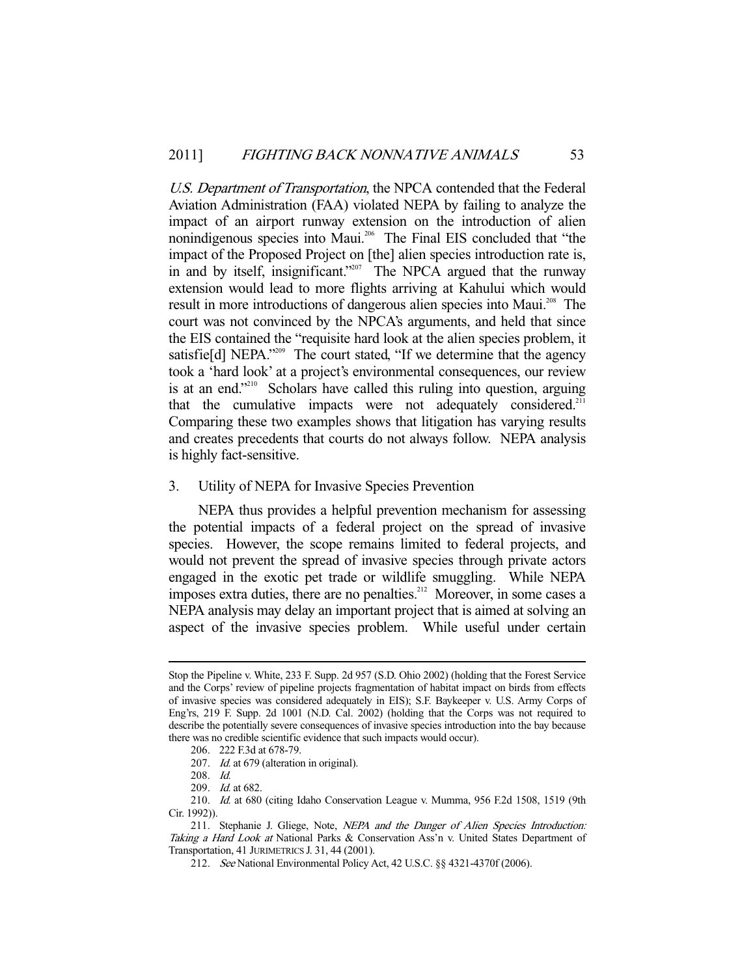U.S. Department of Transportation, the NPCA contended that the Federal Aviation Administration (FAA) violated NEPA by failing to analyze the impact of an airport runway extension on the introduction of alien nonindigenous species into Maui.<sup>206</sup> The Final EIS concluded that "the impact of the Proposed Project on [the] alien species introduction rate is, in and by itself, insignificant."<sup>207</sup> The NPCA argued that the runway extension would lead to more flights arriving at Kahului which would result in more introductions of dangerous alien species into Maui.<sup>208</sup> The court was not convinced by the NPCA's arguments, and held that since the EIS contained the "requisite hard look at the alien species problem, it satisfie<sup>[d]</sup> NEPA."<sup>209</sup> The court stated, "If we determine that the agency took a 'hard look' at a project's environmental consequences, our review is at an end."210 Scholars have called this ruling into question, arguing that the cumulative impacts were not adequately considered.<sup>211</sup> Comparing these two examples shows that litigation has varying results and creates precedents that courts do not always follow. NEPA analysis is highly fact-sensitive.

## 3. Utility of NEPA for Invasive Species Prevention

 NEPA thus provides a helpful prevention mechanism for assessing the potential impacts of a federal project on the spread of invasive species. However, the scope remains limited to federal projects, and would not prevent the spread of invasive species through private actors engaged in the exotic pet trade or wildlife smuggling. While NEPA imposes extra duties, there are no penalties.<sup> $212$ </sup> Moreover, in some cases a NEPA analysis may delay an important project that is aimed at solving an aspect of the invasive species problem. While useful under certain

Stop the Pipeline v. White, 233 F. Supp. 2d 957 (S.D. Ohio 2002) (holding that the Forest Service and the Corps' review of pipeline projects fragmentation of habitat impact on birds from effects of invasive species was considered adequately in EIS); S.F. Baykeeper v. U.S. Army Corps of Eng'rs, 219 F. Supp. 2d 1001 (N.D. Cal. 2002) (holding that the Corps was not required to describe the potentially severe consequences of invasive species introduction into the bay because there was no credible scientific evidence that such impacts would occur).

 <sup>206. 222</sup> F.3d at 678-79.

<sup>207.</sup> Id. at 679 (alteration in original).

 <sup>208.</sup> Id.

 <sup>209.</sup> Id. at 682.

 <sup>210.</sup> Id. at 680 (citing Idaho Conservation League v. Mumma, 956 F.2d 1508, 1519 (9th Cir. 1992)).

<sup>211.</sup> Stephanie J. Gliege, Note, NEPA and the Danger of Alien Species Introduction: Taking a Hard Look at National Parks & Conservation Ass'n v. United States Department of Transportation, 41 JURIMETRICS J. 31, 44 (2001).

 <sup>212.</sup> See National Environmental Policy Act, 42 U.S.C. §§ 4321-4370f (2006).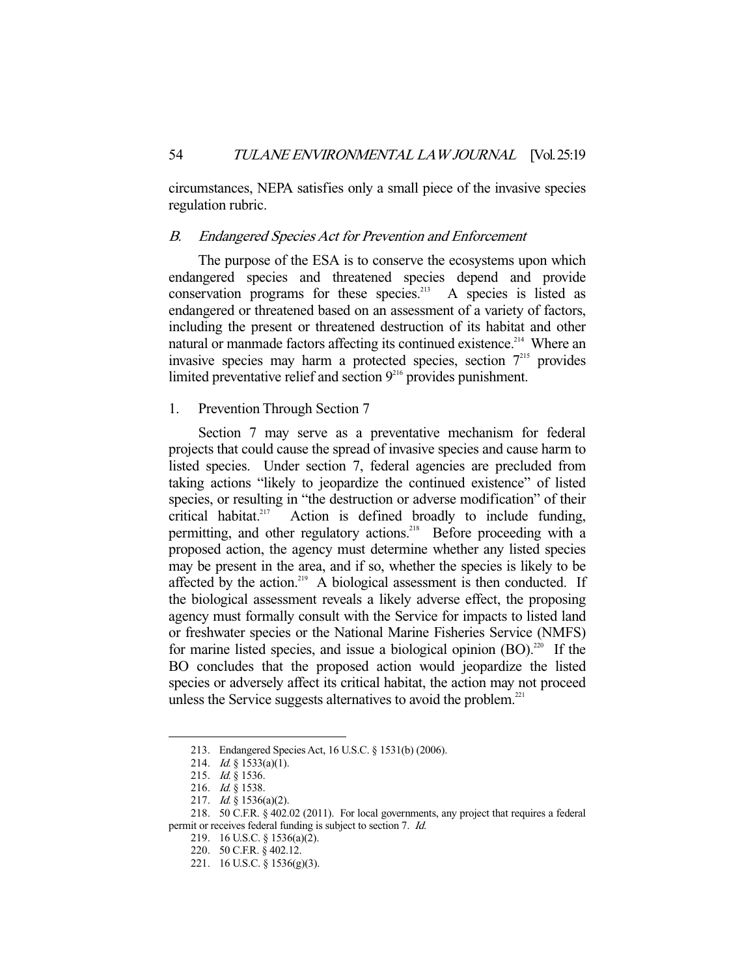circumstances, NEPA satisfies only a small piece of the invasive species regulation rubric.

## B. Endangered Species Act for Prevention and Enforcement

 The purpose of the ESA is to conserve the ecosystems upon which endangered species and threatened species depend and provide conservation programs for these species.<sup>213</sup> A species is listed as endangered or threatened based on an assessment of a variety of factors, including the present or threatened destruction of its habitat and other natural or manmade factors affecting its continued existence.<sup>214</sup> Where an invasive species may harm a protected species, section  $7^{215}$  provides limited preventative relief and section  $9^{216}$  provides punishment.

#### 1. Prevention Through Section 7

 Section 7 may serve as a preventative mechanism for federal projects that could cause the spread of invasive species and cause harm to listed species. Under section 7, federal agencies are precluded from taking actions "likely to jeopardize the continued existence" of listed species, or resulting in "the destruction or adverse modification" of their critical habitat.<sup>217</sup> Action is defined broadly to include funding. Action is defined broadly to include funding, permitting, and other regulatory actions.<sup>218</sup> Before proceeding with a proposed action, the agency must determine whether any listed species may be present in the area, and if so, whether the species is likely to be affected by the action.<sup>219</sup> A biological assessment is then conducted. If the biological assessment reveals a likely adverse effect, the proposing agency must formally consult with the Service for impacts to listed land or freshwater species or the National Marine Fisheries Service (NMFS) for marine listed species, and issue a biological opinion  $(BO)^{220}$  If the BO concludes that the proposed action would jeopardize the listed species or adversely affect its critical habitat, the action may not proceed unless the Service suggests alternatives to avoid the problem. $221$ 

 <sup>213.</sup> Endangered Species Act, 16 U.S.C. § 1531(b) (2006).

<sup>214.</sup> *Id.* § 1533(a)(1).

 <sup>215.</sup> Id. § 1536.

 <sup>216.</sup> Id. § 1538.

 <sup>217.</sup> Id. § 1536(a)(2).

 <sup>218. 50</sup> C.F.R. § 402.02 (2011). For local governments, any project that requires a federal permit or receives federal funding is subject to section 7. Id.

 <sup>219. 16</sup> U.S.C. § 1536(a)(2).

 <sup>220. 50</sup> C.F.R. § 402.12.

 <sup>221. 16</sup> U.S.C. § 1536(g)(3).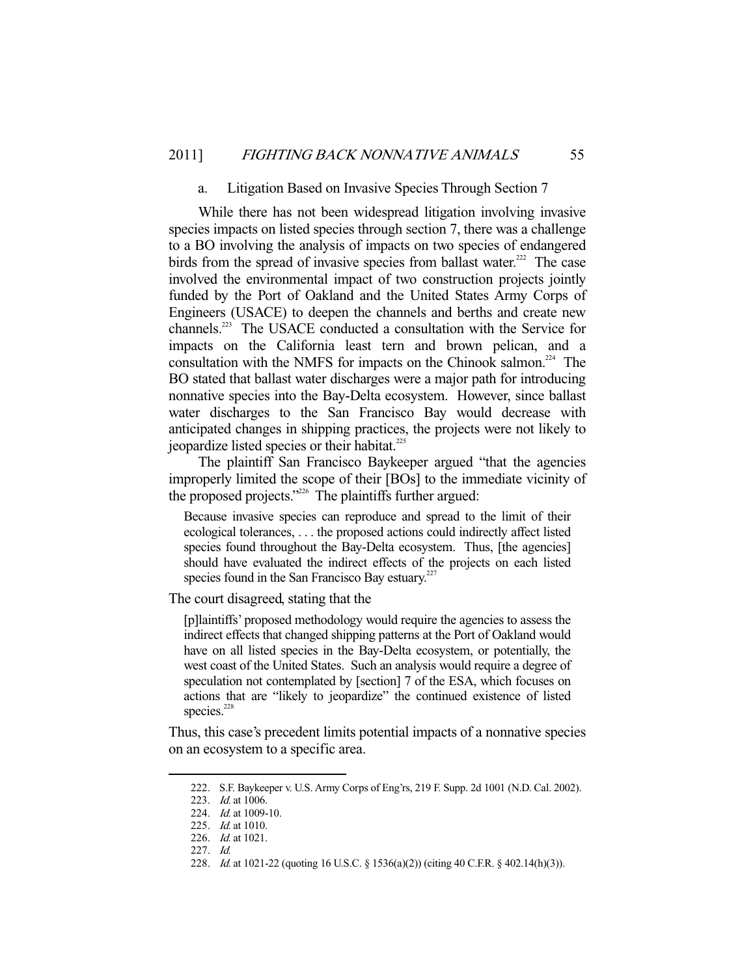#### a. Litigation Based on Invasive Species Through Section 7

 While there has not been widespread litigation involving invasive species impacts on listed species through section 7, there was a challenge to a BO involving the analysis of impacts on two species of endangered birds from the spread of invasive species from ballast water.<sup>222</sup> The case involved the environmental impact of two construction projects jointly funded by the Port of Oakland and the United States Army Corps of Engineers (USACE) to deepen the channels and berths and create new channels.223 The USACE conducted a consultation with the Service for impacts on the California least tern and brown pelican, and a consultation with the NMFS for impacts on the Chinook salmon.<sup>224</sup> The BO stated that ballast water discharges were a major path for introducing nonnative species into the Bay-Delta ecosystem. However, since ballast water discharges to the San Francisco Bay would decrease with anticipated changes in shipping practices, the projects were not likely to jeopardize listed species or their habitat.<sup>225</sup>

 The plaintiff San Francisco Baykeeper argued "that the agencies improperly limited the scope of their [BOs] to the immediate vicinity of the proposed projects."<sup>226</sup> The plaintiffs further argued:

Because invasive species can reproduce and spread to the limit of their ecological tolerances, . . . the proposed actions could indirectly affect listed species found throughout the Bay-Delta ecosystem. Thus, [the agencies] should have evaluated the indirect effects of the projects on each listed species found in the San Francisco Bay estuary. $227$ 

The court disagreed, stating that the

[p]laintiffs' proposed methodology would require the agencies to assess the indirect effects that changed shipping patterns at the Port of Oakland would have on all listed species in the Bay-Delta ecosystem, or potentially, the west coast of the United States. Such an analysis would require a degree of speculation not contemplated by [section] 7 of the ESA, which focuses on actions that are "likely to jeopardize" the continued existence of listed species.<sup>228</sup>

Thus, this case's precedent limits potential impacts of a nonnative species on an ecosystem to a specific area.

 <sup>222.</sup> S.F. Baykeeper v. U.S. Army Corps of Eng'rs, 219 F. Supp. 2d 1001 (N.D. Cal. 2002).

<sup>223.</sup> *Id.* at 1006.

<sup>224.</sup> *Id.* at 1009-10.

<sup>225.</sup> *Id.* at 1010.

 <sup>226.</sup> Id. at 1021.

 <sup>227.</sup> Id.

 <sup>228.</sup> Id. at 1021-22 (quoting 16 U.S.C. § 1536(a)(2)) (citing 40 C.F.R. § 402.14(h)(3)).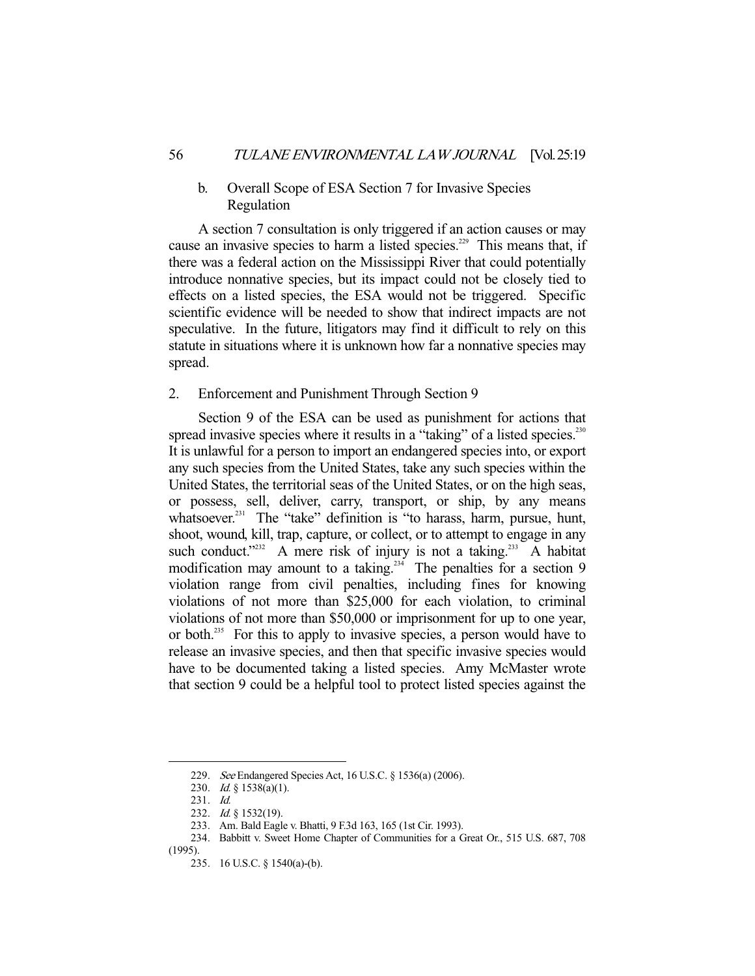## b. Overall Scope of ESA Section 7 for Invasive Species Regulation

 A section 7 consultation is only triggered if an action causes or may cause an invasive species to harm a listed species.<sup>229</sup> This means that, if there was a federal action on the Mississippi River that could potentially introduce nonnative species, but its impact could not be closely tied to effects on a listed species, the ESA would not be triggered. Specific scientific evidence will be needed to show that indirect impacts are not speculative. In the future, litigators may find it difficult to rely on this statute in situations where it is unknown how far a nonnative species may spread.

#### 2. Enforcement and Punishment Through Section 9

 Section 9 of the ESA can be used as punishment for actions that spread invasive species where it results in a "taking" of a listed species.<sup>230</sup> It is unlawful for a person to import an endangered species into, or export any such species from the United States, take any such species within the United States, the territorial seas of the United States, or on the high seas, or possess, sell, deliver, carry, transport, or ship, by any means whatsoever.<sup>231</sup> The "take" definition is "to harass, harm, pursue, hunt, shoot, wound, kill, trap, capture, or collect, or to attempt to engage in any such conduct."<sup>232</sup> A mere risk of injury is not a taking.<sup>233</sup> A habitat modification may amount to a taking.<sup>234</sup> The penalties for a section 9 violation range from civil penalties, including fines for knowing violations of not more than \$25,000 for each violation, to criminal violations of not more than \$50,000 or imprisonment for up to one year, or both.<sup>235</sup> For this to apply to invasive species, a person would have to release an invasive species, and then that specific invasive species would have to be documented taking a listed species. Amy McMaster wrote that section 9 could be a helpful tool to protect listed species against the

 <sup>229.</sup> See Endangered Species Act, 16 U.S.C. § 1536(a) (2006).

 <sup>230.</sup> Id. § 1538(a)(1).

 <sup>231.</sup> Id.

<sup>232.</sup> *Id.* § 1532(19).

 <sup>233.</sup> Am. Bald Eagle v. Bhatti, 9 F.3d 163, 165 (1st Cir. 1993).

 <sup>234.</sup> Babbitt v. Sweet Home Chapter of Communities for a Great Or., 515 U.S. 687, 708 (1995).

 <sup>235. 16</sup> U.S.C. § 1540(a)-(b).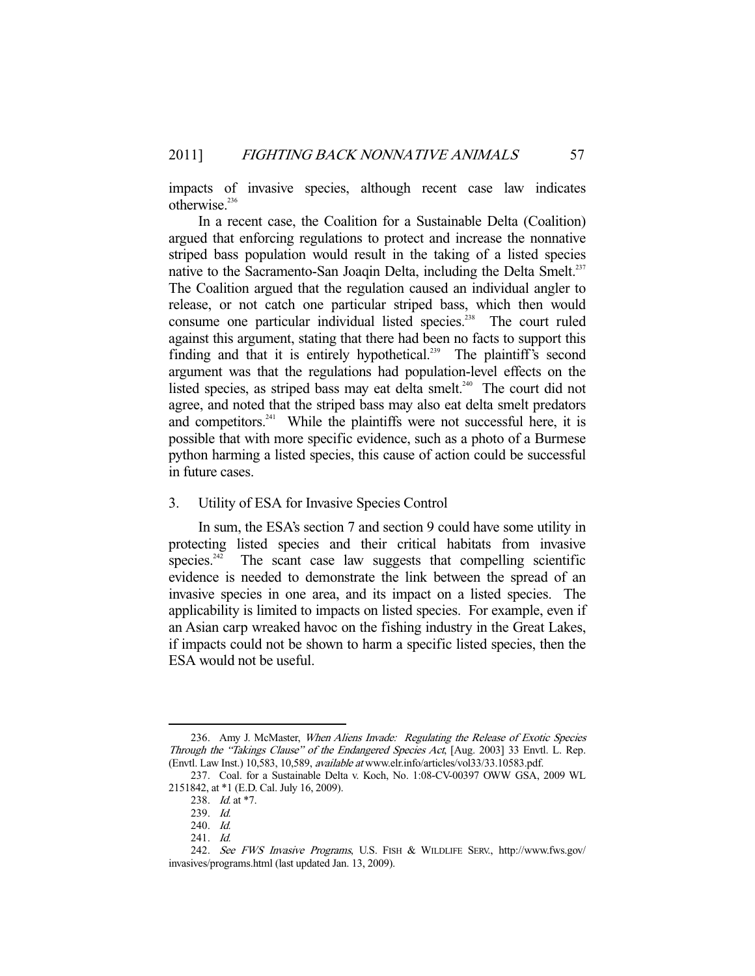impacts of invasive species, although recent case law indicates otherwise.<sup>236</sup>

 In a recent case, the Coalition for a Sustainable Delta (Coalition) argued that enforcing regulations to protect and increase the nonnative striped bass population would result in the taking of a listed species native to the Sacramento-San Joaqin Delta, including the Delta Smelt.<sup>237</sup> The Coalition argued that the regulation caused an individual angler to release, or not catch one particular striped bass, which then would consume one particular individual listed species.<sup>238</sup> The court ruled against this argument, stating that there had been no facts to support this finding and that it is entirely hypothetical.<sup>239</sup> The plaintiff's second argument was that the regulations had population-level effects on the listed species, as striped bass may eat delta smelt.<sup>240</sup> The court did not agree, and noted that the striped bass may also eat delta smelt predators and competitors.<sup>241</sup> While the plaintiffs were not successful here, it is possible that with more specific evidence, such as a photo of a Burmese python harming a listed species, this cause of action could be successful in future cases.

## 3. Utility of ESA for Invasive Species Control

 In sum, the ESA's section 7 and section 9 could have some utility in protecting listed species and their critical habitats from invasive species.<sup>242</sup> The scant case law suggests that compelling scientific The scant case law suggests that compelling scientific evidence is needed to demonstrate the link between the spread of an invasive species in one area, and its impact on a listed species. The applicability is limited to impacts on listed species. For example, even if an Asian carp wreaked havoc on the fishing industry in the Great Lakes, if impacts could not be shown to harm a specific listed species, then the ESA would not be useful.

<sup>236.</sup> Amy J. McMaster, When Aliens Invade: Regulating the Release of Exotic Species Through the "Takings Clause" of the Endangered Species Act, [Aug. 2003] 33 Envtl. L. Rep. (Envtl. Law Inst.) 10,583, 10,589, available at www.elr.info/articles/vol33/33.10583.pdf.

 <sup>237.</sup> Coal. for a Sustainable Delta v. Koch, No. 1:08-CV-00397 OWW GSA, 2009 WL 2151842, at \*1 (E.D. Cal. July 16, 2009).

<sup>238.</sup> *Id.* at \*7.

 <sup>239.</sup> Id.

 <sup>240.</sup> Id.

 <sup>241.</sup> Id.

 <sup>242.</sup> See FWS Invasive Programs, U.S. FISH & WILDLIFE SERV., http://www.fws.gov/ invasives/programs.html (last updated Jan. 13, 2009).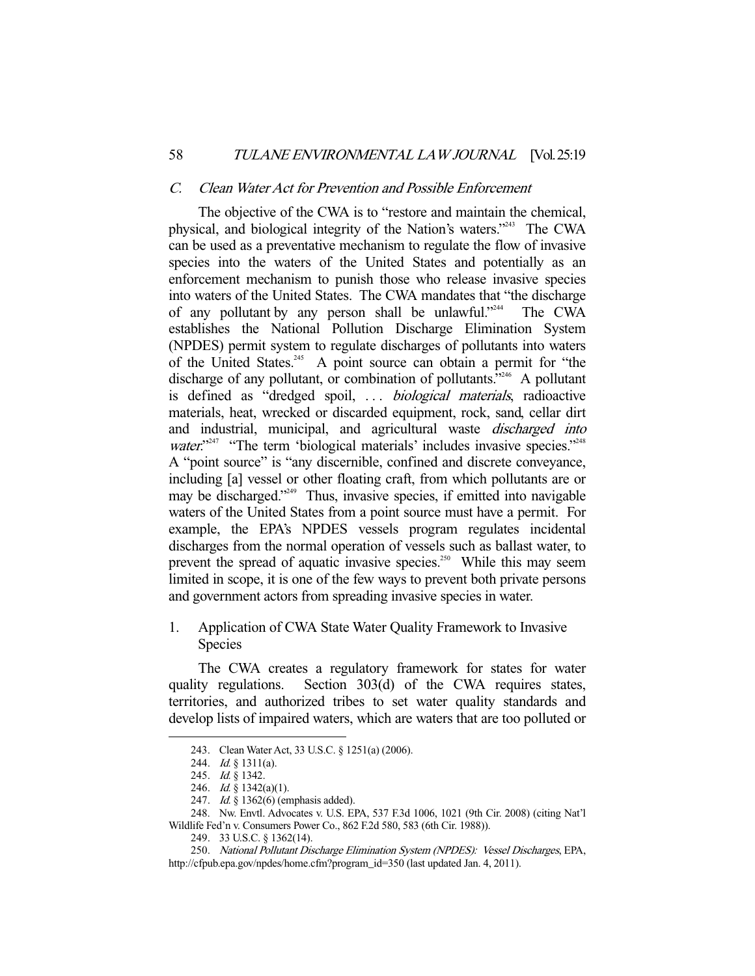## C. Clean Water Act for Prevention and Possible Enforcement

 The objective of the CWA is to "restore and maintain the chemical, physical, and biological integrity of the Nation's waters."243 The CWA can be used as a preventative mechanism to regulate the flow of invasive species into the waters of the United States and potentially as an enforcement mechanism to punish those who release invasive species into waters of the United States. The CWA mandates that "the discharge of any pollutant by any person shall be unlawful."<sup>244</sup> The CWA establishes the National Pollution Discharge Elimination System (NPDES) permit system to regulate discharges of pollutants into waters of the United States.<sup>245</sup> A point source can obtain a permit for "the discharge of any pollutant, or combination of pollutants."246 A pollutant is defined as "dredged spoil, ... *biological materials*, radioactive materials, heat, wrecked or discarded equipment, rock, sand, cellar dirt and industrial, municipal, and agricultural waste discharged into water."<sup>247</sup> "The term 'biological materials' includes invasive species."<sup>248</sup> A "point source" is "any discernible, confined and discrete conveyance, including [a] vessel or other floating craft, from which pollutants are or may be discharged."<sup>249</sup> Thus, invasive species, if emitted into navigable waters of the United States from a point source must have a permit. For example, the EPA's NPDES vessels program regulates incidental discharges from the normal operation of vessels such as ballast water, to prevent the spread of aquatic invasive species.<sup>250</sup> While this may seem limited in scope, it is one of the few ways to prevent both private persons and government actors from spreading invasive species in water.

1. Application of CWA State Water Quality Framework to Invasive Species

 The CWA creates a regulatory framework for states for water quality regulations. Section 303(d) of the CWA requires states, territories, and authorized tribes to set water quality standards and develop lists of impaired waters, which are waters that are too polluted or

 <sup>243.</sup> Clean Water Act, 33 U.S.C. § 1251(a) (2006).

<sup>244.</sup> *Id.* § 1311(a).

<sup>245.</sup> *Id.* § 1342.

 <sup>246.</sup> Id. § 1342(a)(1).

 <sup>247.</sup> Id. § 1362(6) (emphasis added).

 <sup>248.</sup> Nw. Envtl. Advocates v. U.S. EPA, 537 F.3d 1006, 1021 (9th Cir. 2008) (citing Nat'l Wildlife Fed'n v. Consumers Power Co., 862 F.2d 580, 583 (6th Cir. 1988)).

 <sup>249. 33</sup> U.S.C. § 1362(14).

 <sup>250.</sup> National Pollutant Discharge Elimination System (NPDES): Vessel Discharges, EPA, http://cfpub.epa.gov/npdes/home.cfm?program\_id=350 (last updated Jan. 4, 2011).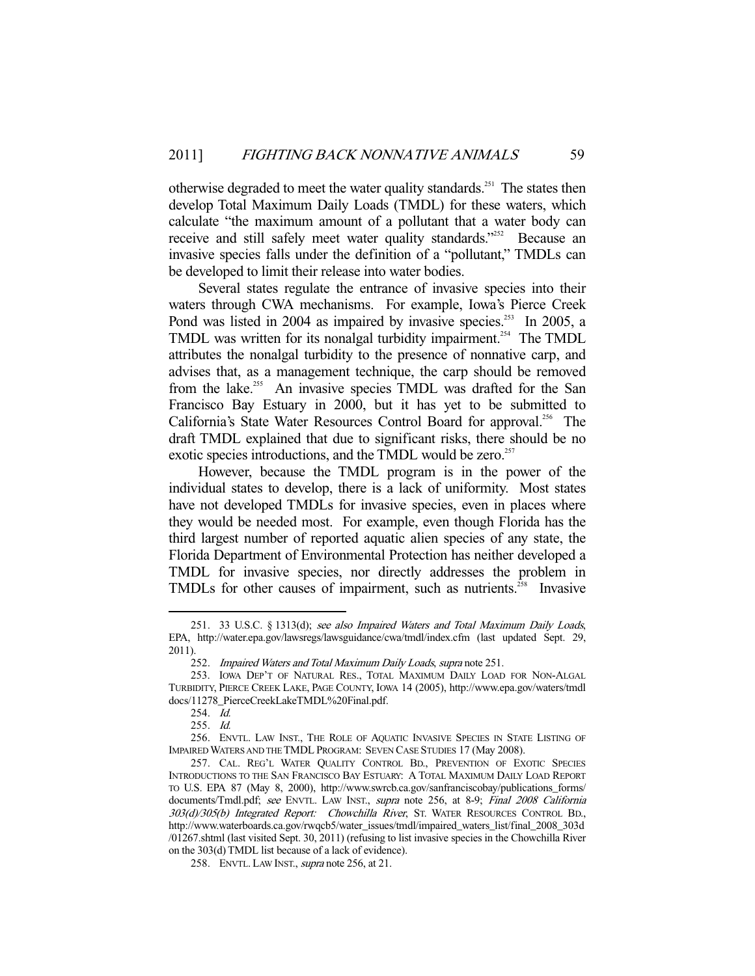otherwise degraded to meet the water quality standards.<sup>251</sup> The states then develop Total Maximum Daily Loads (TMDL) for these waters, which calculate "the maximum amount of a pollutant that a water body can receive and still safely meet water quality standards."<sup>252</sup> Because an invasive species falls under the definition of a "pollutant," TMDLs can be developed to limit their release into water bodies.

 Several states regulate the entrance of invasive species into their waters through CWA mechanisms. For example, Iowa's Pierce Creek Pond was listed in 2004 as impaired by invasive species.<sup>253</sup> In 2005, a TMDL was written for its nonalgal turbidity impairment.<sup>254</sup> The TMDL attributes the nonalgal turbidity to the presence of nonnative carp, and advises that, as a management technique, the carp should be removed from the lake.<sup>255</sup> An invasive species TMDL was drafted for the San Francisco Bay Estuary in 2000, but it has yet to be submitted to California's State Water Resources Control Board for approval.<sup>256</sup> The draft TMDL explained that due to significant risks, there should be no exotic species introductions, and the TMDL would be zero. $257$ 

 However, because the TMDL program is in the power of the individual states to develop, there is a lack of uniformity. Most states have not developed TMDLs for invasive species, even in places where they would be needed most. For example, even though Florida has the third largest number of reported aquatic alien species of any state, the Florida Department of Environmental Protection has neither developed a TMDL for invasive species, nor directly addresses the problem in TMDLs for other causes of impairment, such as nutrients.<sup>258</sup> Invasive

 <sup>251. 33</sup> U.S.C. § 1313(d); see also Impaired Waters and Total Maximum Daily Loads, EPA, http://water.epa.gov/lawsregs/lawsguidance/cwa/tmdl/index.cfm (last updated Sept. 29, 2011).

 <sup>252.</sup> Impaired Waters and Total Maximum Daily Loads, supra note 251.

 <sup>253.</sup> IOWA DEP'T OF NATURAL RES., TOTAL MAXIMUM DAILY LOAD FOR NON-ALGAL TURBIDITY, PIERCE CREEK LAKE, PAGE COUNTY, IOWA 14 (2005), http://www.epa.gov/waters/tmdl docs/11278\_PierceCreekLakeTMDL%20Final.pdf.

 <sup>254.</sup> Id.

 <sup>255.</sup> Id.

 <sup>256.</sup> ENVTL. LAW INST., THE ROLE OF AQUATIC INVASIVE SPECIES IN STATE LISTING OF IMPAIRED WATERS AND THE TMDL PROGRAM: SEVEN CASE STUDIES 17 (May 2008).

 <sup>257.</sup> CAL. REG'L WATER QUALITY CONTROL BD., PREVENTION OF EXOTIC SPECIES INTRODUCTIONS TO THE SAN FRANCISCO BAY ESTUARY: A TOTAL MAXIMUM DAILY LOAD REPORT TO U.S. EPA 87 (May 8, 2000), http://www.swrcb.ca.gov/sanfranciscobay/publications\_forms/ documents/Tmdl.pdf; see ENVTL. LAW INST., supra note 256, at 8-9; Final 2008 California 303(d)/305(b) Integrated Report: Chowchilla River, ST. WATER RESOURCES CONTROL BD., http://www.waterboards.ca.gov/rwqcb5/water\_issues/tmdl/impaired\_waters\_list/final\_2008\_303d /01267.shtml (last visited Sept. 30, 2011) (refusing to list invasive species in the Chowchilla River on the 303(d) TMDL list because of a lack of evidence).

<sup>258.</sup> ENVTL. LAW INST., *supra* note 256, at 21.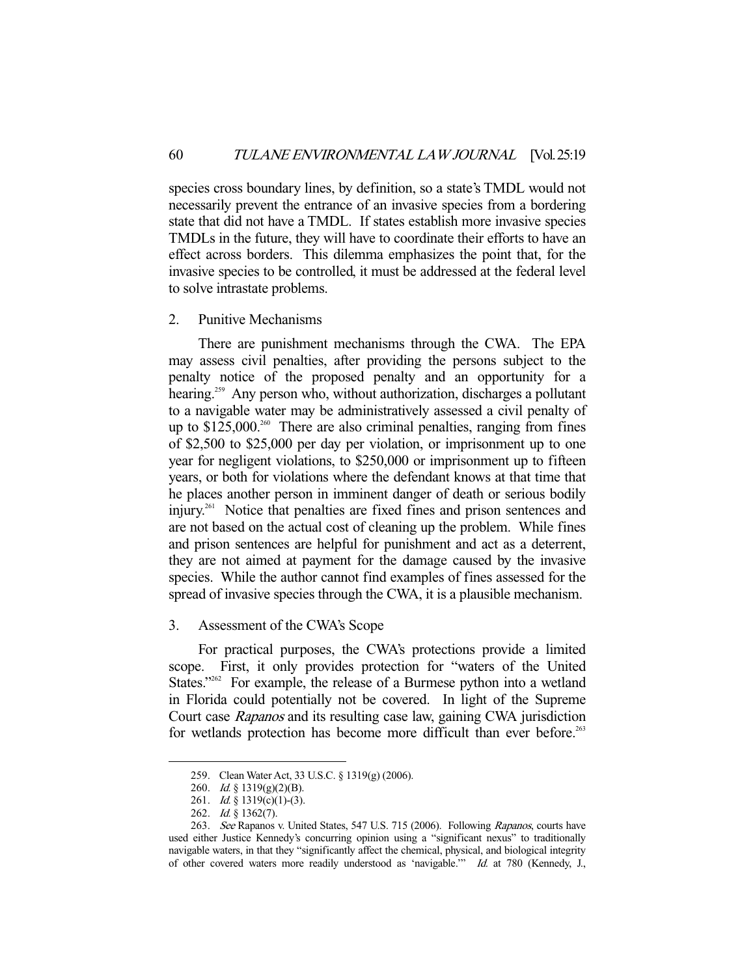species cross boundary lines, by definition, so a state's TMDL would not necessarily prevent the entrance of an invasive species from a bordering state that did not have a TMDL. If states establish more invasive species TMDLs in the future, they will have to coordinate their efforts to have an effect across borders. This dilemma emphasizes the point that, for the invasive species to be controlled, it must be addressed at the federal level to solve intrastate problems.

#### 2. Punitive Mechanisms

 There are punishment mechanisms through the CWA. The EPA may assess civil penalties, after providing the persons subject to the penalty notice of the proposed penalty and an opportunity for a hearing.<sup>259</sup> Any person who, without authorization, discharges a pollutant to a navigable water may be administratively assessed a civil penalty of up to  $$125,000.^{260}$  There are also criminal penalties, ranging from fines of \$2,500 to \$25,000 per day per violation, or imprisonment up to one year for negligent violations, to \$250,000 or imprisonment up to fifteen years, or both for violations where the defendant knows at that time that he places another person in imminent danger of death or serious bodily injury.261 Notice that penalties are fixed fines and prison sentences and are not based on the actual cost of cleaning up the problem. While fines and prison sentences are helpful for punishment and act as a deterrent, they are not aimed at payment for the damage caused by the invasive species. While the author cannot find examples of fines assessed for the spread of invasive species through the CWA, it is a plausible mechanism.

## 3. Assessment of the CWA's Scope

 For practical purposes, the CWA's protections provide a limited scope. First, it only provides protection for "waters of the United States."<sup>262</sup> For example, the release of a Burmese python into a wetland in Florida could potentially not be covered. In light of the Supreme Court case Rapanos and its resulting case law, gaining CWA jurisdiction for wetlands protection has become more difficult than ever before.<sup>263</sup>

 <sup>259.</sup> Clean Water Act, 33 U.S.C. § 1319(g) (2006).

 <sup>260.</sup> Id. § 1319(g)(2)(B).

<sup>261.</sup> *Id.* § 1319(c)(1)-(3).

 <sup>262.</sup> Id. § 1362(7).

<sup>263.</sup> See Rapanos v. United States, 547 U.S. 715 (2006). Following Rapanos, courts have used either Justice Kennedy's concurring opinion using a "significant nexus" to traditionally navigable waters, in that they "significantly affect the chemical, physical, and biological integrity of other covered waters more readily understood as 'navigable.'" Id. at 780 (Kennedy, J.,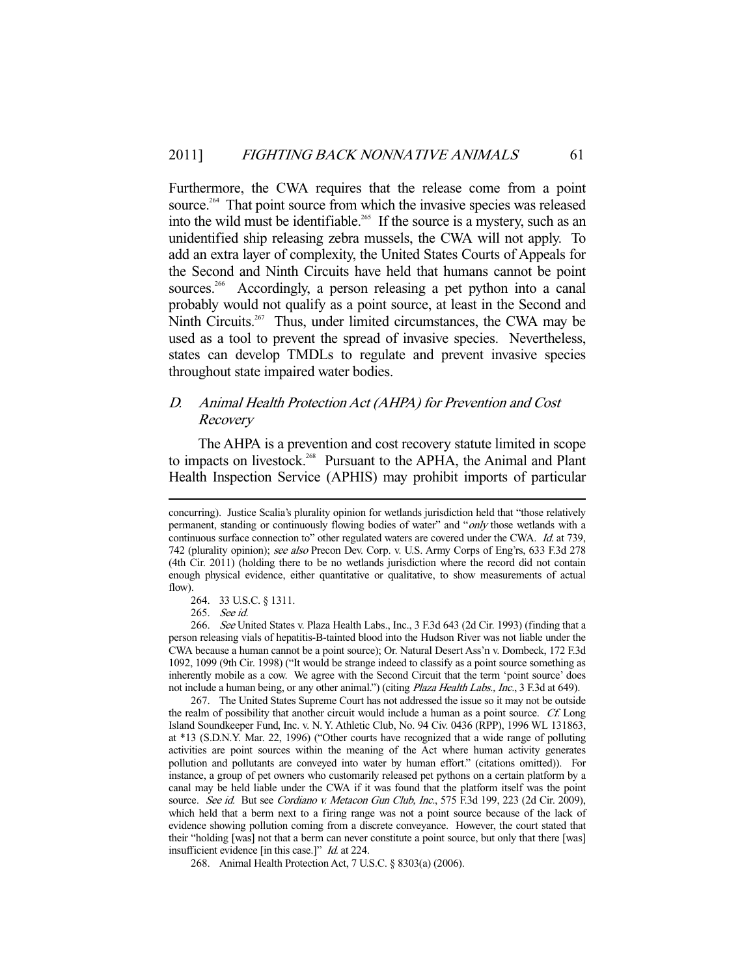Furthermore, the CWA requires that the release come from a point source.<sup>264</sup> That point source from which the invasive species was released into the wild must be identifiable.<sup>265</sup> If the source is a mystery, such as an unidentified ship releasing zebra mussels, the CWA will not apply. To add an extra layer of complexity, the United States Courts of Appeals for the Second and Ninth Circuits have held that humans cannot be point sources.<sup>266</sup> Accordingly, a person releasing a pet python into a canal probably would not qualify as a point source, at least in the Second and Ninth Circuits.<sup>267</sup> Thus, under limited circumstances, the CWA may be used as a tool to prevent the spread of invasive species. Nevertheless, states can develop TMDLs to regulate and prevent invasive species throughout state impaired water bodies.

## D. Animal Health Protection Act (AHPA) for Prevention and Cost Recovery

 The AHPA is a prevention and cost recovery statute limited in scope to impacts on livestock.<sup>268</sup> Pursuant to the APHA, the Animal and Plant Health Inspection Service (APHIS) may prohibit imports of particular

-

 267. The United States Supreme Court has not addressed the issue so it may not be outside the realm of possibility that another circuit would include a human as a point source. Cf. Long Island Soundkeeper Fund, Inc. v. N. Y. Athletic Club, No. 94 Civ. 0436 (RPP), 1996 WL 131863, at \*13 (S.D.N.Y. Mar. 22, 1996) ("Other courts have recognized that a wide range of polluting activities are point sources within the meaning of the Act where human activity generates pollution and pollutants are conveyed into water by human effort." (citations omitted)). For instance, a group of pet owners who customarily released pet pythons on a certain platform by a canal may be held liable under the CWA if it was found that the platform itself was the point source. See id. But see Cordiano v. Metacon Gun Club, Inc., 575 F.3d 199, 223 (2d Cir. 2009), which held that a berm next to a firing range was not a point source because of the lack of evidence showing pollution coming from a discrete conveyance. However, the court stated that their "holding [was] not that a berm can never constitute a point source, but only that there [was] insufficient evidence [in this case.]" *Id.* at 224.

268. Animal Health Protection Act, 7 U.S.C. § 8303(a) (2006).

concurring). Justice Scalia's plurality opinion for wetlands jurisdiction held that "those relatively permanent, standing or continuously flowing bodies of water" and "only those wetlands with a continuous surface connection to" other regulated waters are covered under the CWA. Id. at 739, 742 (plurality opinion); see also Precon Dev. Corp. v. U.S. Army Corps of Eng'rs, 633 F.3d 278 (4th Cir. 2011) (holding there to be no wetlands jurisdiction where the record did not contain enough physical evidence, either quantitative or qualitative, to show measurements of actual flow).

 <sup>264. 33</sup> U.S.C. § 1311.

 <sup>265.</sup> See id.

<sup>266.</sup> See United States v. Plaza Health Labs., Inc., 3 F.3d 643 (2d Cir. 1993) (finding that a person releasing vials of hepatitis-B-tainted blood into the Hudson River was not liable under the CWA because a human cannot be a point source); Or. Natural Desert Ass'n v. Dombeck, 172 F.3d 1092, 1099 (9th Cir. 1998) ("It would be strange indeed to classify as a point source something as inherently mobile as a cow. We agree with the Second Circuit that the term 'point source' does not include a human being, or any other animal.") (citing *Plaza Health Labs., Inc.*, 3 F.3d at 649).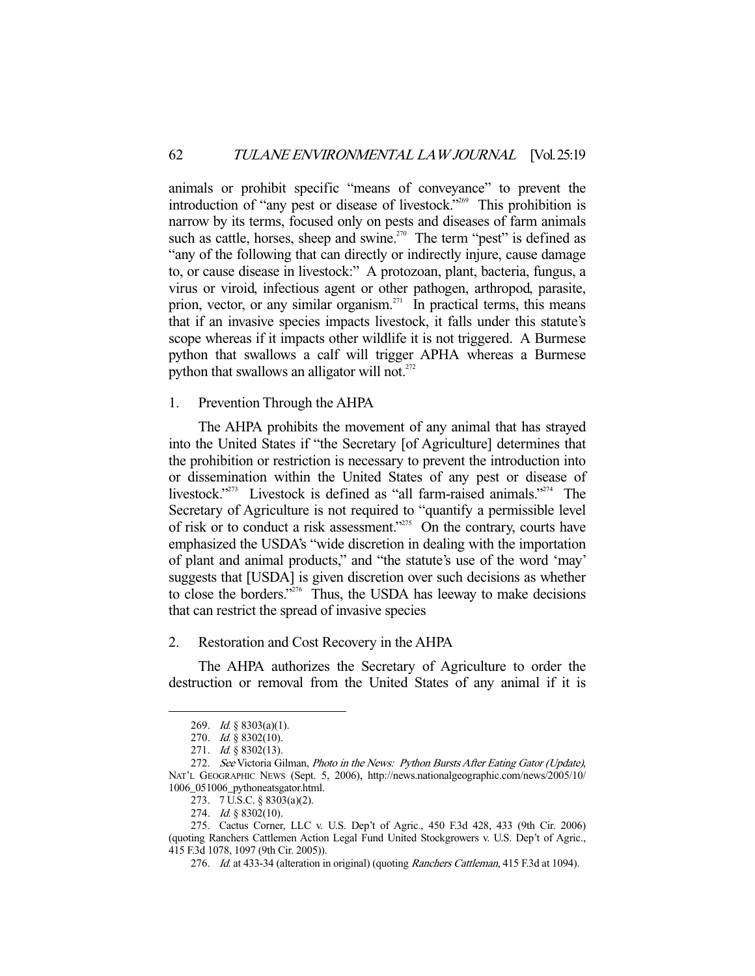animals or prohibit specific "means of conveyance" to prevent the introduction of "any pest or disease of livestock."269 This prohibition is narrow by its terms, focused only on pests and diseases of farm animals such as cattle, horses, sheep and swine.<sup>270</sup> The term "pest" is defined as "any of the following that can directly or indirectly injure, cause damage to, or cause disease in livestock:" A protozoan, plant, bacteria, fungus, a virus or viroid, infectious agent or other pathogen, arthropod, parasite, prion, vector, or any similar organism.<sup> $271$ </sup> In practical terms, this means that if an invasive species impacts livestock, it falls under this statute's scope whereas if it impacts other wildlife it is not triggered. A Burmese python that swallows a calf will trigger APHA whereas a Burmese python that swallows an alligator will not. $272$ 

1. Prevention Through the AHPA

 The AHPA prohibits the movement of any animal that has strayed into the United States if "the Secretary [of Agriculture] determines that the prohibition or restriction is necessary to prevent the introduction into or dissemination within the United States of any pest or disease of livestock."<sup>273</sup> Livestock is defined as "all farm-raised animals."<sup>274</sup> The Secretary of Agriculture is not required to "quantify a permissible level of risk or to conduct a risk assessment."275 On the contrary, courts have emphasized the USDA's "wide discretion in dealing with the importation of plant and animal products," and "the statute's use of the word 'may' suggests that [USDA] is given discretion over such decisions as whether to close the borders."276 Thus, the USDA has leeway to make decisions that can restrict the spread of invasive species

#### 2. Restoration and Cost Recovery in the AHPA

 The AHPA authorizes the Secretary of Agriculture to order the destruction or removal from the United States of any animal if it is

 <sup>269.</sup> Id. § 8303(a)(1).

 <sup>270.</sup> Id. § 8302(10).

 <sup>271.</sup> Id. § 8302(13).

<sup>272.</sup> See Victoria Gilman, Photo in the News: Python Bursts After Eating Gator (Update), NAT'L GEOGRAPHIC NEWS (Sept. 5, 2006), http://news.nationalgeographic.com/news/2005/10/ 1006\_051006\_pythoneatsgator.html.

 <sup>273. 7</sup> U.S.C. § 8303(a)(2).

 <sup>274.</sup> Id. § 8302(10).

 <sup>275.</sup> Cactus Corner, LLC v. U.S. Dep't of Agric., 450 F.3d 428, 433 (9th Cir. 2006) (quoting Ranchers Cattlemen Action Legal Fund United Stockgrowers v. U.S. Dep't of Agric., 415 F.3d 1078, 1097 (9th Cir. 2005)).

<sup>276.</sup> Id. at 433-34 (alteration in original) (quoting Ranchers Cattleman, 415 F.3d at 1094).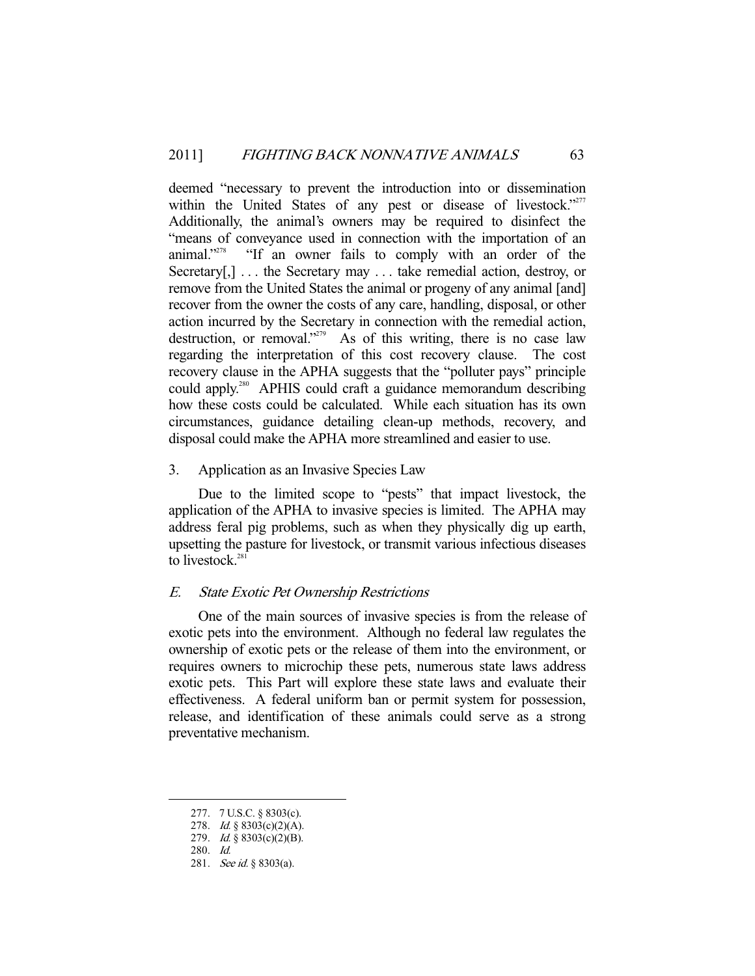deemed "necessary to prevent the introduction into or dissemination within the United States of any pest or disease of livestock."<sup>277</sup> Additionally, the animal's owners may be required to disinfect the "means of conveyance used in connection with the importation of an animal."<sup>278</sup> "If an owner fails to comply with an order of the Secretary[,] ... the Secretary may ... take remedial action, destroy, or remove from the United States the animal or progeny of any animal [and] recover from the owner the costs of any care, handling, disposal, or other action incurred by the Secretary in connection with the remedial action, destruction, or removal."<sup>279</sup> As of this writing, there is no case law regarding the interpretation of this cost recovery clause. The cost recovery clause in the APHA suggests that the "polluter pays" principle could apply.280 APHIS could craft a guidance memorandum describing how these costs could be calculated. While each situation has its own circumstances, guidance detailing clean-up methods, recovery, and disposal could make the APHA more streamlined and easier to use.

3. Application as an Invasive Species Law

 Due to the limited scope to "pests" that impact livestock, the application of the APHA to invasive species is limited. The APHA may address feral pig problems, such as when they physically dig up earth, upsetting the pasture for livestock, or transmit various infectious diseases to livestock. $281$ 

#### E. State Exotic Pet Ownership Restrictions

 One of the main sources of invasive species is from the release of exotic pets into the environment. Although no federal law regulates the ownership of exotic pets or the release of them into the environment, or requires owners to microchip these pets, numerous state laws address exotic pets. This Part will explore these state laws and evaluate their effectiveness. A federal uniform ban or permit system for possession, release, and identification of these animals could serve as a strong preventative mechanism.

 <sup>277. 7</sup> U.S.C. § 8303(c).

 <sup>278.</sup> Id. § 8303(c)(2)(A).

 <sup>279.</sup> Id. § 8303(c)(2)(B).

 <sup>280.</sup> Id.

<sup>281.</sup> See id. § 8303(a).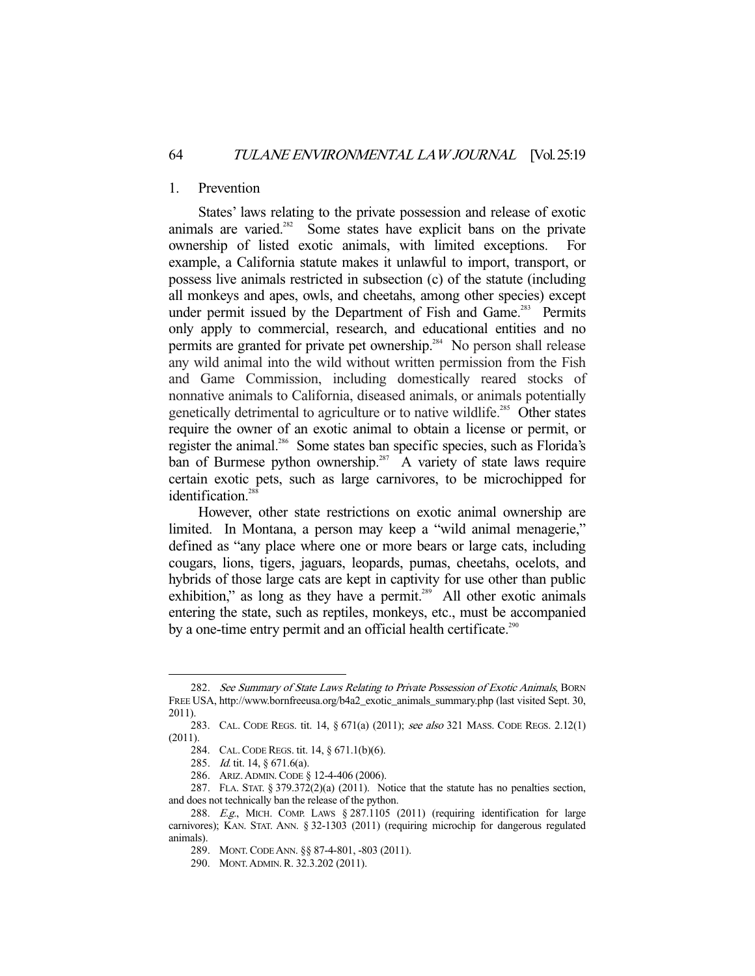#### 1. Prevention

States' laws relating to the private possession and release of exotic animals are varied. $282$  Some states have explicit bans on the private ownership of listed exotic animals, with limited exceptions. For example, a California statute makes it unlawful to import, transport, or possess live animals restricted in subsection (c) of the statute (including all monkeys and apes, owls, and cheetahs, among other species) except under permit issued by the Department of Fish and Game.<sup>283</sup> Permits only apply to commercial, research, and educational entities and no permits are granted for private pet ownership.284 No person shall release any wild animal into the wild without written permission from the Fish and Game Commission, including domestically reared stocks of nonnative animals to California, diseased animals, or animals potentially genetically detrimental to agriculture or to native wildlife.<sup>285</sup> Other states require the owner of an exotic animal to obtain a license or permit, or register the animal.<sup>286</sup> Some states ban specific species, such as Florida's ban of Burmese python ownership.<sup>287</sup> A variety of state laws require certain exotic pets, such as large carnivores, to be microchipped for identification.<sup>28</sup>

 However, other state restrictions on exotic animal ownership are limited. In Montana, a person may keep a "wild animal menagerie," defined as "any place where one or more bears or large cats, including cougars, lions, tigers, jaguars, leopards, pumas, cheetahs, ocelots, and hybrids of those large cats are kept in captivity for use other than public exhibition," as long as they have a permit.<sup>289</sup> All other exotic animals entering the state, such as reptiles, monkeys, etc., must be accompanied by a one-time entry permit and an official health certificate.<sup>290</sup>

 <sup>282.</sup> See Summary of State Laws Relating to Private Possession of Exotic Animals, BORN FREE USA, http://www.bornfreeusa.org/b4a2\_exotic\_animals\_summary.php (last visited Sept. 30, 2011).

 <sup>283.</sup> CAL. CODE REGS. tit. 14, § 671(a) (2011); see also 321 MASS. CODE REGS. 2.12(1) (2011).

 <sup>284.</sup> CAL.CODE REGS. tit. 14, § 671.1(b)(6).

 <sup>285.</sup> Id. tit. 14, § 671.6(a).

 <sup>286.</sup> ARIZ.ADMIN.CODE § 12-4-406 (2006).

 <sup>287.</sup> FLA. STAT. § 379.372(2)(a) (2011). Notice that the statute has no penalties section, and does not technically ban the release of the python.

 <sup>288.</sup> E.g., MICH. COMP. LAWS § 287.1105 (2011) (requiring identification for large carnivores); KAN. STAT. ANN. § 32-1303 (2011) (requiring microchip for dangerous regulated animals).

 <sup>289.</sup> MONT.CODE ANN. §§ 87-4-801, -803 (2011).

 <sup>290.</sup> MONT.ADMIN.R. 32.3.202 (2011).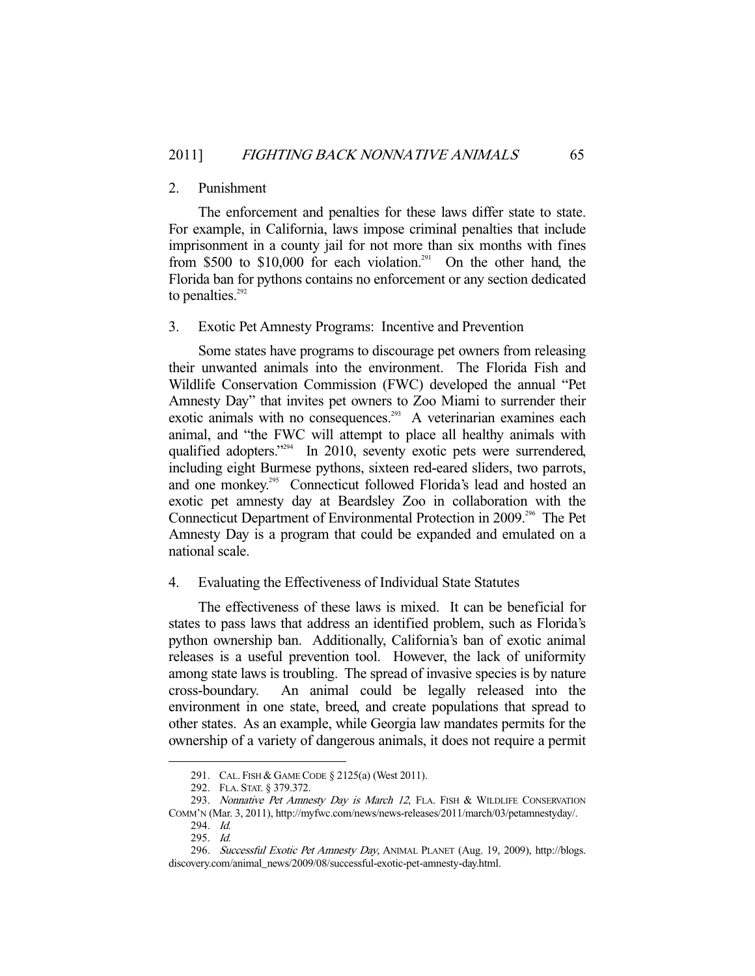#### 2. Punishment

 The enforcement and penalties for these laws differ state to state. For example, in California, laws impose criminal penalties that include imprisonment in a county jail for not more than six months with fines from \$500 to \$10,000 for each violation.<sup>291</sup> On the other hand, the Florida ban for pythons contains no enforcement or any section dedicated to penalties. $292$ 

#### 3. Exotic Pet Amnesty Programs: Incentive and Prevention

 Some states have programs to discourage pet owners from releasing their unwanted animals into the environment. The Florida Fish and Wildlife Conservation Commission (FWC) developed the annual "Pet Amnesty Day" that invites pet owners to Zoo Miami to surrender their exotic animals with no consequences.<sup>293</sup> A veterinarian examines each animal, and "the FWC will attempt to place all healthy animals with qualified adopters."<sup>294</sup> In 2010, seventy exotic pets were surrendered, including eight Burmese pythons, sixteen red-eared sliders, two parrots, and one monkey.<sup>295</sup> Connecticut followed Florida's lead and hosted an exotic pet amnesty day at Beardsley Zoo in collaboration with the Connecticut Department of Environmental Protection in 2009.<sup>296</sup> The Pet Amnesty Day is a program that could be expanded and emulated on a national scale.

## 4. Evaluating the Effectiveness of Individual State Statutes

 The effectiveness of these laws is mixed. It can be beneficial for states to pass laws that address an identified problem, such as Florida's python ownership ban. Additionally, California's ban of exotic animal releases is a useful prevention tool. However, the lack of uniformity among state laws is troubling. The spread of invasive species is by nature cross-boundary. An animal could be legally released into the environment in one state, breed, and create populations that spread to other states. As an example, while Georgia law mandates permits for the ownership of a variety of dangerous animals, it does not require a permit

 <sup>291.</sup> CAL. FISH & GAME CODE § 2125(a) (West 2011).

 <sup>292.</sup> FLA. STAT. § 379.372.

<sup>293.</sup> Nonnative Pet Amnesty Day is March 12, FLA. FISH & WILDLIFE CONSERVATION COMM'N (Mar. 3, 2011), http://myfwc.com/news/news-releases/2011/march/03/petamnestyday/. 294. Id.

 <sup>295.</sup> Id.

 <sup>296.</sup> Successful Exotic Pet Amnesty Day, ANIMAL PLANET (Aug. 19, 2009), http://blogs. discovery.com/animal\_news/2009/08/successful-exotic-pet-amnesty-day.html.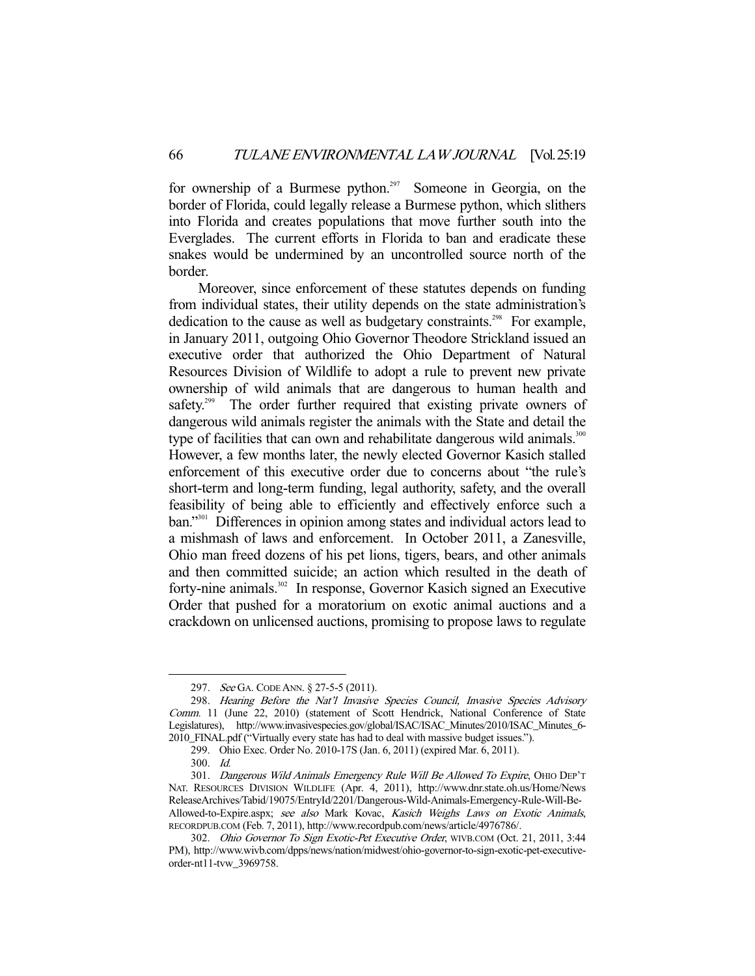for ownership of a Burmese python.<sup>297</sup> Someone in Georgia, on the border of Florida, could legally release a Burmese python, which slithers into Florida and creates populations that move further south into the Everglades. The current efforts in Florida to ban and eradicate these snakes would be undermined by an uncontrolled source north of the border.

 Moreover, since enforcement of these statutes depends on funding from individual states, their utility depends on the state administration's dedication to the cause as well as budgetary constraints.<sup>298</sup> For example, in January 2011, outgoing Ohio Governor Theodore Strickland issued an executive order that authorized the Ohio Department of Natural Resources Division of Wildlife to adopt a rule to prevent new private ownership of wild animals that are dangerous to human health and safety.<sup>299</sup> The order further required that existing private owners of dangerous wild animals register the animals with the State and detail the type of facilities that can own and rehabilitate dangerous wild animals.<sup>300</sup> However, a few months later, the newly elected Governor Kasich stalled enforcement of this executive order due to concerns about "the rule's short-term and long-term funding, legal authority, safety, and the overall feasibility of being able to efficiently and effectively enforce such a ban."301 Differences in opinion among states and individual actors lead to a mishmash of laws and enforcement. In October 2011, a Zanesville, Ohio man freed dozens of his pet lions, tigers, bears, and other animals and then committed suicide; an action which resulted in the death of forty-nine animals.<sup>302</sup> In response, Governor Kasich signed an Executive Order that pushed for a moratorium on exotic animal auctions and a crackdown on unlicensed auctions, promising to propose laws to regulate

 <sup>297.</sup> See GA. CODE ANN. § 27-5-5 (2011).

 <sup>298.</sup> Hearing Before the Nat'l Invasive Species Council, Invasive Species Advisory Comm. 11 (June 22, 2010) (statement of Scott Hendrick, National Conference of State Legislatures), http://www.invasivespecies.gov/global/ISAC/ISAC\_Minutes/2010/ISAC\_Minutes\_6- 2010\_FINAL.pdf ("Virtually every state has had to deal with massive budget issues.").

 <sup>299.</sup> Ohio Exec. Order No. 2010-17S (Jan. 6, 2011) (expired Mar. 6, 2011).

 <sup>300.</sup> Id.

<sup>301.</sup> Dangerous Wild Animals Emergency Rule Will Be Allowed To Expire, OHIO DEP'T NAT. RESOURCES DIVISION WILDLIFE (Apr. 4, 2011), http://www.dnr.state.oh.us/Home/News ReleaseArchives/Tabid/19075/EntryId/2201/Dangerous-Wild-Animals-Emergency-Rule-Will-Be-Allowed-to-Expire.aspx; see also Mark Kovac, Kasich Weighs Laws on Exotic Animals, RECORDPUB.COM (Feb. 7, 2011), http://www.recordpub.com/news/article/4976786/.

 <sup>302.</sup> Ohio Governor To Sign Exotic-Pet Executive Order, WIVB.COM (Oct. 21, 2011, 3:44 PM), http://www.wivb.com/dpps/news/nation/midwest/ohio-governor-to-sign-exotic-pet-executiveorder-nt11-tvw\_3969758.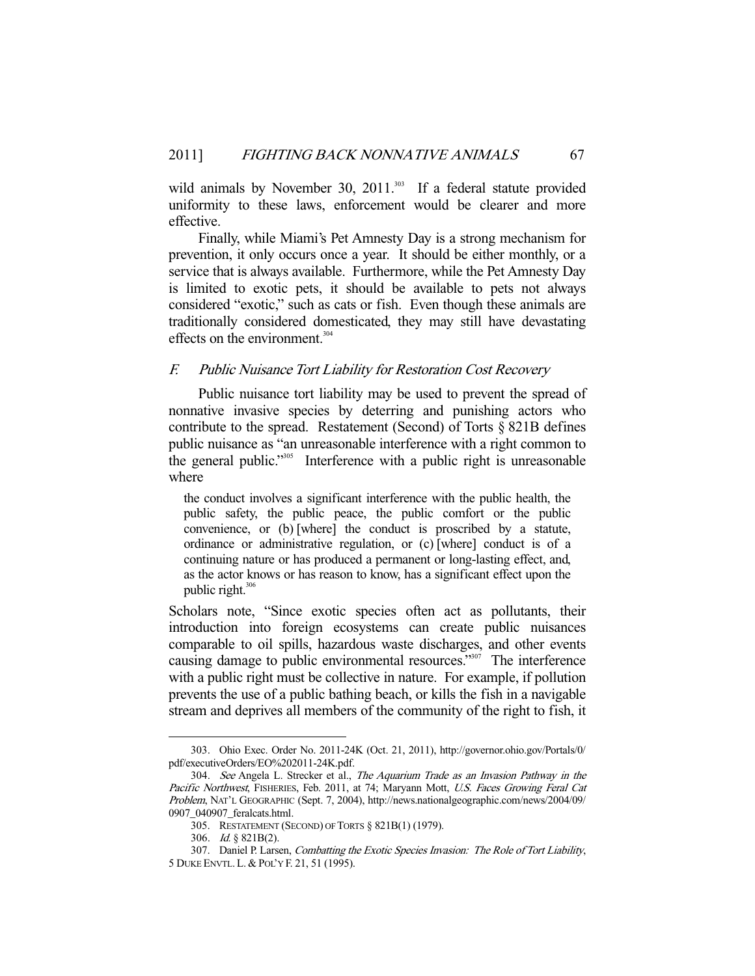wild animals by November 30, 2011.<sup>303</sup> If a federal statute provided uniformity to these laws, enforcement would be clearer and more effective.

 Finally, while Miami's Pet Amnesty Day is a strong mechanism for prevention, it only occurs once a year. It should be either monthly, or a service that is always available. Furthermore, while the Pet Amnesty Day is limited to exotic pets, it should be available to pets not always considered "exotic," such as cats or fish. Even though these animals are traditionally considered domesticated, they may still have devastating effects on the environment.<sup>304</sup>

## F. Public Nuisance Tort Liability for Restoration Cost Recovery

 Public nuisance tort liability may be used to prevent the spread of nonnative invasive species by deterring and punishing actors who contribute to the spread. Restatement (Second) of Torts § 821B defines public nuisance as "an unreasonable interference with a right common to the general public."305 Interference with a public right is unreasonable where

the conduct involves a significant interference with the public health, the public safety, the public peace, the public comfort or the public convenience, or (b) [where] the conduct is proscribed by a statute, ordinance or administrative regulation, or (c) [where] conduct is of a continuing nature or has produced a permanent or long-lasting effect, and, as the actor knows or has reason to know, has a significant effect upon the public right. $306$ 

Scholars note, "Since exotic species often act as pollutants, their introduction into foreign ecosystems can create public nuisances comparable to oil spills, hazardous waste discharges, and other events causing damage to public environmental resources.<sup>307</sup> The interference with a public right must be collective in nature. For example, if pollution prevents the use of a public bathing beach, or kills the fish in a navigable stream and deprives all members of the community of the right to fish, it

 <sup>303.</sup> Ohio Exec. Order No. 2011-24K (Oct. 21, 2011), http://governor.ohio.gov/Portals/0/ pdf/executiveOrders/EO%202011-24K.pdf.

 <sup>304.</sup> See Angela L. Strecker et al., The Aquarium Trade as an Invasion Pathway in the Pacific Northwest, FISHERIES, Feb. 2011, at 74; Maryann Mott, U.S. Faces Growing Feral Cat Problem, NAT'L GEOGRAPHIC (Sept. 7, 2004), http://news.nationalgeographic.com/news/2004/09/ 0907\_040907\_feralcats.html.

 <sup>305.</sup> RESTATEMENT (SECOND) OF TORTS § 821B(1) (1979).

 <sup>306.</sup> Id. § 821B(2).

 <sup>307.</sup> Daniel P. Larsen, Combatting the Exotic Species Invasion: The Role of Tort Liability, 5 DUKE ENVTL. L. & POL'Y F. 21, 51 (1995).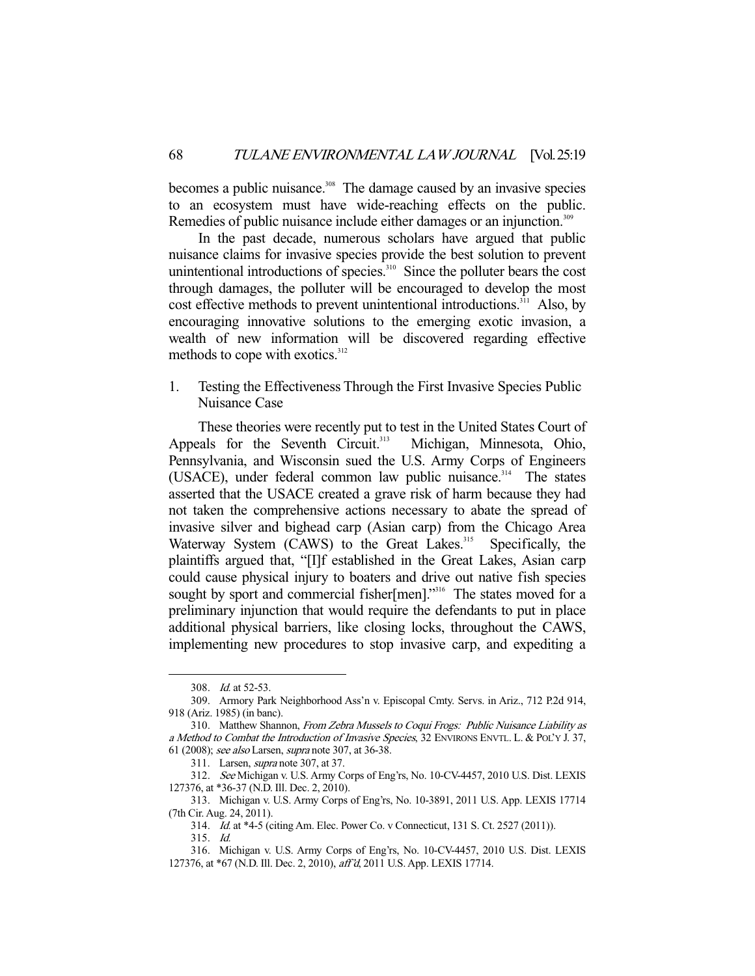becomes a public nuisance.<sup>308</sup> The damage caused by an invasive species to an ecosystem must have wide-reaching effects on the public. Remedies of public nuisance include either damages or an injunction.<sup>309</sup>

 In the past decade, numerous scholars have argued that public nuisance claims for invasive species provide the best solution to prevent unintentional introductions of species.<sup>310</sup> Since the polluter bears the cost through damages, the polluter will be encouraged to develop the most cost effective methods to prevent unintentional introductions.<sup>311</sup> Also, by encouraging innovative solutions to the emerging exotic invasion, a wealth of new information will be discovered regarding effective methods to cope with exotics.<sup>312</sup>

1. Testing the Effectiveness Through the First Invasive Species Public Nuisance Case

 These theories were recently put to test in the United States Court of Appeals for the Seventh Circuit.<sup>313</sup> Michigan, Minnesota, Ohio, Pennsylvania, and Wisconsin sued the U.S. Army Corps of Engineers (USACE), under federal common law public nuisance.<sup>314</sup> The states asserted that the USACE created a grave risk of harm because they had not taken the comprehensive actions necessary to abate the spread of invasive silver and bighead carp (Asian carp) from the Chicago Area Waterway System (CAWS) to the Great Lakes.<sup>315</sup> Specifically, the plaintiffs argued that, "[I]f established in the Great Lakes, Asian carp could cause physical injury to boaters and drive out native fish species sought by sport and commercial fisher[men]."<sup>316</sup> The states moved for a preliminary injunction that would require the defendants to put in place additional physical barriers, like closing locks, throughout the CAWS, implementing new procedures to stop invasive carp, and expediting a

 <sup>308.</sup> Id. at 52-53.

 <sup>309.</sup> Armory Park Neighborhood Ass'n v. Episcopal Cmty. Servs. in Ariz., 712 P.2d 914, 918 (Ariz. 1985) (in banc).

 <sup>310.</sup> Matthew Shannon, From Zebra Mussels to Coqui Frogs: Public Nuisance Liability as a Method to Combat the Introduction of Invasive Species, 32 ENVIRONS ENVTL. L. & POL'Y J. 37, 61 (2008); see also Larsen, supra note 307, at 36-38.

 <sup>311.</sup> Larsen, supra note 307, at 37.

 <sup>312.</sup> See Michigan v. U.S. Army Corps of Eng'rs, No. 10-CV-4457, 2010 U.S. Dist. LEXIS 127376, at \*36-37 (N.D. Ill. Dec. 2, 2010).

 <sup>313.</sup> Michigan v. U.S. Army Corps of Eng'rs, No. 10-3891, 2011 U.S. App. LEXIS 17714 (7th Cir. Aug. 24, 2011).

 <sup>314.</sup> Id. at \*4-5 (citing Am. Elec. Power Co. v Connecticut, 131 S. Ct. 2527 (2011)).

 <sup>315.</sup> Id.

 <sup>316.</sup> Michigan v. U.S. Army Corps of Eng'rs, No. 10-CV-4457, 2010 U.S. Dist. LEXIS 127376, at \*67 (N.D. Ill. Dec. 2, 2010), aff'd, 2011 U.S. App. LEXIS 17714.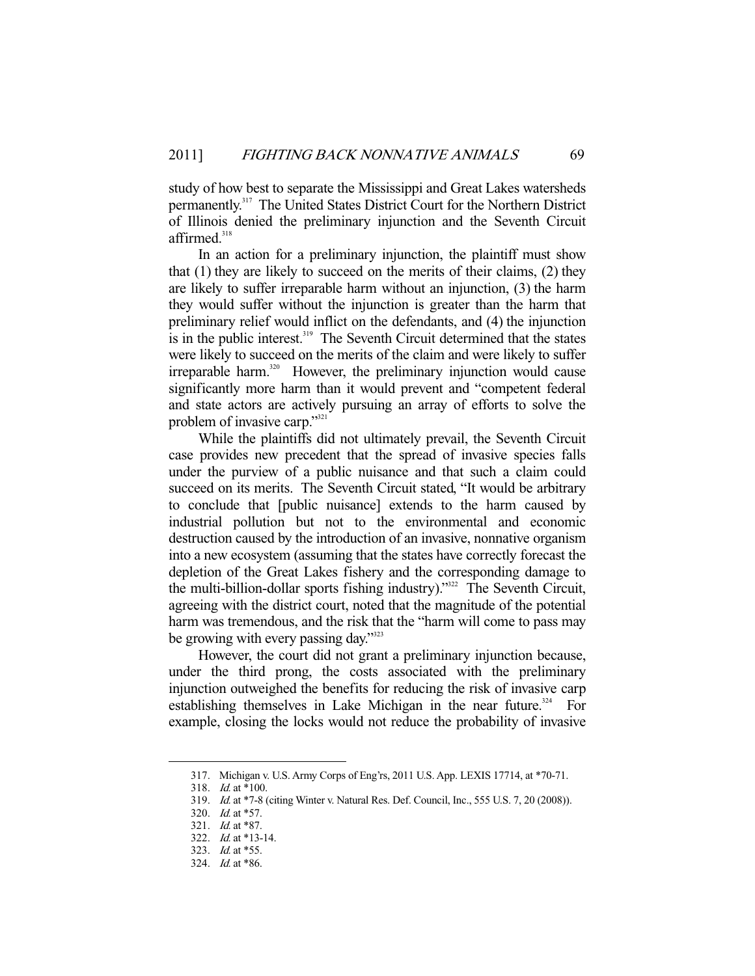study of how best to separate the Mississippi and Great Lakes watersheds permanently.317 The United States District Court for the Northern District of Illinois denied the preliminary injunction and the Seventh Circuit affirmed.<sup>318</sup>

 In an action for a preliminary injunction, the plaintiff must show that (1) they are likely to succeed on the merits of their claims, (2) they are likely to suffer irreparable harm without an injunction, (3) the harm they would suffer without the injunction is greater than the harm that preliminary relief would inflict on the defendants, and (4) the injunction is in the public interest.<sup>319</sup> The Seventh Circuit determined that the states were likely to succeed on the merits of the claim and were likely to suffer irreparable harm.<sup>320</sup> However, the preliminary injunction would cause significantly more harm than it would prevent and "competent federal and state actors are actively pursuing an array of efforts to solve the problem of invasive carp."<sup>321</sup>

 While the plaintiffs did not ultimately prevail, the Seventh Circuit case provides new precedent that the spread of invasive species falls under the purview of a public nuisance and that such a claim could succeed on its merits. The Seventh Circuit stated, "It would be arbitrary to conclude that [public nuisance] extends to the harm caused by industrial pollution but not to the environmental and economic destruction caused by the introduction of an invasive, nonnative organism into a new ecosystem (assuming that the states have correctly forecast the depletion of the Great Lakes fishery and the corresponding damage to the multi-billion-dollar sports fishing industry)."322 The Seventh Circuit, agreeing with the district court, noted that the magnitude of the potential harm was tremendous, and the risk that the "harm will come to pass may be growing with every passing day."<sup>323</sup>

 However, the court did not grant a preliminary injunction because, under the third prong, the costs associated with the preliminary injunction outweighed the benefits for reducing the risk of invasive carp establishing themselves in Lake Michigan in the near future.<sup>324</sup> For example, closing the locks would not reduce the probability of invasive

 <sup>317.</sup> Michigan v. U.S. Army Corps of Eng'rs, 2011 U.S. App. LEXIS 17714, at \*70-71.

 <sup>318.</sup> Id. at \*100.

 <sup>319.</sup> Id. at \*7-8 (citing Winter v. Natural Res. Def. Council, Inc., 555 U.S. 7, 20 (2008)).

 <sup>320.</sup> Id. at \*57.

 <sup>321.</sup> Id. at \*87.

 <sup>322.</sup> Id. at \*13-14.

 <sup>323.</sup> Id. at \*55.

 <sup>324.</sup> Id. at \*86.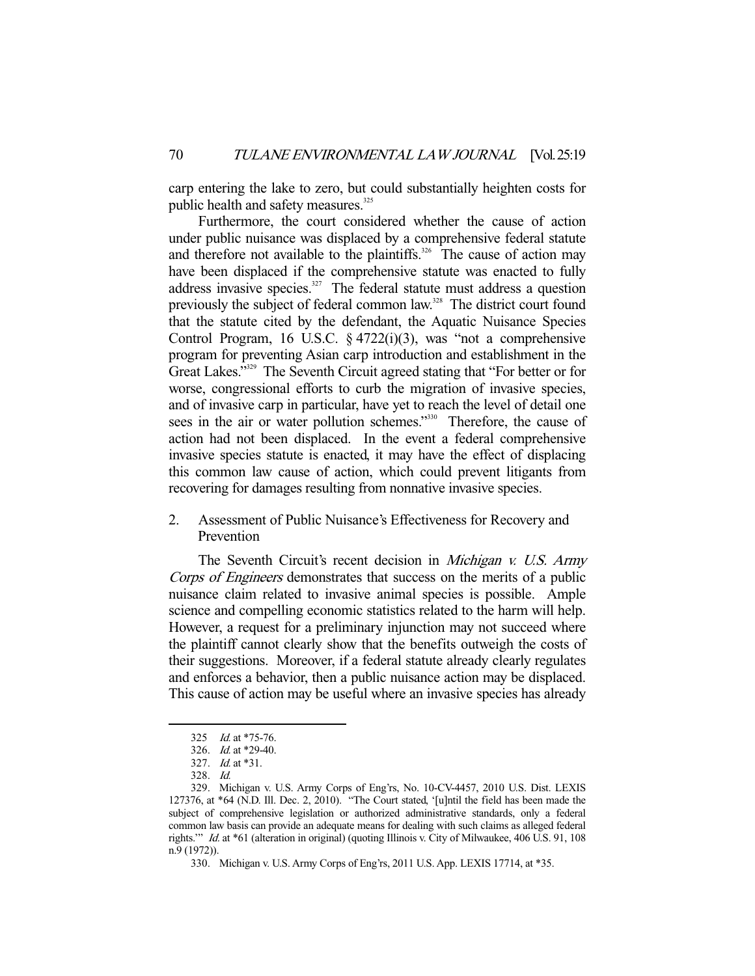carp entering the lake to zero, but could substantially heighten costs for public health and safety measures.<sup>325</sup>

 Furthermore, the court considered whether the cause of action under public nuisance was displaced by a comprehensive federal statute and therefore not available to the plaintiffs.<sup>326</sup> The cause of action may have been displaced if the comprehensive statute was enacted to fully address invasive species. $327$  The federal statute must address a question previously the subject of federal common law.<sup>328</sup> The district court found that the statute cited by the defendant, the Aquatic Nuisance Species Control Program, 16 U.S.C.  $\S 4722(i)(3)$ , was "not a comprehensive program for preventing Asian carp introduction and establishment in the Great Lakes."<sup>3329</sup> The Seventh Circuit agreed stating that "For better or for worse, congressional efforts to curb the migration of invasive species, and of invasive carp in particular, have yet to reach the level of detail one sees in the air or water pollution schemes."<sup>330</sup> Therefore, the cause of action had not been displaced. In the event a federal comprehensive invasive species statute is enacted, it may have the effect of displacing this common law cause of action, which could prevent litigants from recovering for damages resulting from nonnative invasive species.

## 2. Assessment of Public Nuisance's Effectiveness for Recovery and Prevention

The Seventh Circuit's recent decision in Michigan v. U.S. Army Corps of Engineers demonstrates that success on the merits of a public nuisance claim related to invasive animal species is possible. Ample science and compelling economic statistics related to the harm will help. However, a request for a preliminary injunction may not succeed where the plaintiff cannot clearly show that the benefits outweigh the costs of their suggestions. Moreover, if a federal statute already clearly regulates and enforces a behavior, then a public nuisance action may be displaced. This cause of action may be useful where an invasive species has already

 <sup>325</sup> Id. at \*75-76.

 <sup>326.</sup> Id. at \*29-40.

 <sup>327.</sup> Id. at \*31.

 <sup>328.</sup> Id.

 <sup>329.</sup> Michigan v. U.S. Army Corps of Eng'rs, No. 10-CV-4457, 2010 U.S. Dist. LEXIS 127376, at \*64 (N.D. Ill. Dec. 2, 2010). "The Court stated, '[u]ntil the field has been made the subject of comprehensive legislation or authorized administrative standards, only a federal common law basis can provide an adequate means for dealing with such claims as alleged federal rights.'" Id. at \*61 (alteration in original) (quoting Illinois v. City of Milwaukee, 406 U.S. 91, 108 n.9 (1972)).

 <sup>330.</sup> Michigan v. U.S. Army Corps of Eng'rs, 2011 U.S. App. LEXIS 17714, at \*35.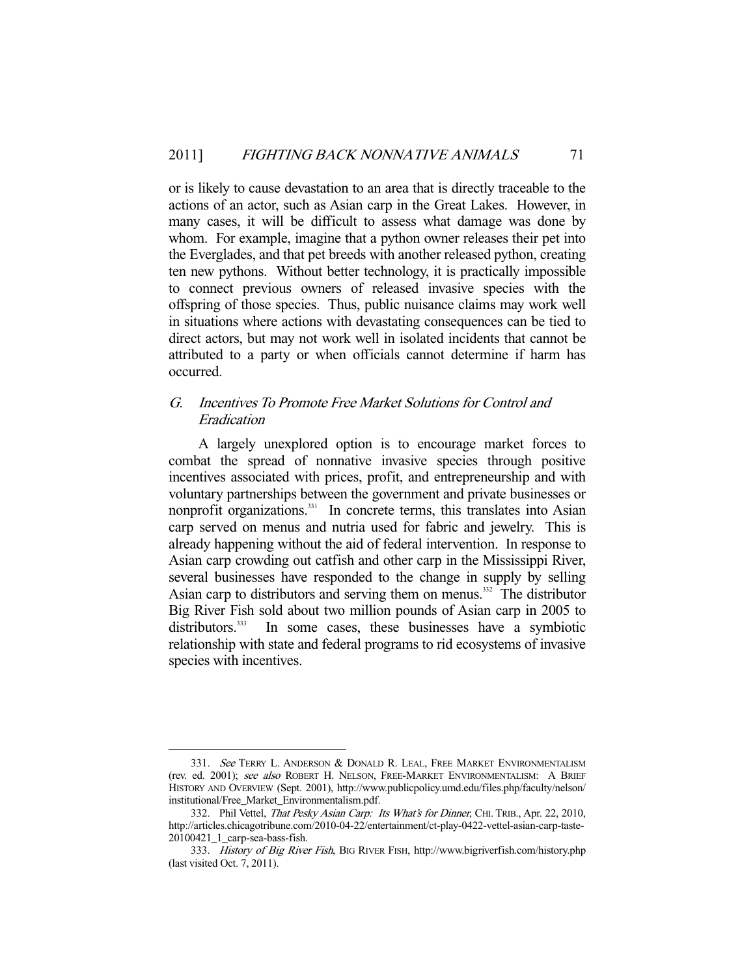or is likely to cause devastation to an area that is directly traceable to the actions of an actor, such as Asian carp in the Great Lakes. However, in many cases, it will be difficult to assess what damage was done by whom. For example, imagine that a python owner releases their pet into the Everglades, and that pet breeds with another released python, creating ten new pythons. Without better technology, it is practically impossible to connect previous owners of released invasive species with the offspring of those species. Thus, public nuisance claims may work well in situations where actions with devastating consequences can be tied to direct actors, but may not work well in isolated incidents that cannot be attributed to a party or when officials cannot determine if harm has occurred.

# G. Incentives To Promote Free Market Solutions for Control and Eradication

 A largely unexplored option is to encourage market forces to combat the spread of nonnative invasive species through positive incentives associated with prices, profit, and entrepreneurship and with voluntary partnerships between the government and private businesses or nonprofit organizations.<sup>331</sup> In concrete terms, this translates into Asian carp served on menus and nutria used for fabric and jewelry. This is already happening without the aid of federal intervention. In response to Asian carp crowding out catfish and other carp in the Mississippi River, several businesses have responded to the change in supply by selling Asian carp to distributors and serving them on menus. $332$  The distributor Big River Fish sold about two million pounds of Asian carp in 2005 to distributors.<sup>333</sup> In some cases, these businesses have a symbiotic relationship with state and federal programs to rid ecosystems of invasive species with incentives.

<sup>331.</sup> See TERRY L. ANDERSON & DONALD R. LEAL, FREE MARKET ENVIRONMENTALISM (rev. ed. 2001); see also ROBERT H. NELSON, FREE-MARKET ENVIRONMENTALISM: A BRIEF HISTORY AND OVERVIEW (Sept. 2001), http://www.publicpolicy.umd.edu/files.php/faculty/nelson/ institutional/Free\_Market\_Environmentalism.pdf.

<sup>332.</sup> Phil Vettel, That Pesky Asian Carp: Its What's for Dinner, CHI. TRIB., Apr. 22, 2010, http://articles.chicagotribune.com/2010-04-22/entertainment/ct-play-0422-vettel-asian-carp-taste-20100421\_1\_carp-sea-bass-fish.

 <sup>333.</sup> History of Big River Fish, BIG RIVER FISH, http://www.bigriverfish.com/history.php (last visited Oct. 7, 2011).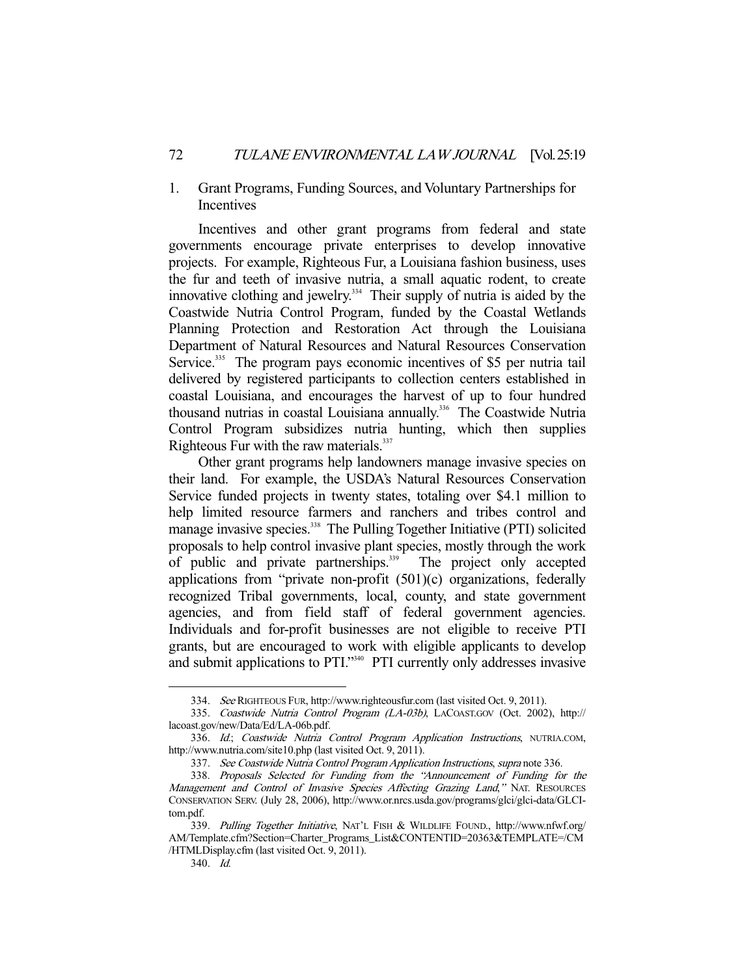1. Grant Programs, Funding Sources, and Voluntary Partnerships for Incentives

 Incentives and other grant programs from federal and state governments encourage private enterprises to develop innovative projects. For example, Righteous Fur, a Louisiana fashion business, uses the fur and teeth of invasive nutria, a small aquatic rodent, to create innovative clothing and jewelry.<sup>334</sup> Their supply of nutria is aided by the Coastwide Nutria Control Program, funded by the Coastal Wetlands Planning Protection and Restoration Act through the Louisiana Department of Natural Resources and Natural Resources Conservation Service.<sup>335</sup> The program pays economic incentives of \$5 per nutria tail delivered by registered participants to collection centers established in coastal Louisiana, and encourages the harvest of up to four hundred thousand nutrias in coastal Louisiana annually.<sup>336</sup> The Coastwide Nutria Control Program subsidizes nutria hunting, which then supplies Righteous Fur with the raw materials.<sup>337</sup>

 Other grant programs help landowners manage invasive species on their land. For example, the USDA's Natural Resources Conservation Service funded projects in twenty states, totaling over \$4.1 million to help limited resource farmers and ranchers and tribes control and manage invasive species.<sup>338</sup> The Pulling Together Initiative (PTI) solicited proposals to help control invasive plant species, mostly through the work of public and private partnerships.<sup>339</sup> The project only accepted applications from "private non-profit (501)(c) organizations, federally recognized Tribal governments, local, county, and state government agencies, and from field staff of federal government agencies. Individuals and for-profit businesses are not eligible to receive PTI grants, but are encouraged to work with eligible applicants to develop and submit applications to PTI."<sup>340</sup> PTI currently only addresses invasive

 <sup>334.</sup> See RIGHTEOUS FUR, http://www.righteousfur.com (last visited Oct. 9, 2011).

 <sup>335.</sup> Coastwide Nutria Control Program (LA-03b), LACOAST.GOV (Oct. 2002), http:// lacoast.gov/new/Data/Ed/LA-06b.pdf.

 <sup>336.</sup> Id.; Coastwide Nutria Control Program Application Instructions, NUTRIA.COM, http://www.nutria.com/site10.php (last visited Oct. 9, 2011).

 <sup>337.</sup> See Coastwide Nutria Control Program Application Instructions, supra note 336.

 <sup>338.</sup> Proposals Selected for Funding from the "Announcement of Funding for the Management and Control of Invasive Species Affecting Grazing Land," NAT. RESOURCES CONSERVATION SERV. (July 28, 2006), http://www.or.nrcs.usda.gov/programs/glci/glci-data/GLCItom.pdf.

<sup>339.</sup> Pulling Together Initiative, NAT'L FISH & WILDLIFE FOUND., http://www.nfwf.org/ AM/Template.cfm?Section=Charter\_Programs\_List&CONTENTID=20363&TEMPLATE=/CM /HTMLDisplay.cfm (last visited Oct. 9, 2011).

 <sup>340.</sup> Id.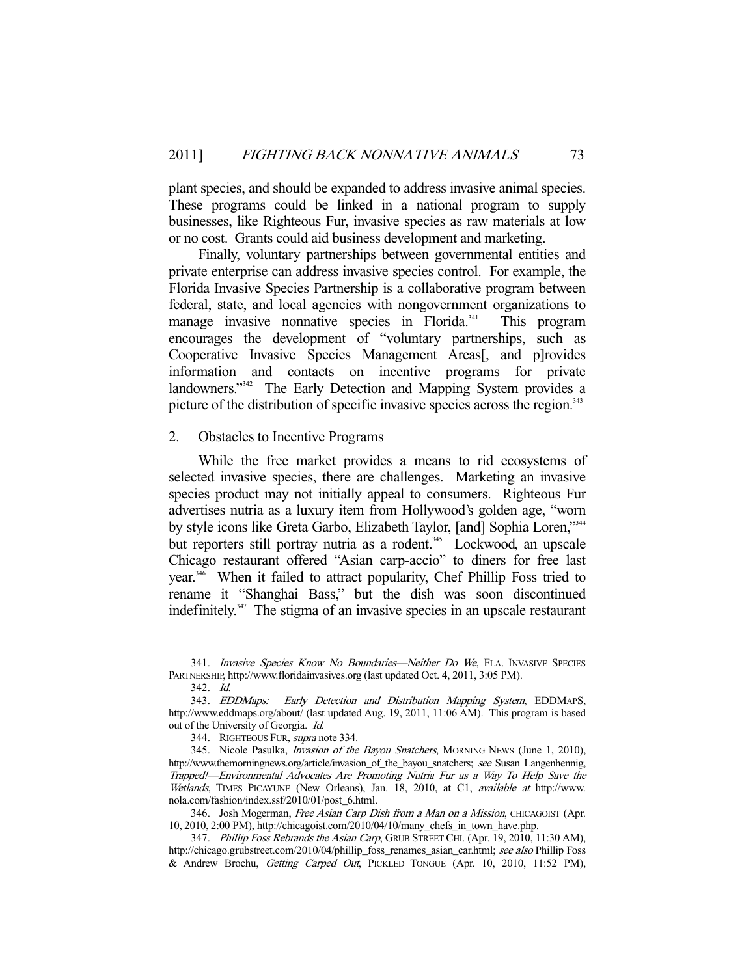plant species, and should be expanded to address invasive animal species. These programs could be linked in a national program to supply businesses, like Righteous Fur, invasive species as raw materials at low or no cost. Grants could aid business development and marketing.

 Finally, voluntary partnerships between governmental entities and private enterprise can address invasive species control. For example, the Florida Invasive Species Partnership is a collaborative program between federal, state, and local agencies with nongovernment organizations to manage invasive nonnative species in Florida.<sup>341</sup> This program encourages the development of "voluntary partnerships, such as Cooperative Invasive Species Management Areas[, and p]rovides information and contacts on incentive programs for private landowners."<sup>342</sup> The Early Detection and Mapping System provides a picture of the distribution of specific invasive species across the region.<sup>343</sup>

#### 2. Obstacles to Incentive Programs

 While the free market provides a means to rid ecosystems of selected invasive species, there are challenges. Marketing an invasive species product may not initially appeal to consumers. Righteous Fur advertises nutria as a luxury item from Hollywood's golden age, "worn by style icons like Greta Garbo, Elizabeth Taylor, [and] Sophia Loren,"344 but reporters still portray nutria as a rodent.<sup>345</sup> Lockwood, an upscale Chicago restaurant offered "Asian carp-accio" to diners for free last year.<sup>346</sup> When it failed to attract popularity, Chef Phillip Foss tried to rename it "Shanghai Bass," but the dish was soon discontinued indefinitely.<sup>347</sup> The stigma of an invasive species in an upscale restaurant

<sup>341.</sup> Invasive Species Know No Boundaries-Neither Do We, FLA. INVASIVE SPECIES PARTNERSHIP, http://www.floridainvasives.org (last updated Oct. 4, 2011, 3:05 PM).

 <sup>342.</sup> Id.

 <sup>343.</sup> EDDMaps: Early Detection and Distribution Mapping System, EDDMAPS, http://www.eddmaps.org/about/ (last updated Aug. 19, 2011, 11:06 AM). This program is based out of the University of Georgia. Id.

<sup>344.</sup> RIGHTEOUS FUR, supra note 334.

<sup>345.</sup> Nicole Pasulka, *Invasion of the Bayou Snatchers*, MORNING NEWS (June 1, 2010), http://www.themorningnews.org/article/invasion\_of\_the\_bayou\_snatchers; see Susan Langenhennig, Trapped!—Environmental Advocates Are Promoting Nutria Fur as a Way To Help Save the Wetlands, TIMES PICAYUNE (New Orleans), Jan. 18, 2010, at C1, available at http://www. nola.com/fashion/index.ssf/2010/01/post\_6.html.

<sup>346.</sup> Josh Mogerman, Free Asian Carp Dish from a Man on a Mission, CHICAGOIST (Apr. 10, 2010, 2:00 PM), http://chicagoist.com/2010/04/10/many\_chefs\_in\_town\_have.php.

<sup>347.</sup> Phillip Foss Rebrands the Asian Carp, GRUB STREET CHI. (Apr. 19, 2010, 11:30 AM), http://chicago.grubstreet.com/2010/04/phillip\_foss\_renames\_asian\_car.html; see also Phillip Foss & Andrew Brochu, Getting Carped Out, PICKLED TONGUE (Apr. 10, 2010, 11:52 PM),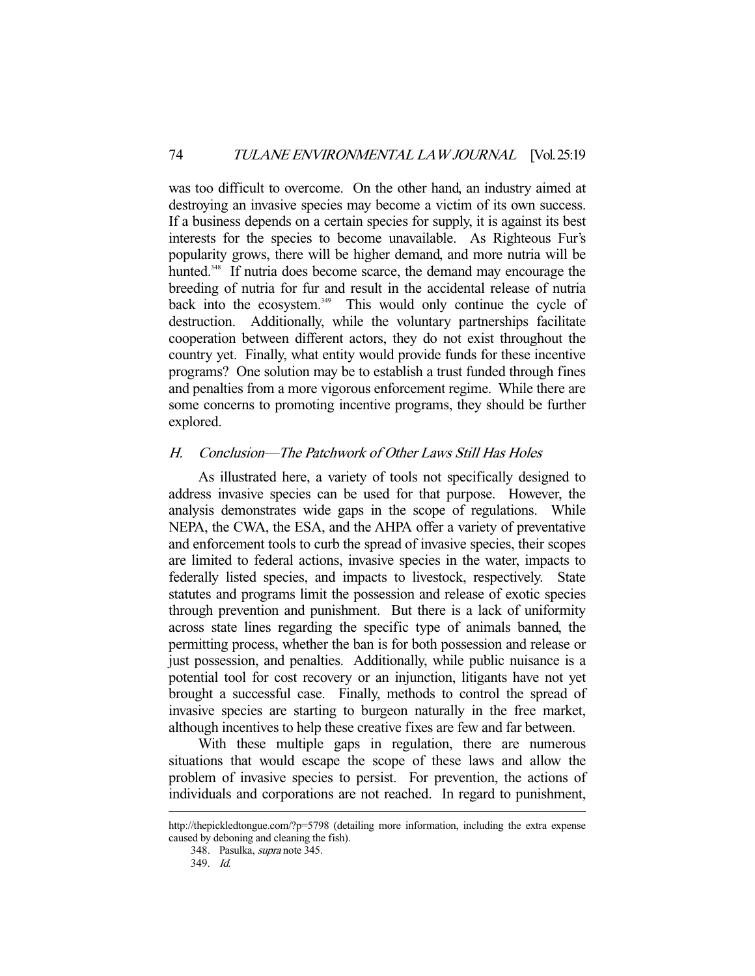was too difficult to overcome. On the other hand, an industry aimed at destroying an invasive species may become a victim of its own success. If a business depends on a certain species for supply, it is against its best interests for the species to become unavailable. As Righteous Fur's popularity grows, there will be higher demand, and more nutria will be hunted.<sup>348</sup> If nutria does become scarce, the demand may encourage the breeding of nutria for fur and result in the accidental release of nutria back into the ecosystem.<sup>349</sup> This would only continue the cycle of destruction. Additionally, while the voluntary partnerships facilitate cooperation between different actors, they do not exist throughout the country yet. Finally, what entity would provide funds for these incentive programs? One solution may be to establish a trust funded through fines and penalties from a more vigorous enforcement regime. While there are some concerns to promoting incentive programs, they should be further explored.

#### H. Conclusion—The Patchwork of Other Laws Still Has Holes

 As illustrated here, a variety of tools not specifically designed to address invasive species can be used for that purpose. However, the analysis demonstrates wide gaps in the scope of regulations. While NEPA, the CWA, the ESA, and the AHPA offer a variety of preventative and enforcement tools to curb the spread of invasive species, their scopes are limited to federal actions, invasive species in the water, impacts to federally listed species, and impacts to livestock, respectively. State statutes and programs limit the possession and release of exotic species through prevention and punishment. But there is a lack of uniformity across state lines regarding the specific type of animals banned, the permitting process, whether the ban is for both possession and release or just possession, and penalties. Additionally, while public nuisance is a potential tool for cost recovery or an injunction, litigants have not yet brought a successful case. Finally, methods to control the spread of invasive species are starting to burgeon naturally in the free market, although incentives to help these creative fixes are few and far between.

 With these multiple gaps in regulation, there are numerous situations that would escape the scope of these laws and allow the problem of invasive species to persist. For prevention, the actions of individuals and corporations are not reached. In regard to punishment,

http://thepickledtongue.com/?p=5798 (detailing more information, including the extra expense caused by deboning and cleaning the fish).

 <sup>348.</sup> Pasulka, supra note 345.

 <sup>349.</sup> Id.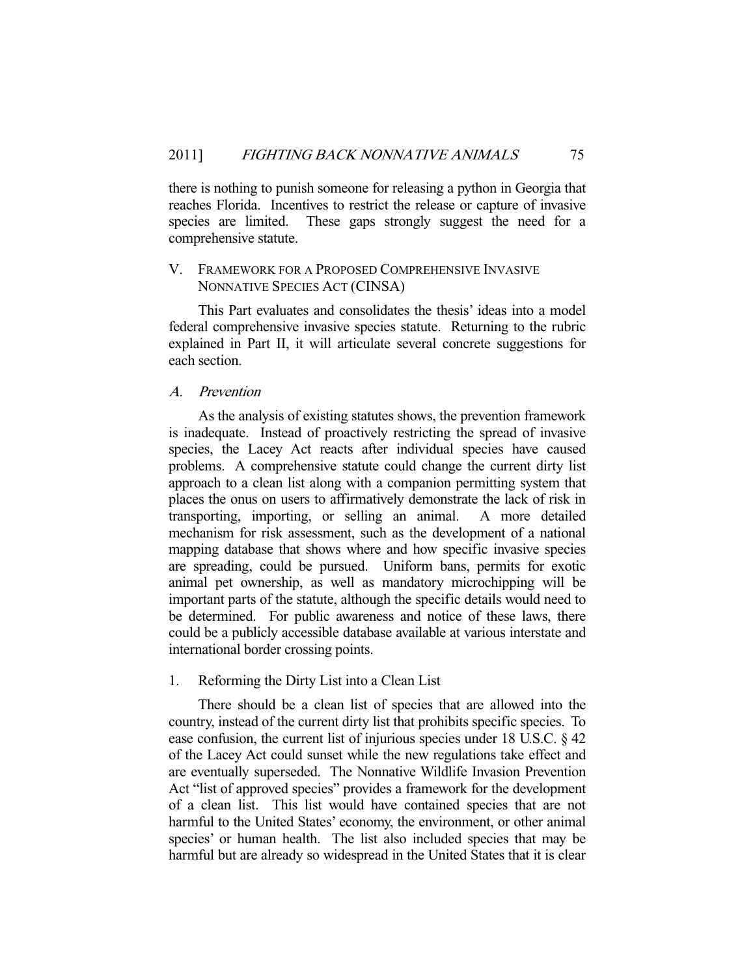there is nothing to punish someone for releasing a python in Georgia that reaches Florida. Incentives to restrict the release or capture of invasive species are limited. These gaps strongly suggest the need for a comprehensive statute.

## V. FRAMEWORK FOR A PROPOSED COMPREHENSIVE INVASIVE NONNATIVE SPECIES ACT (CINSA)

 This Part evaluates and consolidates the thesis' ideas into a model federal comprehensive invasive species statute. Returning to the rubric explained in Part II, it will articulate several concrete suggestions for each section.

#### A. Prevention

 As the analysis of existing statutes shows, the prevention framework is inadequate. Instead of proactively restricting the spread of invasive species, the Lacey Act reacts after individual species have caused problems. A comprehensive statute could change the current dirty list approach to a clean list along with a companion permitting system that places the onus on users to affirmatively demonstrate the lack of risk in transporting, importing, or selling an animal. A more detailed mechanism for risk assessment, such as the development of a national mapping database that shows where and how specific invasive species are spreading, could be pursued. Uniform bans, permits for exotic animal pet ownership, as well as mandatory microchipping will be important parts of the statute, although the specific details would need to be determined. For public awareness and notice of these laws, there could be a publicly accessible database available at various interstate and international border crossing points.

#### 1. Reforming the Dirty List into a Clean List

 There should be a clean list of species that are allowed into the country, instead of the current dirty list that prohibits specific species. To ease confusion, the current list of injurious species under 18 U.S.C. § 42 of the Lacey Act could sunset while the new regulations take effect and are eventually superseded. The Nonnative Wildlife Invasion Prevention Act "list of approved species" provides a framework for the development of a clean list. This list would have contained species that are not harmful to the United States' economy, the environment, or other animal species' or human health. The list also included species that may be harmful but are already so widespread in the United States that it is clear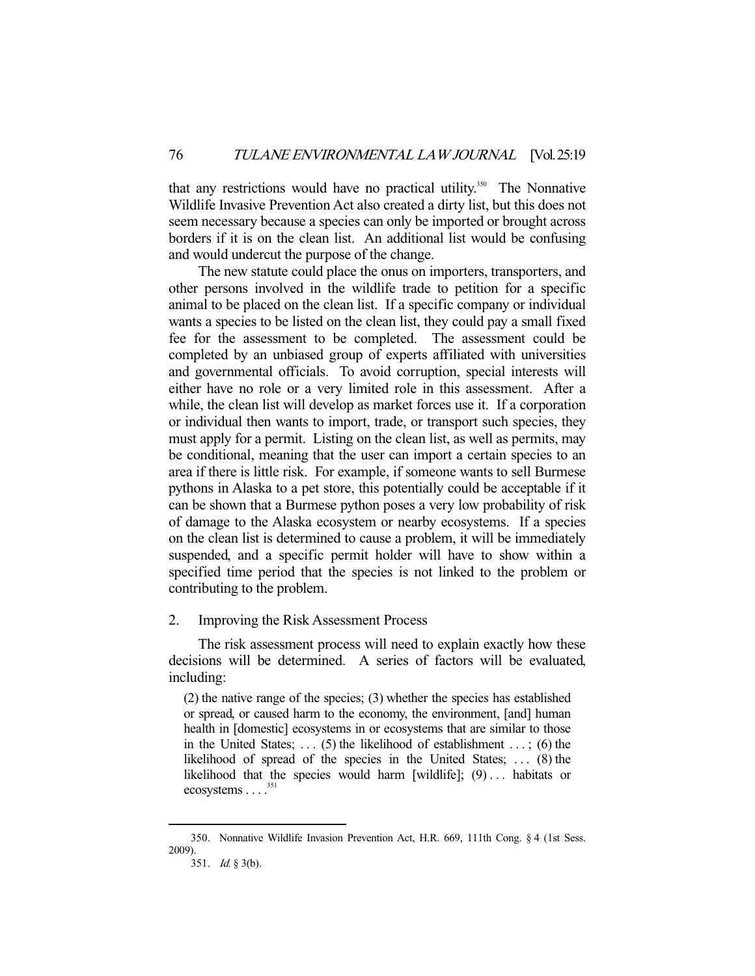that any restrictions would have no practical utility.<sup>350</sup> The Nonnative Wildlife Invasive Prevention Act also created a dirty list, but this does not seem necessary because a species can only be imported or brought across borders if it is on the clean list. An additional list would be confusing and would undercut the purpose of the change.

 The new statute could place the onus on importers, transporters, and other persons involved in the wildlife trade to petition for a specific animal to be placed on the clean list. If a specific company or individual wants a species to be listed on the clean list, they could pay a small fixed fee for the assessment to be completed. The assessment could be completed by an unbiased group of experts affiliated with universities and governmental officials. To avoid corruption, special interests will either have no role or a very limited role in this assessment. After a while, the clean list will develop as market forces use it. If a corporation or individual then wants to import, trade, or transport such species, they must apply for a permit. Listing on the clean list, as well as permits, may be conditional, meaning that the user can import a certain species to an area if there is little risk. For example, if someone wants to sell Burmese pythons in Alaska to a pet store, this potentially could be acceptable if it can be shown that a Burmese python poses a very low probability of risk of damage to the Alaska ecosystem or nearby ecosystems. If a species on the clean list is determined to cause a problem, it will be immediately suspended, and a specific permit holder will have to show within a specified time period that the species is not linked to the problem or contributing to the problem.

#### 2. Improving the Risk Assessment Process

 The risk assessment process will need to explain exactly how these decisions will be determined. A series of factors will be evaluated, including:

(2) the native range of the species; (3) whether the species has established or spread, or caused harm to the economy, the environment, [and] human health in [domestic] ecosystems in or ecosystems that are similar to those in the United States;  $\dots$  (5) the likelihood of establishment  $\dots$ ; (6) the likelihood of spread of the species in the United States; . . . (8) the likelihood that the species would harm [wildlife]; (9) . . . habitats or ecosystems  $\ldots$ <sup>351</sup>

 <sup>350.</sup> Nonnative Wildlife Invasion Prevention Act, H.R. 669, 111th Cong. § 4 (1st Sess. 2009).

 <sup>351.</sup> Id. § 3(b).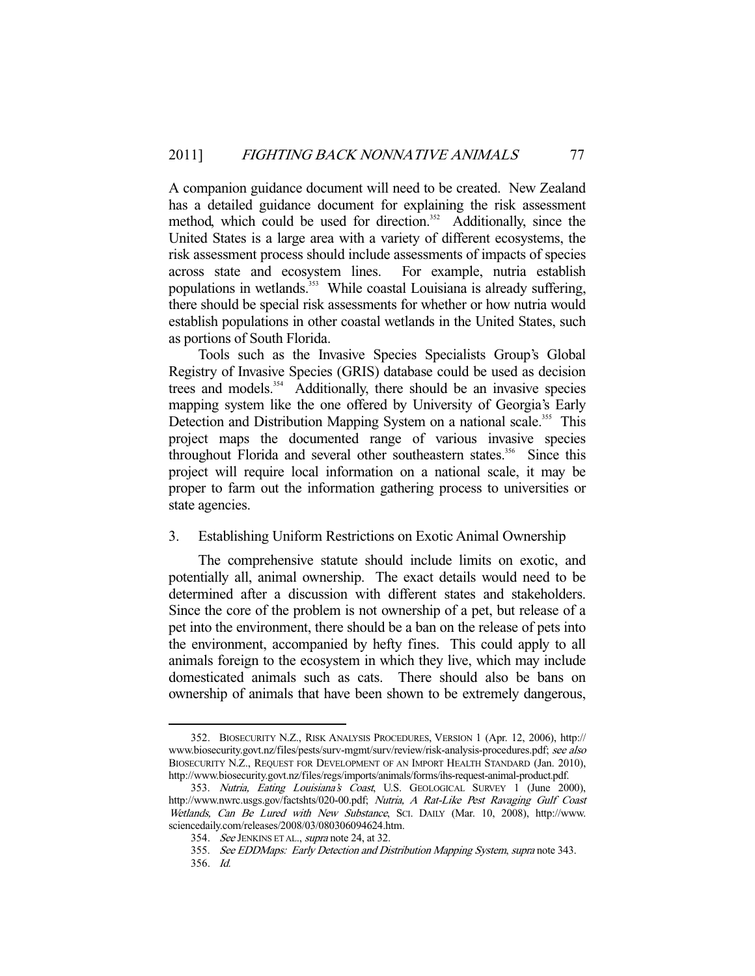A companion guidance document will need to be created. New Zealand has a detailed guidance document for explaining the risk assessment method, which could be used for direction.<sup>352</sup> Additionally, since the United States is a large area with a variety of different ecosystems, the risk assessment process should include assessments of impacts of species across state and ecosystem lines. For example, nutria establish populations in wetlands.<sup>353</sup> While coastal Louisiana is already suffering, there should be special risk assessments for whether or how nutria would establish populations in other coastal wetlands in the United States, such as portions of South Florida.

 Tools such as the Invasive Species Specialists Group's Global Registry of Invasive Species (GRIS) database could be used as decision trees and models.354 Additionally, there should be an invasive species mapping system like the one offered by University of Georgia's Early Detection and Distribution Mapping System on a national scale.<sup>355</sup> This project maps the documented range of various invasive species throughout Florida and several other southeastern states.<sup>356</sup> Since this project will require local information on a national scale, it may be proper to farm out the information gathering process to universities or state agencies.

3. Establishing Uniform Restrictions on Exotic Animal Ownership

 The comprehensive statute should include limits on exotic, and potentially all, animal ownership. The exact details would need to be determined after a discussion with different states and stakeholders. Since the core of the problem is not ownership of a pet, but release of a pet into the environment, there should be a ban on the release of pets into the environment, accompanied by hefty fines. This could apply to all animals foreign to the ecosystem in which they live, which may include domesticated animals such as cats. There should also be bans on ownership of animals that have been shown to be extremely dangerous,

<sup>-</sup> 352. BIOSECURITY N.Z., RISK ANALYSIS PROCEDURES, VERSION 1 (Apr. 12, 2006), http:// www.biosecurity.govt.nz/files/pests/surv-mgmt/surv/review/risk-analysis-procedures.pdf; see also BIOSECURITY N.Z., REQUEST FOR DEVELOPMENT OF AN IMPORT HEALTH STANDARD (Jan. 2010), http://www.biosecurity.govt.nz/files/regs/imports/animals/forms/ihs-request-animal-product.pdf.

<sup>353.</sup> Nutria, Eating Louisiana's Coast, U.S. GEOLOGICAL SURVEY 1 (June 2000), http://www.nwrc.usgs.gov/factshts/020-00.pdf; Nutria, A Rat-Like Pest Ravaging Gulf Coast Wetlands, Can Be Lured with New Substance, SCI. DAILY (Mar. 10, 2008), http://www. sciencedaily.com/releases/2008/03/080306094624.htm.

<sup>354.</sup> See JENKINS ET AL., supra note 24, at 32.

 <sup>355.</sup> See EDDMaps: Early Detection and Distribution Mapping System, supra note 343. 356. Id.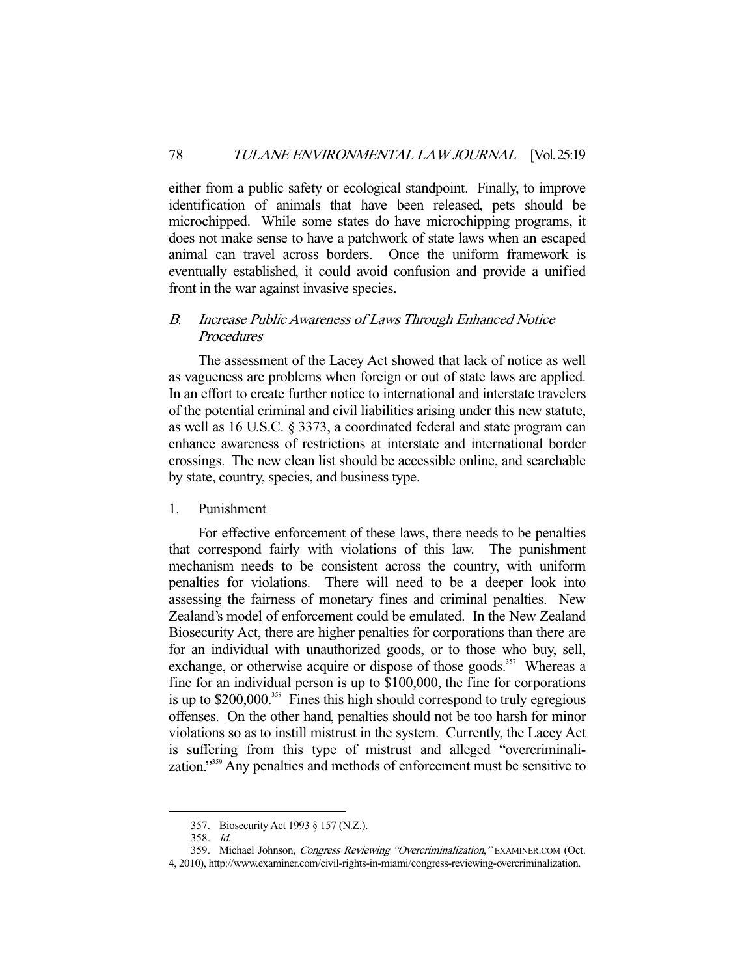either from a public safety or ecological standpoint. Finally, to improve identification of animals that have been released, pets should be microchipped. While some states do have microchipping programs, it does not make sense to have a patchwork of state laws when an escaped animal can travel across borders. Once the uniform framework is eventually established, it could avoid confusion and provide a unified front in the war against invasive species.

# B. Increase Public Awareness of Laws Through Enhanced Notice Procedures

 The assessment of the Lacey Act showed that lack of notice as well as vagueness are problems when foreign or out of state laws are applied. In an effort to create further notice to international and interstate travelers of the potential criminal and civil liabilities arising under this new statute, as well as 16 U.S.C. § 3373, a coordinated federal and state program can enhance awareness of restrictions at interstate and international border crossings. The new clean list should be accessible online, and searchable by state, country, species, and business type.

## 1. Punishment

 For effective enforcement of these laws, there needs to be penalties that correspond fairly with violations of this law. The punishment mechanism needs to be consistent across the country, with uniform penalties for violations. There will need to be a deeper look into assessing the fairness of monetary fines and criminal penalties. New Zealand's model of enforcement could be emulated. In the New Zealand Biosecurity Act, there are higher penalties for corporations than there are for an individual with unauthorized goods, or to those who buy, sell, exchange, or otherwise acquire or dispose of those goods.<sup>357</sup> Whereas a fine for an individual person is up to \$100,000, the fine for corporations is up to  $$200,000$ <sup>358</sup>. Fines this high should correspond to truly egregious offenses. On the other hand, penalties should not be too harsh for minor violations so as to instill mistrust in the system. Currently, the Lacey Act is suffering from this type of mistrust and alleged "overcriminalization."359 Any penalties and methods of enforcement must be sensitive to

 <sup>357.</sup> Biosecurity Act 1993 § 157 (N.Z.).

 <sup>358.</sup> Id.

<sup>359.</sup> Michael Johnson, Congress Reviewing "Overcriminalization," EXAMINER.COM (Oct.

<sup>4, 2010),</sup> http://www.examiner.com/civil-rights-in-miami/congress-reviewing-overcriminalization.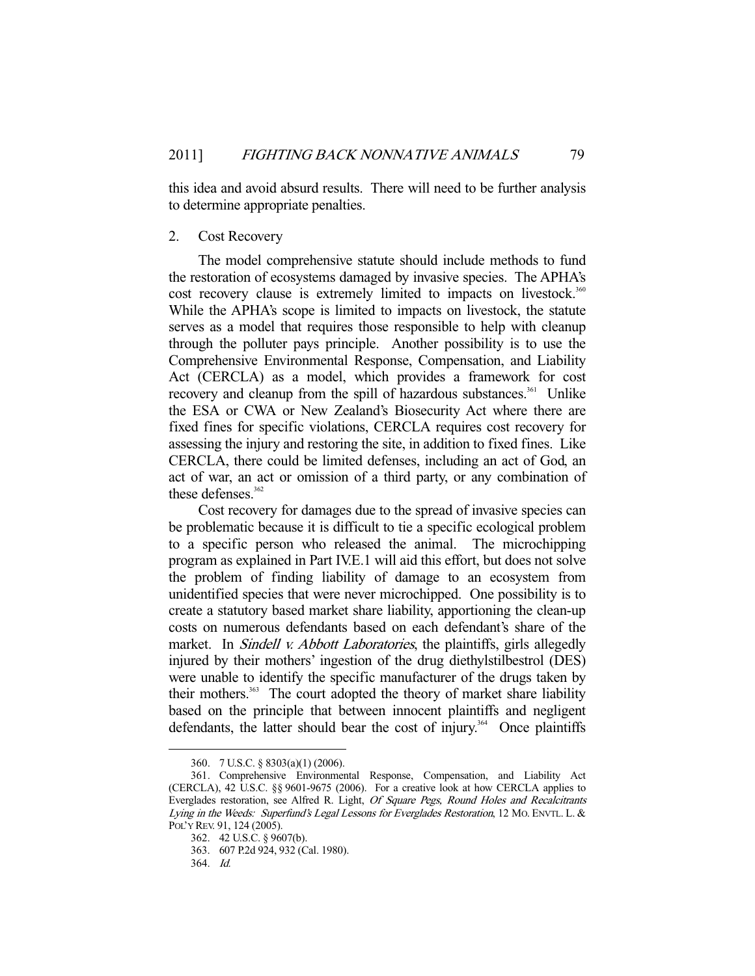this idea and avoid absurd results. There will need to be further analysis to determine appropriate penalties.

## 2. Cost Recovery

 The model comprehensive statute should include methods to fund the restoration of ecosystems damaged by invasive species. The APHA's cost recovery clause is extremely limited to impacts on livestock.<sup>360</sup> While the APHA's scope is limited to impacts on livestock, the statute serves as a model that requires those responsible to help with cleanup through the polluter pays principle. Another possibility is to use the Comprehensive Environmental Response, Compensation, and Liability Act (CERCLA) as a model, which provides a framework for cost recovery and cleanup from the spill of hazardous substances.<sup>361</sup> Unlike the ESA or CWA or New Zealand's Biosecurity Act where there are fixed fines for specific violations, CERCLA requires cost recovery for assessing the injury and restoring the site, in addition to fixed fines. Like CERCLA, there could be limited defenses, including an act of God, an act of war, an act or omission of a third party, or any combination of these defenses.<sup>362</sup>

 Cost recovery for damages due to the spread of invasive species can be problematic because it is difficult to tie a specific ecological problem to a specific person who released the animal. The microchipping program as explained in Part IV.E.1 will aid this effort, but does not solve the problem of finding liability of damage to an ecosystem from unidentified species that were never microchipped. One possibility is to create a statutory based market share liability, apportioning the clean-up costs on numerous defendants based on each defendant's share of the market. In *Sindell v. Abbott Laboratories*, the plaintiffs, girls allegedly injured by their mothers' ingestion of the drug diethylstilbestrol (DES) were unable to identify the specific manufacturer of the drugs taken by their mothers.363 The court adopted the theory of market share liability based on the principle that between innocent plaintiffs and negligent defendants, the latter should bear the cost of injury.<sup>364</sup> Once plaintiffs

 <sup>360. 7</sup> U.S.C. § 8303(a)(1) (2006).

 <sup>361.</sup> Comprehensive Environmental Response, Compensation, and Liability Act (CERCLA), 42 U.S.C. §§ 9601-9675 (2006). For a creative look at how CERCLA applies to Everglades restoration, see Alfred R. Light, Of Square Pegs, Round Holes and Recalcitrants Lying in the Weeds: Superfund's Legal Lessons for Everglades Restoration, 12 MO. ENVTL. L. & POL'Y REV. 91, 124 (2005).

 <sup>362. 42</sup> U.S.C. § 9607(b).

 <sup>363. 607</sup> P.2d 924, 932 (Cal. 1980).

 <sup>364.</sup> Id.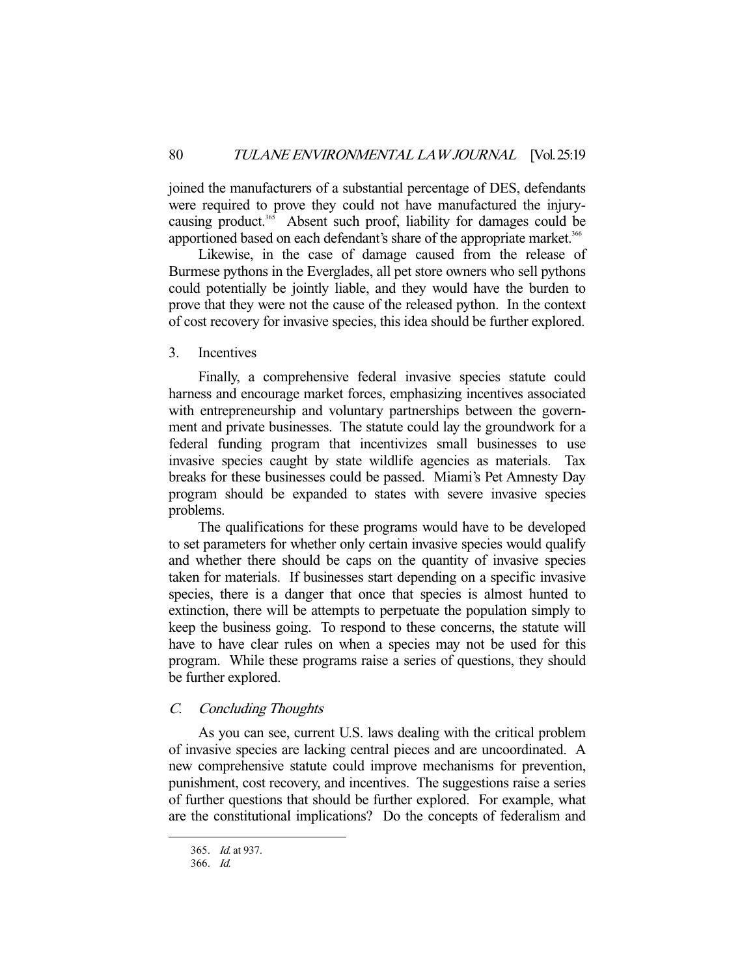joined the manufacturers of a substantial percentage of DES, defendants were required to prove they could not have manufactured the injurycausing product.<sup>365</sup> Absent such proof, liability for damages could be apportioned based on each defendant's share of the appropriate market.<sup>366</sup>

 Likewise, in the case of damage caused from the release of Burmese pythons in the Everglades, all pet store owners who sell pythons could potentially be jointly liable, and they would have the burden to prove that they were not the cause of the released python. In the context of cost recovery for invasive species, this idea should be further explored.

## 3. Incentives

 Finally, a comprehensive federal invasive species statute could harness and encourage market forces, emphasizing incentives associated with entrepreneurship and voluntary partnerships between the government and private businesses. The statute could lay the groundwork for a federal funding program that incentivizes small businesses to use invasive species caught by state wildlife agencies as materials. Tax breaks for these businesses could be passed. Miami's Pet Amnesty Day program should be expanded to states with severe invasive species problems.

 The qualifications for these programs would have to be developed to set parameters for whether only certain invasive species would qualify and whether there should be caps on the quantity of invasive species taken for materials. If businesses start depending on a specific invasive species, there is a danger that once that species is almost hunted to extinction, there will be attempts to perpetuate the population simply to keep the business going. To respond to these concerns, the statute will have to have clear rules on when a species may not be used for this program. While these programs raise a series of questions, they should be further explored.

#### C. Concluding Thoughts

 As you can see, current U.S. laws dealing with the critical problem of invasive species are lacking central pieces and are uncoordinated. A new comprehensive statute could improve mechanisms for prevention, punishment, cost recovery, and incentives. The suggestions raise a series of further questions that should be further explored. For example, what are the constitutional implications? Do the concepts of federalism and

 <sup>365.</sup> Id. at 937.

 <sup>366.</sup> Id.